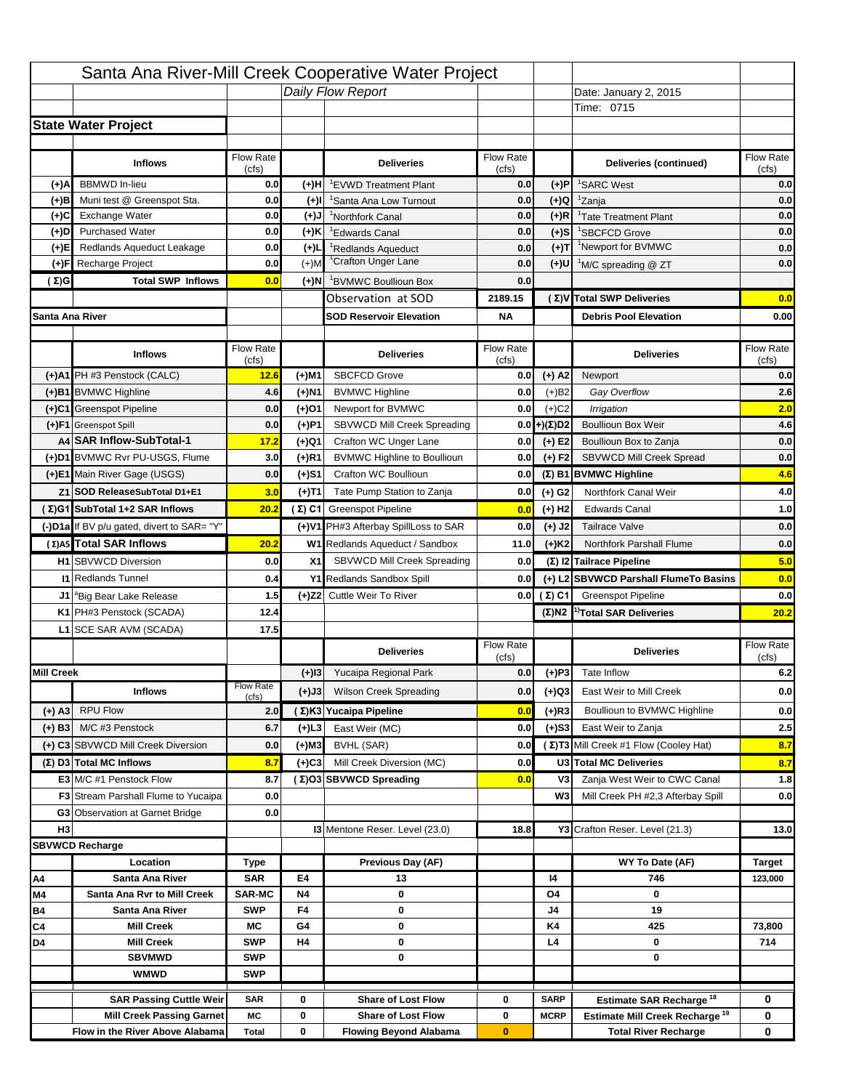|                   |                                            |                    |           | Santa Ana River-Mill Creek Cooperative Water Project |                           |                      |                                                  |                           |
|-------------------|--------------------------------------------|--------------------|-----------|------------------------------------------------------|---------------------------|----------------------|--------------------------------------------------|---------------------------|
|                   |                                            |                    |           | Daily Flow Report                                    |                           |                      | Date: January 2, 2015                            |                           |
|                   |                                            |                    |           |                                                      |                           |                      | Time: 0715                                       |                           |
|                   | <b>State Water Project</b>                 |                    |           |                                                      |                           |                      |                                                  |                           |
|                   |                                            |                    |           |                                                      |                           |                      |                                                  |                           |
|                   | <b>Inflows</b>                             | Flow Rate          |           | <b>Deliveries</b>                                    | <b>Flow Rate</b>          |                      | Deliveries (continued)                           | Flow Rate                 |
| (+)A              | <b>BBMWD</b> In-lieu                       | (cfs)<br>0.0       | (+)H      | 'EVWD Treatment Plant                                | (cfs)<br>0.0              | (+)P                 | <sup>1</sup> SARC West                           | (cfs)<br>0.0              |
| (+)B              | Muni test @ Greenspot Sta.                 | 0.0                | $(+)$ l   | 'Santa Ana Low Turnout                               | 0.0                       | $(+)Q$               | <sup>1</sup> Zanja                               | 0.0                       |
| (+)C              | Exchange Water                             | 0.0                | $(+)$ J   | <sup>1</sup> Northfork Canal                         | 0.0                       | $(+)R$               | <sup>1</sup> Tate Treatment Plant                | 0.0                       |
| (+)D              | <b>Purchased Water</b>                     | 0.0                | (+)K      | <sup>1</sup> Edwards Canal                           | 0.0                       | $(+)$ S              | <sup>1</sup> SBCFCD Grove                        | 0.0                       |
| (+)E              | Redlands Aqueduct Leakage                  | 0.0                | $(+)1$    | <sup>1</sup> Redlands Aqueduct                       | 0.0                       | $(+)T$               | <sup>1</sup> Newport for BVMWC                   | 0.0                       |
| (+)F              | Recharge Project                           | 0.0                | $(+)$ M   | <sup>1</sup> Crafton Unger Lane                      | 0.0                       | $(+)$ U              | <sup>1</sup> M/C spreading @ ZT                  | 0.0                       |
| (Σ)G              | <b>Total SWP Inflows</b>                   | 0.0                | (+)N      | <sup>1</sup> BVMWC Boullioun Box                     | 0.0                       |                      |                                                  |                           |
|                   |                                            |                    |           | Observation at SOD                                   | 2189.15                   |                      | (Σ)V Total SWP Deliveries                        | 0.0                       |
| Santa Ana River   |                                            |                    |           | <b>SOD Reservoir Elevation</b>                       | <b>NA</b>                 |                      | <b>Debris Pool Elevation</b>                     | 0.00                      |
|                   |                                            |                    |           |                                                      |                           |                      |                                                  |                           |
|                   | <b>Inflows</b>                             | Flow Rate<br>(cfs) |           | <b>Deliveries</b>                                    | Flow Rate<br>(cfs)        |                      | <b>Deliveries</b>                                | Flow Rate<br>(cfs)        |
|                   | (+)A1 PH #3 Penstock (CALC)                | 12.6               | (+)M1     | <b>SBCFCD Grove</b>                                  | 0.0                       | $(+)$ A2             | Newport                                          | 0.0                       |
|                   | (+)B1 BVMWC Highline                       | 4.6                | (+)N1     | <b>BVMWC Highline</b>                                | 0.0                       | $(+)B2$              | Gay Overflow                                     | 2.6                       |
|                   | (+)C1 Greenspot Pipeline                   | 0.0                | (+)01     | Newport for BVMWC                                    | 0.0                       | $(+)$ C <sub>2</sub> | Irrigation                                       | 2.0                       |
|                   | (+)F1 Greenspot Spill                      | 0.0                | (+)P1     | SBVWCD Mill Creek Spreading                          | 0.0                       | (+)(Σ)D2             | <b>Boullioun Box Weir</b>                        | 4.6                       |
|                   | A4 SAR Inflow-SubTotal-1                   | 17.2               | (+)Q1     | Crafton WC Unger Lane                                | 0.0                       | $(+) E2$             | Boullioun Box to Zanja                           | 0.0                       |
|                   | (+)D1 BVMWC Rvr PU-USGS, Flume             | 3.0                | $(+)$ R1  | <b>BVMWC Highline to Boullioun</b>                   | 0.0                       | $(+) F2$             | SBVWCD Mill Creek Spread                         | 0.0                       |
|                   | (+)E1 Main River Gage (USGS)               | 0.0                | (+)S1     | Crafton WC Boullioun                                 | 0.0                       |                      | $(\Sigma)$ B1 BVMWC Highline                     | 4.6                       |
|                   | Z1 SOD ReleaseSubTotal D1+E1               | 3.0                | (+)T1     | Tate Pump Station to Zanja                           | 0.0                       | (+) G2               | Northfork Canal Weir                             | 4.0                       |
|                   | (Σ)G1 SubTotal 1+2 SAR Inflows             | 20.2               |           | (Σ) C1 Greenspot Pipeline                            | 0.0                       | $(+)$ H <sub>2</sub> | <b>Edwards Canal</b>                             | 1.0                       |
|                   | (-)D1a If BV p/u gated, divert to SAR= "Y" |                    |           | (+)V1 PH#3 Afterbay SpillLoss to SAR                 | 0.0                       | $(+)$ J2             | <b>Tailrace Valve</b>                            | 0.0                       |
|                   | (Σ) A5 Total SAR Inflows                   | 20.2               |           | W1 Redlands Aqueduct / Sandbox                       | 11.0                      | $(+)$ K <sub>2</sub> | <b>Northfork Parshall Flume</b>                  | 0.0                       |
|                   |                                            |                    |           |                                                      |                           |                      |                                                  |                           |
|                   |                                            |                    |           |                                                      |                           |                      |                                                  |                           |
|                   | <b>H1</b> SBVWCD Diversion                 | 0.0                | X1        | SBVWCD Mill Creek Spreading                          | 0.0                       |                      | (Σ) I2 Tailrace Pipeline                         |                           |
|                   | <b>11 Redlands Tunnel</b>                  | 0.4                |           | Y1 Redlands Sandbox Spill                            | 0.0                       |                      | (+) L2 SBVWCD Parshall FlumeTo Basins            | 5.0<br>0.0                |
|                   | J1 <sup>a</sup> Big Bear Lake Release      | 1.5                |           | (+)Z2 Cuttle Weir To River                           |                           | 0.0 $(\Sigma)$ C1    | <b>Greenspot Pipeline</b>                        | 0.0                       |
|                   | K1 PH#3 Penstock (SCADA)                   | 12.4               |           |                                                      |                           |                      | $(\Sigma)$ N2 <sup>1)</sup> Total SAR Deliveries |                           |
|                   | L1 SCE SAR AVM (SCADA)                     | 17.5               |           |                                                      |                           |                      |                                                  |                           |
|                   |                                            |                    |           | <b>Deliveries</b>                                    | <b>Flow Rate</b><br>(cfs) |                      | <b>Deliveries</b>                                | Flow Rate<br>(cfs)        |
| <b>Mill Creek</b> |                                            |                    | $(+)$ 13  | Yucaipa Regional Park                                | 0.0                       | $(+)P3$              | Tate Inflow                                      |                           |
|                   | <b>Inflows</b>                             | <b>Flow Rate</b>   | (+)J3     | <b>Wilson Creek Spreading</b>                        | 0.0                       | (+)Q3                | East Weir to Mill Creek                          |                           |
|                   |                                            | (cfs)              |           |                                                      | 0.0                       |                      | Boullioun to BVMWC Highline                      |                           |
| (+) A3            | <b>RPU Flow</b><br>M/C #3 Penstock         | 2.0                |           | (Σ)K3 Yucaipa Pipeline                               |                           | $(+)$ R3             |                                                  | 20.2<br>6.2<br>0.0<br>0.0 |
| $(+)$ B3          |                                            | 6.7                | (+)L3     | East Weir (MC)                                       | 0.0                       | $(+)$ S3             | East Weir to Zanja                               | 2.5                       |
|                   | (+) C3 SBVWCD Mill Creek Diversion         | 0.0                | (+)M3     | BVHL (SAR)                                           | 0.0                       |                      | (Σ) T3 Mill Creek #1 Flow (Cooley Hat)           | 8.7                       |
|                   | (Σ) D3 Total MC Inflows                    | 8.7                | $(+)C3$   | Mill Creek Diversion (MC)                            | 0.0                       |                      | U3 Total MC Deliveries                           | 8.7                       |
|                   | E3 M/C #1 Penstock Flow                    | 8.7                |           | (Σ)O3 SBVWCD Spreading                               | 0.0                       | V3<br>W <sub>3</sub> | Zanja West Weir to CWC Canal                     | 1.8                       |
|                   | <b>F3</b> Stream Parshall Flume to Yucaipa | 0.0                |           |                                                      |                           |                      | Mill Creek PH #2,3 Afterbay Spill                | 0.0                       |
|                   | G3 Observation at Garnet Bridge            | 0.0                |           |                                                      |                           |                      |                                                  |                           |
| H <sub>3</sub>    |                                            |                    |           | 13 Mentone Reser. Level (23.0)                       | 18.8                      |                      | Y3 Crafton Reser. Level (21.3)                   | 13.0                      |
|                   | <b>SBVWCD Recharge</b>                     |                    |           |                                                      |                           |                      |                                                  |                           |
| Α4                | Location<br>Santa Ana River                | Type<br><b>SAR</b> | E4        | Previous Day (AF)<br>13                              |                           | 14                   | WY To Date (AF)<br>746                           | <b>Target</b><br>123,000  |
| M4                | Santa Ana Rvr to Mill Creek                | <b>SAR-MC</b>      | <b>N4</b> | 0                                                    |                           | O4                   | 0                                                |                           |
| Β4                | Santa Ana River                            | <b>SWP</b>         | F4        | 0                                                    |                           | J4                   | 19                                               |                           |
| C4                | <b>Mill Creek</b>                          | МC                 | G4        | 0                                                    |                           | K4                   | 425                                              | 73,800                    |
| D4                | <b>Mill Creek</b>                          | <b>SWP</b>         | H4        | 0                                                    |                           | L4                   | 0                                                | 714                       |
|                   | <b>SBVMWD</b>                              | <b>SWP</b>         |           | 0                                                    |                           |                      | 0                                                |                           |
|                   | <b>WMWD</b>                                | <b>SWP</b>         |           |                                                      |                           |                      |                                                  |                           |
|                   | <b>SAR Passing Cuttle Weir</b>             | <b>SAR</b>         | 0         | <b>Share of Lost Flow</b>                            | 0                         | <b>SARP</b>          | Estimate SAR Recharge <sup>18</sup>              | 0                         |
|                   | <b>Mill Creek Passing Garnet</b>           | МC                 | 0         | <b>Share of Lost Flow</b>                            | 0                         | <b>MCRP</b>          | Estimate Mill Creek Recharge <sup>19</sup>       | 0                         |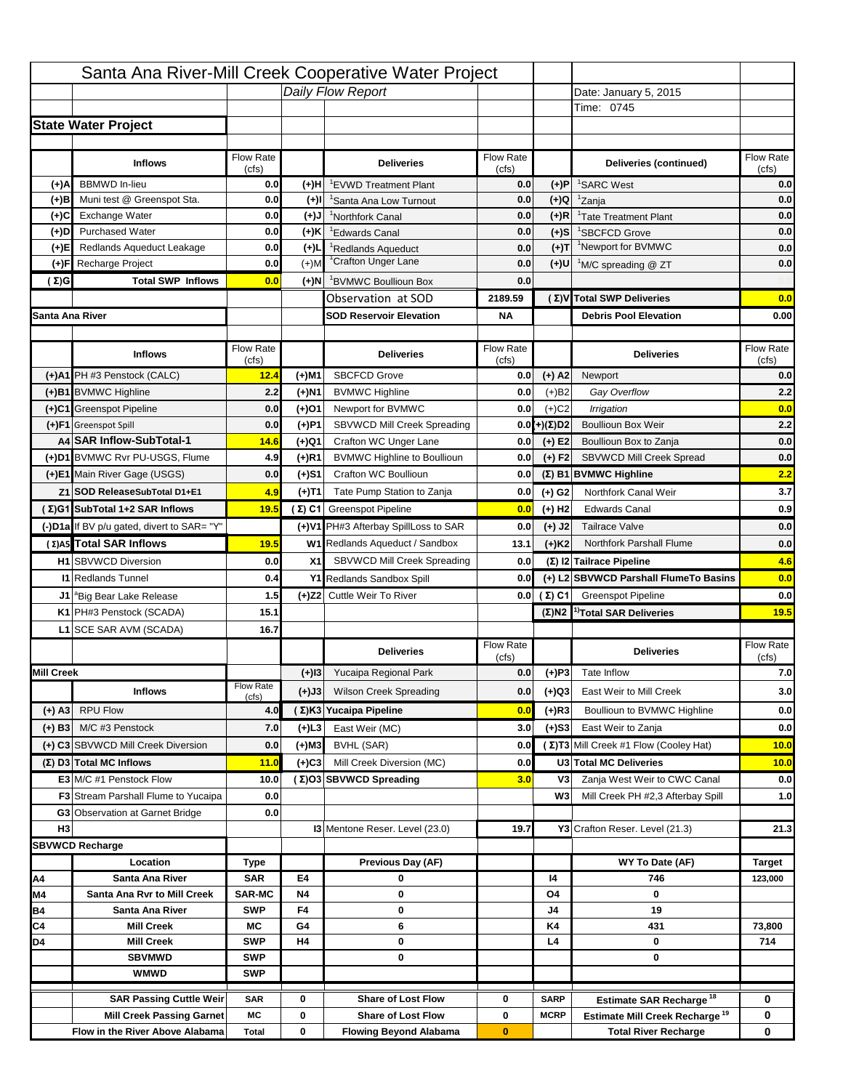|                   |                                                                    |                           |                     | Santa Ana River-Mill Creek Cooperative Water Project        |                    |                            |                                                                                   |                    |
|-------------------|--------------------------------------------------------------------|---------------------------|---------------------|-------------------------------------------------------------|--------------------|----------------------------|-----------------------------------------------------------------------------------|--------------------|
|                   |                                                                    |                           |                     | Daily Flow Report                                           |                    |                            | Date: January 5, 2015                                                             |                    |
|                   |                                                                    |                           |                     |                                                             |                    |                            | Time: 0745                                                                        |                    |
|                   | <b>State Water Project</b>                                         |                           |                     |                                                             |                    |                            |                                                                                   |                    |
|                   |                                                                    |                           |                     |                                                             |                    |                            |                                                                                   |                    |
|                   | <b>Inflows</b>                                                     | <b>Flow Rate</b>          |                     | <b>Deliveries</b>                                           | <b>Flow Rate</b>   |                            | Deliveries (continued)                                                            | Flow Rate          |
| (+)A              | <b>BBMWD</b> In-lieu                                               | (cfs)<br>0.0              | (+)H                |                                                             | (cfs)<br>0.0       | (+)P                       | <sup>1</sup> SARC West                                                            | (cfs)<br>0.0       |
| (+)B              | Muni test @ Greenspot Sta.                                         | 0.0                       | $(+)$ l             | <sup>1</sup> EVWD Treatment Plant<br>'Santa Ana Low Turnout | 0.0                | $(+)Q$                     | <sup>1</sup> Zanja                                                                | 0.0                |
| (+)C              | Exchange Water                                                     | 0.0                       | $(+)$ J             | <sup>1</sup> Northfork Canal                                | 0.0                | $(+)R$                     | <sup>1</sup> Tate Treatment Plant                                                 | 0.0                |
| (+)D              | <b>Purchased Water</b>                                             | 0.0                       | (+)K                | <sup>1</sup> Edwards Canal                                  | 0.0                | $(+)S$                     | <sup>1</sup> SBCFCD Grove                                                         | 0.0                |
| (+)E              | Redlands Aqueduct Leakage                                          | 0.0                       | $(+)$               | <sup>1</sup> Redlands Aqueduct                              | 0.0                | $(+)T$                     | <sup>1</sup> Newport for BVMWC                                                    | 0.0                |
| (+)F              | Recharge Project                                                   | 0.0                       | $(+)$ M             | <sup>1</sup> Crafton Unger Lane                             | 0.0                | (+)U                       | <sup>1</sup> M/C spreading @ ZT                                                   | 0.0                |
| (Σ)G              | <b>Total SWP Inflows</b>                                           | 0.0                       | $(+)$ N $\parallel$ | <sup>1</sup> BVMWC Boullioun Box                            | 0.0                |                            |                                                                                   |                    |
|                   |                                                                    |                           |                     | Observation at SOD                                          | 2189.59            |                            | (Σ)V Total SWP Deliveries                                                         | 0.0                |
| Santa Ana River   |                                                                    |                           |                     | <b>SOD Reservoir Elevation</b>                              | ΝA                 |                            | <b>Debris Pool Elevation</b>                                                      | 0.00               |
|                   |                                                                    |                           |                     |                                                             |                    |                            |                                                                                   |                    |
|                   | <b>Inflows</b>                                                     | Flow Rate<br>(cfs)        |                     | <b>Deliveries</b>                                           | Flow Rate<br>(cfs) |                            | <b>Deliveries</b>                                                                 | Flow Rate<br>(cfs) |
|                   | (+)A1 PH #3 Penstock (CALC)                                        | 12.4                      | (+)M1               | <b>SBCFCD Grove</b>                                         | 0.0                | $(+)$ A2                   | Newport                                                                           | 0.0                |
|                   | (+)B1 BVMWC Highline                                               | 2.2                       | (+)N1               | <b>BVMWC Highline</b>                                       | 0.0                | (+)B2                      | Gay Overflow                                                                      | 2.2                |
|                   | (+)C1 Greenspot Pipeline                                           | 0.0                       | (+)O1               | Newport for BVMWC                                           | 0.0                | $(+)$ C <sub>2</sub>       | Irrigation                                                                        | 0.0                |
|                   | (+)F1 Greenspot Spill                                              | 0.0                       | $(+)$ P1            | SBVWCD Mill Creek Spreading                                 | 0.0                | (+)(Σ)D2                   | <b>Boullioun Box Weir</b>                                                         | 2.2                |
|                   | A4 SAR Inflow-SubTotal-1                                           | 14.6                      | (+)Q1               | Crafton WC Unger Lane                                       | 0.0                | $(+) E2$                   | Boullioun Box to Zanja                                                            | 0.0                |
|                   | (+)D1 BVMWC Rvr PU-USGS, Flume                                     | 4.9                       | $(+)$ R1            | <b>BVMWC Highline to Boullioun</b>                          | 0.0                | $(+) F2$                   | <b>SBVWCD Mill Creek Spread</b>                                                   | 0.0                |
|                   | (+)E1 Main River Gage (USGS)                                       | 0.0                       | (+)S1               | Crafton WC Boullioun                                        | 0.0                |                            | (Σ) B1 BVMWC Highline                                                             | 2.2                |
|                   | Z1 SOD ReleaseSubTotal D1+E1                                       | 4.9                       | (+)T1               | Tate Pump Station to Zanja                                  | 0.0                | $(+)$ G <sub>2</sub>       | Northfork Canal Weir                                                              | 3.7                |
|                   | (Σ)G1 SubTotal 1+2 SAR Inflows                                     | 19.5                      |                     | (Σ) C1 Greenspot Pipeline                                   | 0.0                | $(+)$ H <sub>2</sub>       | <b>Edwards Canal</b>                                                              | 0.9                |
|                   | (-)D1a If BV p/u gated, divert to SAR= "Y"                         |                           |                     | (+)V1 PH#3 Afterbay SpillLoss to SAR                        | 0.0                | $(+)$ J2                   | <b>Tailrace Valve</b>                                                             | 0.0                |
|                   | (Σ) A5 Total SAR Inflows                                           | 19.5                      |                     | W1 Redlands Aqueduct / Sandbox                              | 13.1               | $(+)$ K2                   | Northfork Parshall Flume                                                          | 0.0                |
|                   | <b>H1</b> SBVWCD Diversion                                         | 0.0                       | X1                  | SBVWCD Mill Creek Spreading                                 | 0.0                |                            | (Σ) I2 Tailrace Pipeline                                                          | 4.6                |
|                   | <b>11 Redlands Tunnel</b>                                          | 0.4                       |                     | Y1 Redlands Sandbox Spill                                   | 0.0                |                            | (+) L2 SBVWCD Parshall FlumeTo Basins                                             | 0.0                |
|                   | J1 <sup>a</sup> Big Bear Lake Release                              | 1.5                       |                     | (+)Z2 Cuttle Weir To River                                  | 0.0                | (Σ) C1                     | <b>Greenspot Pipeline</b>                                                         | 0.0                |
|                   | K1 PH#3 Penstock (SCADA)                                           | 15.1                      |                     |                                                             |                    | $(\Sigma)$ N2              | <sup>1)</sup> Total SAR Deliveries                                                | 19.5               |
|                   | L1 SCE SAR AVM (SCADA)                                             | 16.7                      |                     |                                                             |                    |                            |                                                                                   |                    |
|                   |                                                                    |                           |                     |                                                             | Flow Rate          |                            |                                                                                   | Flow Rate          |
|                   |                                                                    |                           |                     | <b>Deliveries</b>                                           | (cts)              |                            | <b>Deliveries</b>                                                                 | (cts)              |
| <b>Mill Creek</b> |                                                                    |                           |                     | (+)13 Yucaipa Regional Park                                 | 0.0                | $(+)P3$                    | Tate Inflow                                                                       | 7.0                |
|                   | <b>Inflows</b>                                                     | <b>Flow Rate</b><br>(cfs) | (+)J3               | <b>Wilson Creek Spreading</b>                               | 0.0                | (+)Q3                      | East Weir to Mill Creek                                                           | 3.0                |
| $(+)$ A3          | <b>RPU Flow</b>                                                    | 4.0                       |                     | (Σ) K3 Yucaipa Pipeline                                     | 0.0                | $(+)$ R3                   | Boullioun to BVMWC Highline                                                       | 0.0                |
| $(+)$ B3          | M/C #3 Penstock                                                    | 7.0                       | (+)L3               | East Weir (MC)                                              | 3.0                | $(+)$ S3                   | East Weir to Zanja                                                                | 0.0                |
|                   | (+) C3 SBVWCD Mill Creek Diversion                                 | 0.0                       | (+)M3               | BVHL (SAR)                                                  | 0.0                |                            | (Σ) T3 Mill Creek #1 Flow (Cooley Hat)                                            | 10.0               |
|                   | $(\Sigma)$ D3 Total MC Inflows                                     | 11.0                      | $(+)C3$             | Mill Creek Diversion (MC)                                   | 0.0                |                            | U3 Total MC Deliveries                                                            | 10.0               |
|                   | E3 M/C #1 Penstock Flow                                            | 10.0                      |                     | (Σ)O3 SBVWCD Spreading                                      | 3.0                | V3                         | Zanja West Weir to CWC Canal                                                      | 0.0                |
|                   | <b>F3</b> Stream Parshall Flume to Yucaipa                         | 0.0                       |                     |                                                             |                    | W3                         | Mill Creek PH #2,3 Afterbay Spill                                                 | 1.0                |
|                   | <b>G3</b> Observation at Garnet Bridge                             | 0.0                       |                     |                                                             |                    |                            |                                                                                   |                    |
| H <sub>3</sub>    |                                                                    |                           |                     | <b>13 Mentone Reser. Level (23.0)</b>                       | 19.7               |                            | Y3 Crafton Reser. Level (21.3)                                                    | 21.3               |
|                   |                                                                    |                           |                     |                                                             |                    |                            |                                                                                   |                    |
|                   | <b>SBVWCD Recharge</b>                                             |                           |                     |                                                             |                    |                            |                                                                                   |                    |
|                   | Location                                                           | Type                      |                     | Previous Day (AF)                                           |                    |                            | WY To Date (AF)                                                                   | <b>Target</b>      |
| Α4                | Santa Ana River                                                    | <b>SAR</b>                | E4                  | 0                                                           |                    | 14                         | 746                                                                               | 123,000            |
| M4                | Santa Ana Rvr to Mill Creek                                        | <b>SAR-MC</b>             | <b>N4</b>           | 0                                                           |                    | O4                         | 0                                                                                 |                    |
| <b>B4</b>         | Santa Ana River                                                    | <b>SWP</b>                | F4                  | 0                                                           |                    | J4                         | 19                                                                                |                    |
| C4                | <b>Mill Creek</b>                                                  | МC                        | G4                  | 6                                                           |                    | K4                         | 431                                                                               | 73,800             |
| D4                | <b>Mill Creek</b>                                                  | <b>SWP</b>                | H4                  | 0                                                           |                    | L4                         | 0                                                                                 | 714                |
|                   | <b>SBVMWD</b>                                                      | <b>SWP</b>                |                     | 0                                                           |                    |                            | 0                                                                                 |                    |
|                   | <b>WMWD</b>                                                        | <b>SWP</b>                |                     |                                                             |                    |                            |                                                                                   |                    |
|                   |                                                                    |                           |                     |                                                             |                    |                            |                                                                                   |                    |
|                   | <b>SAR Passing Cuttle Weir</b><br><b>Mill Creek Passing Garnet</b> | <b>SAR</b><br>МC          | 0<br>0              | <b>Share of Lost Flow</b><br><b>Share of Lost Flow</b>      | 0<br>0             | <b>SARP</b><br><b>MCRP</b> | Estimate SAR Recharge <sup>18</sup><br>Estimate Mill Creek Recharge <sup>19</sup> | 0<br>0             |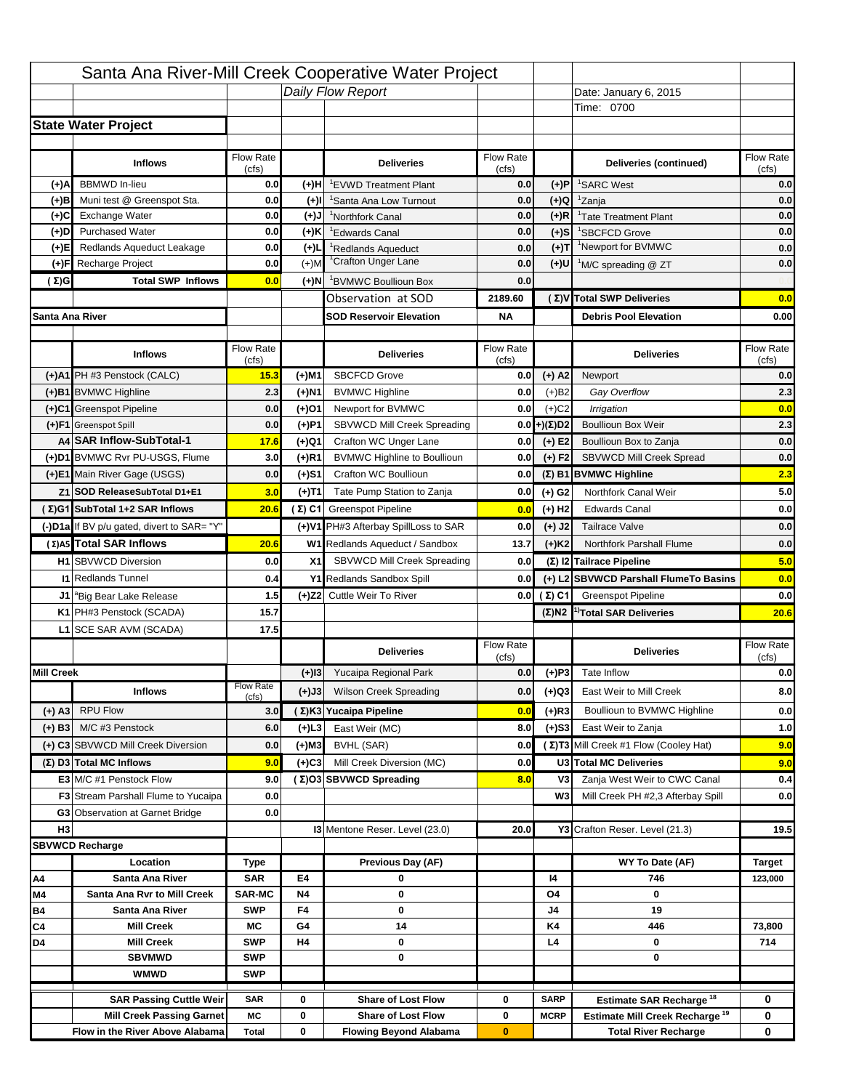|                   |                                            |                    |           | Santa Ana River-Mill Creek Cooperative Water Project |                           |                      |                                                  |                                                       |
|-------------------|--------------------------------------------|--------------------|-----------|------------------------------------------------------|---------------------------|----------------------|--------------------------------------------------|-------------------------------------------------------|
|                   |                                            |                    |           | Daily Flow Report                                    |                           |                      | Date: January 6, 2015                            |                                                       |
|                   |                                            |                    |           |                                                      |                           |                      | Time: 0700                                       |                                                       |
|                   | <b>State Water Project</b>                 |                    |           |                                                      |                           |                      |                                                  |                                                       |
|                   |                                            |                    |           |                                                      |                           |                      |                                                  |                                                       |
|                   | <b>Inflows</b>                             | Flow Rate          |           | <b>Deliveries</b>                                    | <b>Flow Rate</b>          |                      | Deliveries (continued)                           | Flow Rate                                             |
| (+)A              | <b>BBMWD</b> In-lieu                       | (cfs)<br>0.0       | (+)H      | 'EVWD Treatment Plant                                | (cfs)<br>0.0              | (+)P                 | <sup>1</sup> SARC West                           | (cfs)<br>0.0                                          |
| (+)B              | Muni test @ Greenspot Sta.                 | 0.0                | $(+)$ l   | <sup>1</sup> Santa Ana Low Turnout                   | 0.0                       | $(+)Q$               | <sup>1</sup> Zanja                               | 0.0                                                   |
| (+)C              | Exchange Water                             | 0.0                | $(+)$ J   | <sup>1</sup> Northfork Canal                         | 0.0                       | $(+)R$               | <sup>1</sup> Tate Treatment Plant                | 0.0                                                   |
| (+)D              | <b>Purchased Water</b>                     | 0.0                | (+)K      | <sup>1</sup> Edwards Canal                           | 0.0                       | $(+)$ S              | <sup>1</sup> SBCFCD Grove                        | 0.0                                                   |
| (+)E              | Redlands Aqueduct Leakage                  | 0.0                | $(+)1$    | <sup>1</sup> Redlands Aqueduct                       | 0.0                       | $(+)T$               | <sup>1</sup> Newport for BVMWC                   | 0.0                                                   |
| (+)F              | Recharge Project                           | 0.0                | $(+)$ M   | <sup>1</sup> Crafton Unger Lane                      | 0.0                       | $(+)$ U              | <sup>1</sup> M/C spreading @ ZT                  | 0.0                                                   |
| (Σ)G              | <b>Total SWP Inflows</b>                   | 0.0                | (+)N      | <sup>1</sup> BVMWC Boullioun Box                     | 0.0                       |                      |                                                  |                                                       |
|                   |                                            |                    |           | Observation at SOD                                   | 2189.60                   |                      | (Σ)V Total SWP Deliveries                        | 0.0                                                   |
| Santa Ana River   |                                            |                    |           | <b>SOD Reservoir Elevation</b>                       | <b>NA</b>                 |                      | <b>Debris Pool Elevation</b>                     | 0.00                                                  |
|                   |                                            |                    |           |                                                      |                           |                      |                                                  |                                                       |
|                   | <b>Inflows</b>                             | Flow Rate<br>(cfs) |           | <b>Deliveries</b>                                    | Flow Rate<br>(cfs)        |                      | <b>Deliveries</b>                                | Flow Rate<br>(cfs)                                    |
|                   | (+)A1 PH #3 Penstock (CALC)                | 15.3               | (+)M1     | <b>SBCFCD Grove</b>                                  | 0.0                       | $(+)$ A2             | Newport                                          | 0.0                                                   |
|                   | (+)B1 BVMWC Highline                       | 2.3                | (+)N1     | <b>BVMWC Highline</b>                                | 0.0                       | $(+)B2$              | Gay Overflow                                     | 2.3                                                   |
|                   | (+)C1 Greenspot Pipeline                   | 0.0                | (+)01     | Newport for BVMWC                                    | 0.0                       | $(+)$ C <sub>2</sub> | Irrigation                                       | 0.0                                                   |
|                   | (+)F1 Greenspot Spill                      | 0.0                | (+)P1     | SBVWCD Mill Creek Spreading                          | 0.0                       | (+)(Σ)D2             | <b>Boullioun Box Weir</b>                        | 2.3                                                   |
|                   | A4 SAR Inflow-SubTotal-1                   | 17.6               | (+)Q1     | Crafton WC Unger Lane                                | 0.0                       | $(+) E2$             | Boullioun Box to Zanja                           | 0.0                                                   |
|                   | (+)D1 BVMWC Rvr PU-USGS, Flume             | 3.0                | $(+)$ R1  | <b>BVMWC Highline to Boullioun</b>                   | 0.0                       | $(+) F2$             | SBVWCD Mill Creek Spread                         | 0.0                                                   |
|                   | (+)E1 Main River Gage (USGS)               | 0.0                | (+)S1     | Crafton WC Boullioun                                 | 0.0                       |                      | $(\Sigma)$ B1 BVMWC Highline                     | 2.3                                                   |
|                   | Z1 SOD ReleaseSubTotal D1+E1               | 3.0                | (+)T1     | Tate Pump Station to Zanja                           | 0.0                       | (+) G2               | Northfork Canal Weir                             | 5.0                                                   |
|                   | (Σ)G1 SubTotal 1+2 SAR Inflows             | 20.6               |           | (Σ) C1 Greenspot Pipeline                            | 0.0                       | $(+)$ H <sub>2</sub> | <b>Edwards Canal</b>                             | 0.0                                                   |
|                   | (-)D1a If BV p/u gated, divert to SAR= "Y" |                    |           | (+)V1 PH#3 Afterbay SpillLoss to SAR                 | 0.0                       | $(+)$ J2             | <b>Tailrace Valve</b>                            | 0.0                                                   |
|                   | (Σ) A5 Total SAR Inflows                   | 20.6               |           | W1 Redlands Aqueduct / Sandbox                       | 13.7                      | $(+)$ K <sub>2</sub> | <b>Northfork Parshall Flume</b>                  | 0.0                                                   |
|                   | <b>H1</b> SBVWCD Diversion                 |                    |           |                                                      |                           |                      |                                                  |                                                       |
|                   |                                            |                    |           |                                                      |                           |                      |                                                  |                                                       |
|                   |                                            | 0.0                | X1        | SBVWCD Mill Creek Spreading                          | 0.0                       |                      | (Σ) I2 Tailrace Pipeline                         |                                                       |
|                   | <b>11 Redlands Tunnel</b>                  | 0.4                |           | Y1 Redlands Sandbox Spill                            | 0.0                       |                      | (+) L2 SBVWCD Parshall FlumeTo Basins            |                                                       |
|                   | J1 <sup>a</sup> Big Bear Lake Release      | 1.5                |           | (+)Z2 Cuttle Weir To River                           |                           | 0.0 $(\Sigma)$ C1    | <b>Greenspot Pipeline</b>                        |                                                       |
|                   | K1 PH#3 Penstock (SCADA)                   | 15.7               |           |                                                      |                           |                      | $(\Sigma)$ N2 <sup>1)</sup> Total SAR Deliveries |                                                       |
|                   | L1 SCE SAR AVM (SCADA)                     | 17.5               |           |                                                      |                           |                      |                                                  |                                                       |
|                   |                                            |                    |           | <b>Deliveries</b>                                    | <b>Flow Rate</b><br>(cfs) |                      | <b>Deliveries</b>                                | Flow Rate<br>(cfs)                                    |
| <b>Mill Creek</b> |                                            |                    | $(+)$ 13  | Yucaipa Regional Park                                | 0.0                       | $(+)P3$              | Tate Inflow                                      |                                                       |
|                   | <b>Inflows</b>                             | <b>Flow Rate</b>   | (+)J3     | <b>Wilson Creek Spreading</b>                        | 0.0                       | (+)Q3                | East Weir to Mill Creek                          |                                                       |
| (+) A3            | <b>RPU Flow</b>                            | (cfs)<br>3.0       |           | (Σ)K3 Yucaipa Pipeline                               | 0.0                       |                      | Boullioun to BVMWC Highline                      |                                                       |
| $(+)$ B3          | M/C #3 Penstock                            | 6.0                | $(+)$ L3  | East Weir (MC)                                       | 8.0                       | $(+)$ R3<br>$(+)$ S3 | East Weir to Zanja                               | 5.0<br>0.0<br>0.0<br>20.6<br>0.0<br>8.0<br>0.0<br>1.0 |
|                   | (+) C3 SBVWCD Mill Creek Diversion         | 0.0                | (+)M3     | BVHL (SAR)                                           | 0.0                       |                      | (Σ) T3 Mill Creek #1 Flow (Cooley Hat)           | 9.0                                                   |
|                   | (Σ) D3 Total MC Inflows                    | 9.0                | $(+)C3$   | Mill Creek Diversion (MC)                            | 0.0                       |                      | U3 Total MC Deliveries                           | 9.0                                                   |
|                   | E3 M/C #1 Penstock Flow                    | 9.0                |           | (Σ)O3 SBVWCD Spreading                               | 8.0                       | V3                   | Zanja West Weir to CWC Canal                     | 0.4                                                   |
|                   | <b>F3</b> Stream Parshall Flume to Yucaipa | 0.0                |           |                                                      |                           | W <sub>3</sub>       | Mill Creek PH #2,3 Afterbay Spill                |                                                       |
|                   | G3 Observation at Garnet Bridge            | 0.0                |           |                                                      |                           |                      |                                                  | 0.0                                                   |
| H <sub>3</sub>    |                                            |                    |           | 13 Mentone Reser. Level (23.0)                       | 20.0                      |                      | Y3 Crafton Reser. Level (21.3)                   | 19.5                                                  |
|                   | <b>SBVWCD Recharge</b>                     |                    |           |                                                      |                           |                      |                                                  |                                                       |
|                   | Location                                   | Type               |           | Previous Day (AF)                                    |                           |                      | WY To Date (AF)                                  | <b>Target</b>                                         |
| Α4                | Santa Ana River                            | <b>SAR</b>         | E4        | 0                                                    |                           | 14                   | 746                                              | 123,000                                               |
| M4                | Santa Ana Rvr to Mill Creek                | <b>SAR-MC</b>      | <b>N4</b> | 0                                                    |                           | O4                   | 0                                                |                                                       |
| Β4                | Santa Ana River                            | <b>SWP</b>         | F4        | 0                                                    |                           | J4                   | 19                                               |                                                       |
| C4                | <b>Mill Creek</b>                          | МC                 | G4        | 14                                                   |                           | K4                   | 446                                              | 73,800                                                |
| D4                | <b>Mill Creek</b>                          | <b>SWP</b>         | H4        | 0                                                    |                           | L4                   | 0                                                | 714                                                   |
|                   | <b>SBVMWD</b>                              | <b>SWP</b>         |           | 0                                                    |                           |                      | 0                                                |                                                       |
|                   | <b>WMWD</b>                                | <b>SWP</b>         |           |                                                      |                           |                      |                                                  |                                                       |
|                   | <b>SAR Passing Cuttle Weir</b>             | <b>SAR</b>         | 0         | <b>Share of Lost Flow</b>                            | 0                         | <b>SARP</b>          | Estimate SAR Recharge <sup>18</sup>              | 0                                                     |
|                   | <b>Mill Creek Passing Garnet</b>           | МC                 | 0         | <b>Share of Lost Flow</b>                            | 0                         | <b>MCRP</b>          | Estimate Mill Creek Recharge <sup>19</sup>       | 0                                                     |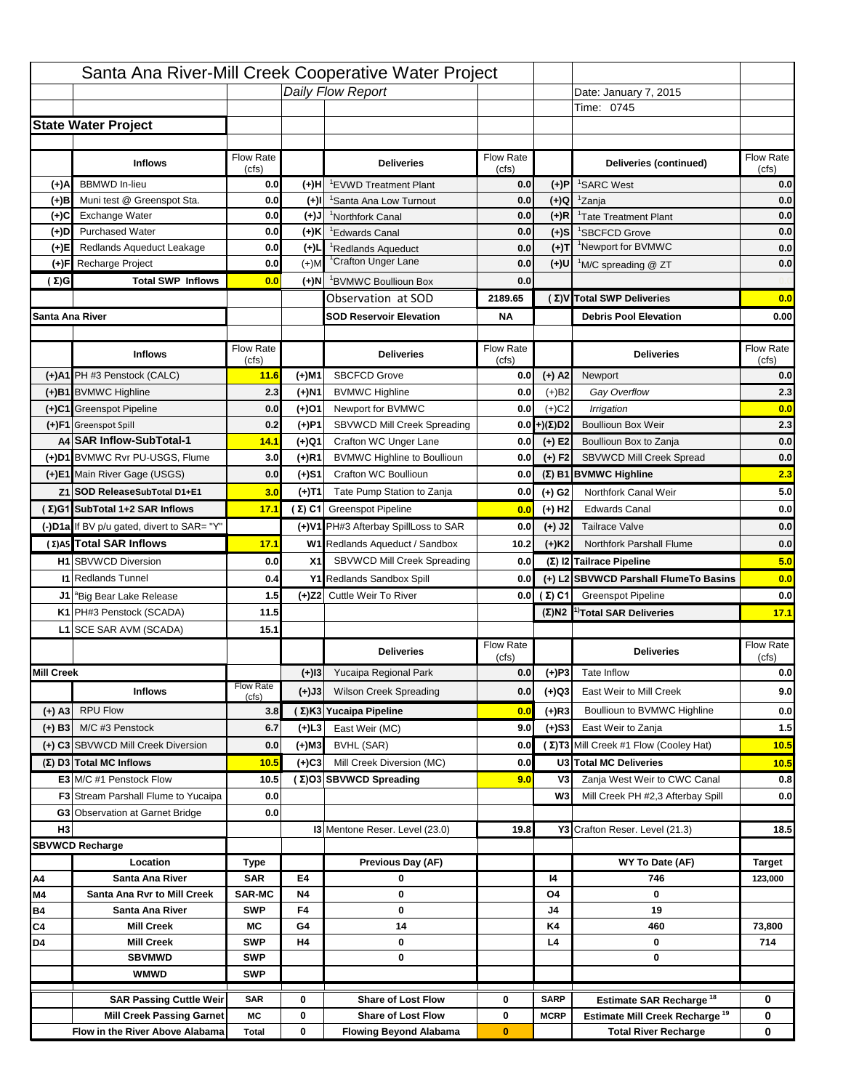|                   |                                                |                             |                 | Santa Ana River-Mill Creek Cooperative Water Project |                    |                      |                                                                                   |                                  |
|-------------------|------------------------------------------------|-----------------------------|-----------------|------------------------------------------------------|--------------------|----------------------|-----------------------------------------------------------------------------------|----------------------------------|
|                   |                                                |                             |                 | Daily Flow Report                                    |                    |                      | Date: January 7, 2015                                                             |                                  |
|                   |                                                |                             |                 |                                                      |                    |                      | Time: 0745                                                                        |                                  |
|                   | <b>State Water Project</b>                     |                             |                 |                                                      |                    |                      |                                                                                   |                                  |
|                   |                                                |                             |                 |                                                      |                    |                      |                                                                                   |                                  |
|                   | <b>Inflows</b>                                 | Flow Rate                   |                 | <b>Deliveries</b>                                    | <b>Flow Rate</b>   |                      | Deliveries (continued)                                                            | Flow Rate                        |
| (+)A              | <b>BBMWD</b> In-lieu                           | (cfs)<br>0.0                | (+)H            | 'EVWD Treatment Plant                                | (cfs)<br>0.0       | (+)P                 | <sup>1</sup> SARC West                                                            | (cfs)<br>0.0                     |
| (+)B              | Muni test @ Greenspot Sta.                     | 0.0                         | $(+)$ l         | 'Santa Ana Low Turnout                               | 0.0                | $(+)Q$               | <sup>1</sup> Zanja                                                                | 0.0                              |
| (+)C              | Exchange Water                                 | 0.0                         | $(+)$ J         | <sup>1</sup> Northfork Canal                         | 0.0                | $(+)R$               | <sup>1</sup> Tate Treatment Plant                                                 | 0.0                              |
| (+)D              | <b>Purchased Water</b>                         | 0.0                         | (+)K            | <sup>1</sup> Edwards Canal                           | 0.0                | $(+)$ S              | <sup>1</sup> SBCFCD Grove                                                         | 0.0                              |
| (+)E              | Redlands Aqueduct Leakage                      | 0.0                         | $(+)1$          | <sup>1</sup> Redlands Aqueduct                       | 0.0                | $(+)T$               | <sup>1</sup> Newport for BVMWC                                                    | 0.0                              |
| (+)F              | Recharge Project                               | 0.0                         | $(+)$ M         | <sup>1</sup> Crafton Unger Lane                      | 0.0                | $(+)$ U              | <sup>1</sup> M/C spreading @ ZT                                                   | 0.0                              |
| (Σ)G              | <b>Total SWP Inflows</b>                       | 0.0                         | (+)N            | <sup>1</sup> BVMWC Boullioun Box                     | 0.0                |                      |                                                                                   |                                  |
|                   |                                                |                             |                 | Observation at SOD                                   | 2189.65            |                      | (Σ)V Total SWP Deliveries                                                         | 0.0                              |
| Santa Ana River   |                                                |                             |                 | <b>SOD Reservoir Elevation</b>                       | <b>NA</b>          |                      | <b>Debris Pool Elevation</b>                                                      | 0.00                             |
|                   |                                                |                             |                 |                                                      |                    |                      |                                                                                   |                                  |
|                   | <b>Inflows</b>                                 | Flow Rate<br>(cfs)          |                 | <b>Deliveries</b>                                    | Flow Rate<br>(cfs) |                      | <b>Deliveries</b>                                                                 | Flow Rate<br>(cfs)               |
|                   | (+)A1 PH #3 Penstock (CALC)                    | 11.6                        | (+)M1           | <b>SBCFCD Grove</b>                                  | 0.0                | $(+)$ A2             | Newport                                                                           | 0.0                              |
|                   | (+)B1 BVMWC Highline                           | 2.3                         | (+)N1           | <b>BVMWC Highline</b>                                | 0.0                | $(+)B2$              | Gay Overflow                                                                      | 2.3                              |
|                   | (+)C1 Greenspot Pipeline                       | 0.0                         | (+)01           | Newport for BVMWC                                    | 0.0                | $(+)$ C <sub>2</sub> | Irrigation                                                                        | 0.0                              |
|                   | (+)F1 Greenspot Spill                          | 0.2                         | (+)P1           | SBVWCD Mill Creek Spreading                          | 0.0                | (+)(Σ)D2             | <b>Boullioun Box Weir</b>                                                         | 2.3                              |
|                   | A4 SAR Inflow-SubTotal-1                       | 14.1                        | (+)Q1           | Crafton WC Unger Lane                                | 0.0                | $(+) E2$             | Boullioun Box to Zanja                                                            | 0.0                              |
|                   | (+)D1 BVMWC Rvr PU-USGS, Flume                 | 3.0                         | $(+)$ R1        | <b>BVMWC Highline to Boullioun</b>                   | 0.0                | $(+) F2$             | SBVWCD Mill Creek Spread                                                          | 0.0                              |
|                   | (+)E1 Main River Gage (USGS)                   | 0.0                         | (+)S1           | Crafton WC Boullioun                                 | 0.0                |                      | $(\Sigma)$ B1 BVMWC Highline                                                      | 2.3                              |
|                   | Z1 SOD ReleaseSubTotal D1+E1                   | 3.0                         | (+)T1           | Tate Pump Station to Zanja                           | 0.0                | (+) G2               | Northfork Canal Weir                                                              | 5.0                              |
|                   | (Σ)G1 SubTotal 1+2 SAR Inflows                 | 17.1                        |                 | (Σ) C1 Greenspot Pipeline                            | 0.0                | $(+)$ H <sub>2</sub> | <b>Edwards Canal</b>                                                              | 0.0                              |
|                   | (-)D1a If BV p/u gated, divert to SAR= "Y"     |                             |                 | (+)V1 PH#3 Afterbay SpillLoss to SAR                 | 0.0                | $(+)$ J2             | <b>Tailrace Valve</b>                                                             | 0.0                              |
|                   | (Σ) A5 Total SAR Inflows                       | 17.1                        |                 | W1 Redlands Aqueduct / Sandbox                       | 10.2               | $(+)$ K <sub>2</sub> | <b>Northfork Parshall Flume</b>                                                   | 0.0                              |
|                   |                                                |                             |                 |                                                      |                    |                      |                                                                                   |                                  |
|                   |                                                |                             |                 |                                                      |                    |                      |                                                                                   |                                  |
|                   | <b>H1</b> SBVWCD Diversion                     | 0.0                         | X1              | SBVWCD Mill Creek Spreading                          | 0.0                |                      | (Σ) I2 Tailrace Pipeline                                                          | 5.0                              |
|                   | <b>11 Redlands Tunnel</b>                      | 0.4                         |                 | Y1 Redlands Sandbox Spill                            | 0.0                |                      | (+) L2 SBVWCD Parshall FlumeTo Basins                                             | 0.0                              |
|                   | J1 <sup>a</sup> Big Bear Lake Release          | 1.5                         |                 | (+)Z2 Cuttle Weir To River                           |                    | 0.0 $(\Sigma)$ C1    | <b>Greenspot Pipeline</b>                                                         |                                  |
|                   | K1 PH#3 Penstock (SCADA)                       | 11.5                        |                 |                                                      |                    |                      | $(\Sigma)$ N2 <sup>1)</sup> Total SAR Deliveries                                  |                                  |
|                   | L1 SCE SAR AVM (SCADA)                         | 15.1                        |                 |                                                      |                    |                      |                                                                                   |                                  |
|                   |                                                |                             |                 | <b>Deliveries</b>                                    | <b>Flow Rate</b>   |                      | <b>Deliveries</b>                                                                 | Flow Rate                        |
| <b>Mill Creek</b> |                                                |                             | $(+)$ 13        | Yucaipa Regional Park                                | (cfs)<br>0.0       | $(+)P3$              | Tate Inflow                                                                       | (cfs)                            |
|                   |                                                | <b>Flow Rate</b>            |                 | <b>Wilson Creek Spreading</b>                        |                    |                      | East Weir to Mill Creek                                                           |                                  |
|                   | <b>Inflows</b>                                 | (cfs)                       | (+)J3           |                                                      | 0.0                | (+)Q3                |                                                                                   |                                  |
| (+) A3            | <b>RPU Flow</b>                                | 3.8                         |                 | (Σ)K3 Yucaipa Pipeline                               | 0.0                | $(+)$ R3             | Boullioun to BVMWC Highline                                                       | 0.0<br>17.1<br>0.0<br>9.0<br>0.0 |
| $(+)$ B3          | M/C #3 Penstock                                | 6.7                         | (+)L3           | East Weir (MC)                                       | 9.0                | $(+)$ S3             | East Weir to Zanja                                                                | $1.5$                            |
|                   | (+) C3 SBVWCD Mill Creek Diversion             | 0.0                         | (+)M3           | BVHL (SAR)                                           | 0.0                |                      | (Σ) T3 Mill Creek #1 Flow (Cooley Hat)                                            | 10.5                             |
|                   | (Σ) D3 Total MC Inflows                        | 10.5                        | $(+)C3$         | Mill Creek Diversion (MC)                            | 0.0                |                      | U3 Total MC Deliveries                                                            | 10.5                             |
|                   | E3 M/C #1 Penstock Flow                        | 10.5                        |                 | (Σ)O3 SBVWCD Spreading                               | 9.0                | V3                   | Zanja West Weir to CWC Canal                                                      | 0.8                              |
|                   | <b>F3</b> Stream Parshall Flume to Yucaipa     | 0.0                         |                 |                                                      |                    | W <sub>3</sub>       | Mill Creek PH #2,3 Afterbay Spill                                                 |                                  |
|                   | G3 Observation at Garnet Bridge                | 0.0                         |                 |                                                      |                    |                      |                                                                                   | 0.0                              |
| H <sub>3</sub>    |                                                |                             |                 | 13 Mentone Reser. Level (23.0)                       | 19.8               |                      | Y3 Crafton Reser. Level (21.3)                                                    | 18.5                             |
|                   | <b>SBVWCD Recharge</b>                         |                             |                 |                                                      |                    |                      |                                                                                   |                                  |
|                   | Location                                       | Type                        |                 | Previous Day (AF)                                    |                    |                      | WY To Date (AF)                                                                   | <b>Target</b>                    |
| Α4                | Santa Ana River<br>Santa Ana Rvr to Mill Creek | <b>SAR</b><br><b>SAR-MC</b> | E4<br><b>N4</b> | 0<br>0                                               |                    | 14<br>O4             | 746<br>0                                                                          | 123,000                          |
| M4<br>Β4          | Santa Ana River                                | <b>SWP</b>                  | F4              | 0                                                    |                    | J4                   | 19                                                                                |                                  |
| C4                | <b>Mill Creek</b>                              | МC                          | G4              | 14                                                   |                    | K4                   | 460                                                                               | 73,800                           |
| D4                | <b>Mill Creek</b>                              | <b>SWP</b>                  | H4              | 0                                                    |                    | L4                   | 0                                                                                 | 714                              |
|                   | <b>SBVMWD</b>                                  | <b>SWP</b>                  |                 | 0                                                    |                    |                      | 0                                                                                 |                                  |
|                   | <b>WMWD</b>                                    | <b>SWP</b>                  |                 |                                                      |                    |                      |                                                                                   |                                  |
|                   | <b>SAR Passing Cuttle Weir</b>                 | <b>SAR</b>                  | 0               | <b>Share of Lost Flow</b>                            | 0                  | <b>SARP</b>          |                                                                                   | 0                                |
|                   | <b>Mill Creek Passing Garnet</b>               | МC                          | 0               | <b>Share of Lost Flow</b>                            | 0                  | <b>MCRP</b>          | Estimate SAR Recharge <sup>18</sup><br>Estimate Mill Creek Recharge <sup>19</sup> | 0                                |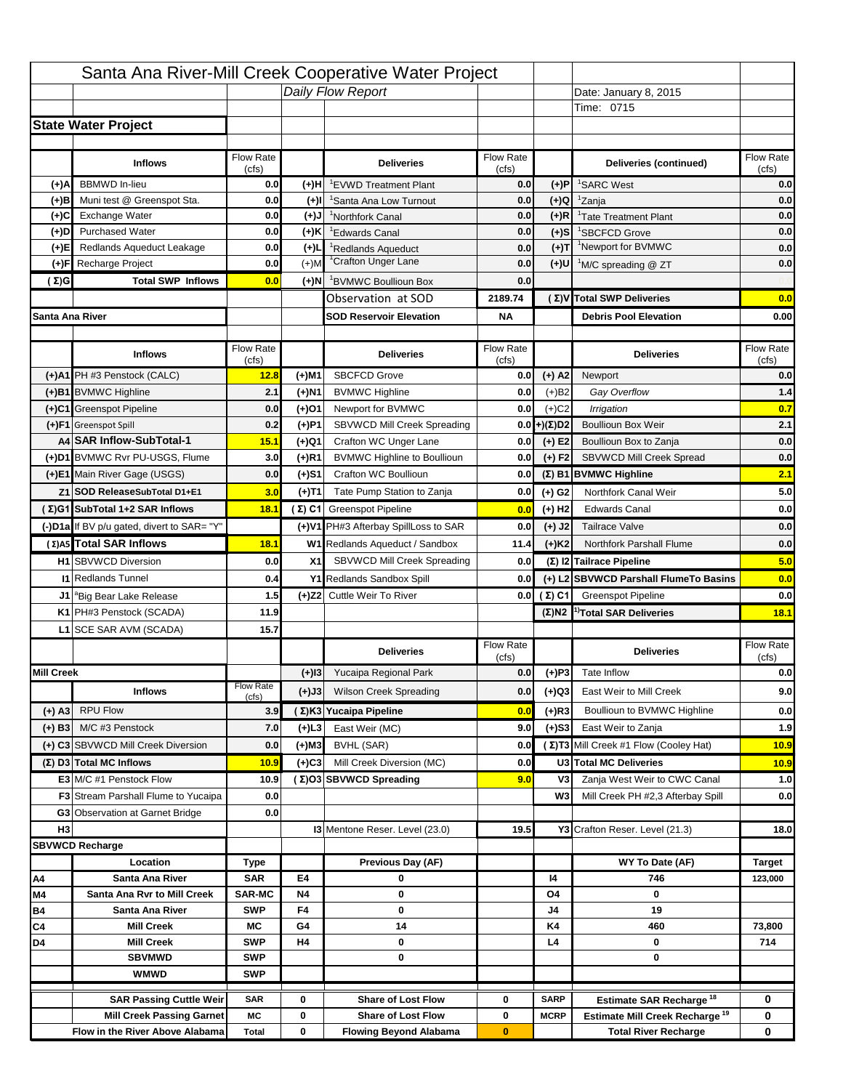|                   |                                            |                    |           | Santa Ana River-Mill Creek Cooperative Water Project |                           |                      |                                                  |                           |
|-------------------|--------------------------------------------|--------------------|-----------|------------------------------------------------------|---------------------------|----------------------|--------------------------------------------------|---------------------------|
|                   |                                            |                    |           | Daily Flow Report                                    |                           |                      | Date: January 8, 2015                            |                           |
|                   |                                            |                    |           |                                                      |                           |                      | Time: 0715                                       |                           |
|                   | <b>State Water Project</b>                 |                    |           |                                                      |                           |                      |                                                  |                           |
|                   |                                            |                    |           |                                                      |                           |                      |                                                  |                           |
|                   | <b>Inflows</b>                             | Flow Rate          |           | <b>Deliveries</b>                                    | <b>Flow Rate</b>          |                      | Deliveries (continued)                           | Flow Rate                 |
| (+)A              | <b>BBMWD</b> In-lieu                       | (cfs)<br>0.0       | (+)H      | 'EVWD Treatment Plant                                | (cfs)<br>0.0              | (+)P                 | <sup>1</sup> SARC West                           | (cfs)<br>0.0              |
| (+)B              | Muni test @ Greenspot Sta.                 | 0.0                | $(+)$ l   | 'Santa Ana Low Turnout                               | 0.0                       | $(+)Q$               | <sup>1</sup> Zanja                               | 0.0                       |
| (+)C              | Exchange Water                             | 0.0                | $(+)$ J   | <sup>1</sup> Northfork Canal                         | 0.0                       | $(+)R$               | <sup>1</sup> Tate Treatment Plant                | 0.0                       |
| (+)D              | <b>Purchased Water</b>                     | 0.0                | (+)K      | <sup>1</sup> Edwards Canal                           | 0.0                       | $(+)$ S              | <sup>1</sup> SBCFCD Grove                        | 0.0                       |
| (+)E              | Redlands Aqueduct Leakage                  | 0.0                | $(+)1$    | <sup>1</sup> Redlands Aqueduct                       | 0.0                       | $(+)T$               | <sup>1</sup> Newport for BVMWC                   | 0.0                       |
| (+)F              | Recharge Project                           | 0.0                | $(+)$ M   | <sup>1</sup> Crafton Unger Lane                      | 0.0                       | $(+)$ U              | <sup>1</sup> M/C spreading @ ZT                  | 0.0                       |
| (Σ)G              | <b>Total SWP Inflows</b>                   | 0.0                | (+)N      | <sup>1</sup> BVMWC Boullioun Box                     | 0.0                       |                      |                                                  |                           |
|                   |                                            |                    |           | Observation at SOD                                   | 2189.74                   |                      | (Σ) V Total SWP Deliveries                       | 0.0                       |
| Santa Ana River   |                                            |                    |           | <b>SOD Reservoir Elevation</b>                       | <b>NA</b>                 |                      | <b>Debris Pool Elevation</b>                     | 0.00                      |
|                   |                                            |                    |           |                                                      |                           |                      |                                                  |                           |
|                   | <b>Inflows</b>                             | Flow Rate<br>(cfs) |           | <b>Deliveries</b>                                    | Flow Rate<br>(cfs)        |                      | <b>Deliveries</b>                                | Flow Rate<br>(cfs)        |
|                   | (+)A1 PH #3 Penstock (CALC)                | 12.8               | (+)M1     | <b>SBCFCD Grove</b>                                  | 0.0                       | $(+)$ A2             | Newport                                          | 0.0                       |
|                   | (+)B1 BVMWC Highline                       | 2.1                | (+)N1     | <b>BVMWC Highline</b>                                | 0.0                       | $(+)B2$              | Gay Overflow                                     | 1.4                       |
|                   | (+)C1 Greenspot Pipeline                   | 0.0                | (+)01     | Newport for BVMWC                                    | 0.0                       | $(+)$ C <sub>2</sub> | Irrigation                                       | 0.7                       |
|                   | (+)F1 Greenspot Spill                      | 0.2                | (+)P1     | SBVWCD Mill Creek Spreading                          | 0.0                       | (+)(Σ)D2             | <b>Boullioun Box Weir</b>                        | 2.1                       |
|                   | A4 SAR Inflow-SubTotal-1                   | 15.1               | (+)Q1     | Crafton WC Unger Lane                                | 0.0                       | $(+) E2$             | Boullioun Box to Zanja                           | 0.0                       |
|                   | (+)D1 BVMWC Rvr PU-USGS, Flume             | 3.0                | $(+)$ R1  | <b>BVMWC Highline to Boullioun</b>                   | 0.0                       | $(+) F2$             | SBVWCD Mill Creek Spread                         | 0.0                       |
|                   | (+)E1 Main River Gage (USGS)               | 0.0                | (+)S1     | Crafton WC Boullioun                                 | 0.0                       |                      | $(\Sigma)$ B1 BVMWC Highline                     | 2.1                       |
|                   | Z1 SOD ReleaseSubTotal D1+E1               | 3.0                | (+)T1     | Tate Pump Station to Zanja                           | 0.0                       | (+) G2               | Northfork Canal Weir                             | 5.0                       |
|                   | (Σ)G1 SubTotal 1+2 SAR Inflows             | 18.1               |           | (Σ) C1 Greenspot Pipeline                            | 0.0                       | $(+)$ H <sub>2</sub> | <b>Edwards Canal</b>                             | 0.0                       |
|                   | (-)D1a If BV p/u gated, divert to SAR= "Y" |                    |           | (+)V1 PH#3 Afterbay SpillLoss to SAR                 | 0.0                       | $(+)$ J2             | <b>Tailrace Valve</b>                            | 0.0                       |
|                   | (Σ) A5 Total SAR Inflows                   | 18.1               |           | W1 Redlands Aqueduct / Sandbox                       | 11.4                      | $(+)$ K <sub>2</sub> | <b>Northfork Parshall Flume</b>                  | 0.0                       |
|                   |                                            |                    |           |                                                      |                           |                      |                                                  |                           |
|                   |                                            |                    |           |                                                      |                           |                      |                                                  |                           |
|                   | <b>H1</b> SBVWCD Diversion                 | 0.0                | X1        | SBVWCD Mill Creek Spreading                          | 0.0                       |                      | (Σ) I2 Tailrace Pipeline                         | 5.0                       |
|                   | <b>11 Redlands Tunnel</b>                  | 0.4                |           | Y1 Redlands Sandbox Spill                            | 0.0                       |                      | (+) L2 SBVWCD Parshall FlumeTo Basins            | 0.0                       |
|                   | J1 <sup>a</sup> Big Bear Lake Release      | 1.5                |           | (+)Z2 Cuttle Weir To River                           |                           | 0.0 $(\Sigma)$ C1    | <b>Greenspot Pipeline</b>                        | 0.0                       |
|                   | K1 PH#3 Penstock (SCADA)                   | 11.9               |           |                                                      |                           |                      | $(\Sigma)$ N2 <sup>1)</sup> Total SAR Deliveries |                           |
|                   | L1 SCE SAR AVM (SCADA)                     | 15.7               |           |                                                      |                           |                      |                                                  |                           |
|                   |                                            |                    |           | <b>Deliveries</b>                                    | <b>Flow Rate</b><br>(cfs) |                      | <b>Deliveries</b>                                | Flow Rate<br>(cfs)        |
| <b>Mill Creek</b> |                                            |                    | $(+)$ 13  | Yucaipa Regional Park                                | 0.0                       | $(+)P3$              | Tate Inflow                                      |                           |
|                   | <b>Inflows</b>                             | <b>Flow Rate</b>   | (+)J3     | <b>Wilson Creek Spreading</b>                        | 0.0                       | (+)Q3                | East Weir to Mill Creek                          |                           |
|                   |                                            | (cfs)              |           |                                                      | 0.0                       |                      | Boullioun to BVMWC Highline                      |                           |
| (+) A3            | <b>RPU Flow</b><br>M/C #3 Penstock         | 3.9<br>7.0         |           | (Σ)K3 Yucaipa Pipeline<br>East Weir (MC)             | 9.0                       | $(+)$ R3             | East Weir to Zanja                               | 18.1<br>0.0<br>9.0<br>0.0 |
| $(+)$ B3          |                                            |                    | (+)L3     |                                                      | 0.0                       | $(+)$ S3             |                                                  | 1.9                       |
|                   | (+) C3 SBVWCD Mill Creek Diversion         | 0.0                | (+)M3     | BVHL (SAR)                                           |                           |                      | (Σ) T3 Mill Creek #1 Flow (Cooley Hat)           | 10.9                      |
|                   | (Σ) D3 Total MC Inflows                    | 10.9               | $(+)C3$   | Mill Creek Diversion (MC)                            | 0.0                       |                      | U3 Total MC Deliveries                           | 10.9                      |
|                   | E3 M/C #1 Penstock Flow                    | 10.9<br>0.0        |           | (Σ)O3 SBVWCD Spreading                               | 9.0                       | V3<br>W <sub>3</sub> | Zanja West Weir to CWC Canal                     | 1.0                       |
|                   | <b>F3</b> Stream Parshall Flume to Yucaipa | 0.0                |           |                                                      |                           |                      | Mill Creek PH #2,3 Afterbay Spill                |                           |
| H <sub>3</sub>    | G3 Observation at Garnet Bridge            |                    |           | 13 Mentone Reser. Level (23.0)                       | 19.5                      |                      | Y3 Crafton Reser. Level (21.3)                   | 0.0<br>18.0               |
|                   | <b>SBVWCD Recharge</b>                     |                    |           |                                                      |                           |                      |                                                  |                           |
|                   | Location                                   | Type               |           | Previous Day (AF)                                    |                           |                      | WY To Date (AF)                                  | <b>Target</b>             |
| Α4                | Santa Ana River                            | <b>SAR</b>         | E4        | 0                                                    |                           | 14                   | 746                                              | 123,000                   |
| M4                | Santa Ana Rvr to Mill Creek                | <b>SAR-MC</b>      | <b>N4</b> | 0                                                    |                           | O4                   | 0                                                |                           |
| Β4                | Santa Ana River                            | <b>SWP</b>         | F4        | 0                                                    |                           | J4                   | 19                                               |                           |
| C4                | <b>Mill Creek</b>                          | МC                 | G4        | 14                                                   |                           | K4                   | 460                                              | 73,800                    |
| D4                | <b>Mill Creek</b>                          | <b>SWP</b>         | H4        | 0                                                    |                           | L4                   | 0                                                | 714                       |
|                   | <b>SBVMWD</b>                              | <b>SWP</b>         |           | 0                                                    |                           |                      | 0                                                |                           |
|                   | <b>WMWD</b>                                | <b>SWP</b>         |           |                                                      |                           |                      |                                                  |                           |
|                   | <b>SAR Passing Cuttle Weir</b>             | <b>SAR</b>         | 0         | <b>Share of Lost Flow</b>                            | 0                         | <b>SARP</b>          | Estimate SAR Recharge <sup>18</sup>              | 0                         |
|                   | <b>Mill Creek Passing Garnet</b>           | МC                 | 0         | <b>Share of Lost Flow</b>                            | 0                         | <b>MCRP</b>          | Estimate Mill Creek Recharge <sup>19</sup>       | 0                         |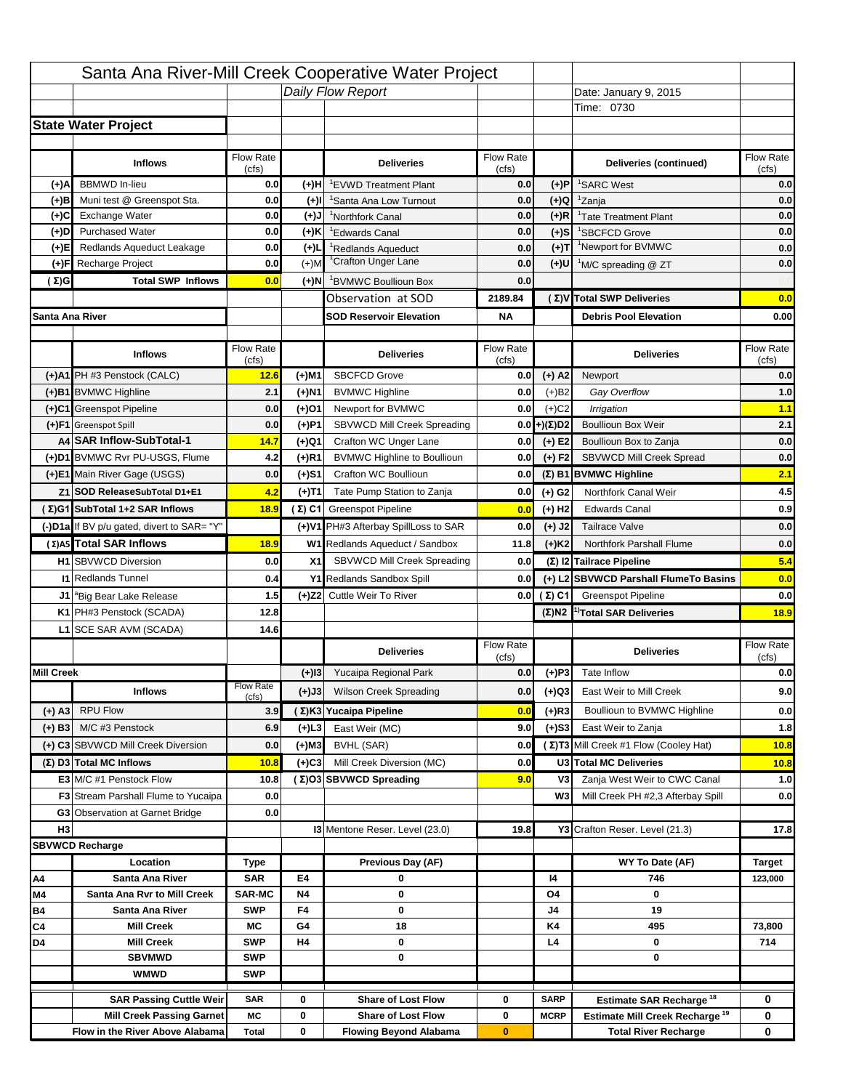|                   |                                            |                    |           | Santa Ana River-Mill Creek Cooperative Water Project |                           |                      |                                                  |                           |
|-------------------|--------------------------------------------|--------------------|-----------|------------------------------------------------------|---------------------------|----------------------|--------------------------------------------------|---------------------------|
|                   |                                            |                    |           | Daily Flow Report                                    |                           |                      | Date: January 9, 2015                            |                           |
|                   |                                            |                    |           |                                                      |                           |                      | Time: 0730                                       |                           |
|                   | <b>State Water Project</b>                 |                    |           |                                                      |                           |                      |                                                  |                           |
|                   |                                            |                    |           |                                                      |                           |                      |                                                  |                           |
|                   | <b>Inflows</b>                             | Flow Rate          |           | <b>Deliveries</b>                                    | <b>Flow Rate</b>          |                      | Deliveries (continued)                           | Flow Rate                 |
| (+)A              | <b>BBMWD</b> In-lieu                       | (cfs)<br>0.0       | (+)H      | 'EVWD Treatment Plant                                | (cfs)<br>0.0              | (+)P                 | <sup>1</sup> SARC West                           | (cfs)<br>0.0              |
| (+)B              | Muni test @ Greenspot Sta.                 | 0.0                | $(+)$ l   | 'Santa Ana Low Turnout                               | 0.0                       | $(+)Q$               | <sup>1</sup> Zanja                               | 0.0                       |
| (+)C              | Exchange Water                             | 0.0                | $(L(+)$   | <sup>1</sup> Northfork Canal                         | 0.0                       | $(+)R$               | <sup>1</sup> Tate Treatment Plant                | 0.0                       |
| (+)D              | <b>Purchased Water</b>                     | 0.0                | (+)K      | <sup>1</sup> Edwards Canal                           | 0.0                       | $(+)$ S              | <sup>1</sup> SBCFCD Grove                        | 0.0                       |
| (+)E              | Redlands Aqueduct Leakage                  | 0.0                | $(+)1$    | <sup>1</sup> Redlands Aqueduct                       | 0.0                       | $(+)T$               | <sup>1</sup> Newport for BVMWC                   | 0.0                       |
| (+)F              | Recharge Project                           | 0.0                | $(+)$ M   | <sup>1</sup> Crafton Unger Lane                      | 0.0                       | $(+)$ U              | <sup>1</sup> M/C spreading @ ZT                  | 0.0                       |
| (Σ)G              | <b>Total SWP Inflows</b>                   | 0.0                | (+)N      | <sup>1</sup> BVMWC Boullioun Box                     | 0.0                       |                      |                                                  |                           |
|                   |                                            |                    |           | Observation at SOD                                   | 2189.84                   |                      | (Σ) V Total SWP Deliveries                       | 0.0                       |
| Santa Ana River   |                                            |                    |           | <b>SOD Reservoir Elevation</b>                       | <b>NA</b>                 |                      | <b>Debris Pool Elevation</b>                     | 0.00                      |
|                   |                                            |                    |           |                                                      |                           |                      |                                                  |                           |
|                   | <b>Inflows</b>                             | Flow Rate<br>(cfs) |           | <b>Deliveries</b>                                    | Flow Rate<br>(cfs)        |                      | <b>Deliveries</b>                                | Flow Rate<br>(cfs)        |
|                   | (+)A1 PH #3 Penstock (CALC)                | 12.6               | (+)M1     | <b>SBCFCD Grove</b>                                  | 0.0                       | $(+)$ A2             | Newport                                          | 0.0                       |
|                   | (+)B1 BVMWC Highline                       | 2.1                | (+)N1     | <b>BVMWC Highline</b>                                | 0.0                       | $(+)B2$              | Gay Overflow                                     | 1.0                       |
|                   | (+)C1 Greenspot Pipeline                   | 0.0                | (+)01     | Newport for BVMWC                                    | 0.0                       | $(+)$ C <sub>2</sub> | Irrigation                                       | 1.1                       |
|                   | (+)F1 Greenspot Spill                      | 0.0                | (+)P1     | SBVWCD Mill Creek Spreading                          | 0.0                       | (+)(Σ)D2             | <b>Boullioun Box Weir</b>                        | 2.1                       |
|                   | A4 SAR Inflow-SubTotal-1                   | 14.7               | (+)Q1     | Crafton WC Unger Lane                                | 0.0                       | $(+) E2$             | Boullioun Box to Zanja                           | 0.0                       |
|                   | (+)D1 BVMWC Rvr PU-USGS, Flume             | 4.2                | $(+)$ R1  | <b>BVMWC Highline to Boullioun</b>                   | 0.0                       | $(+) F2$             | SBVWCD Mill Creek Spread                         | 0.0                       |
|                   | (+)E1 Main River Gage (USGS)               | 0.0                | (+)S1     | Crafton WC Boullioun                                 | 0.0                       |                      | $(\Sigma)$ B1 BVMWC Highline                     | 2.1                       |
|                   | Z1 SOD ReleaseSubTotal D1+E1               | 4.2                | (+)T1     | Tate Pump Station to Zanja                           | 0.0                       | (+) G2               | Northfork Canal Weir                             | 4.5                       |
|                   | (Σ)G1 SubTotal 1+2 SAR Inflows             | 18.9               |           | (Σ) C1 Greenspot Pipeline                            | 0.0                       | $(+)$ H <sub>2</sub> | <b>Edwards Canal</b>                             | 0.9                       |
|                   | (-)D1a If BV p/u gated, divert to SAR= "Y" |                    |           | (+)V1 PH#3 Afterbay SpillLoss to SAR                 | 0.0                       | $(+)$ J2             | <b>Tailrace Valve</b>                            | 0.0                       |
|                   | (Σ) A5 Total SAR Inflows                   | 18.9               |           | W1 Redlands Aqueduct / Sandbox                       | 11.8                      | $(+)$ K <sub>2</sub> | <b>Northfork Parshall Flume</b>                  | 0.0                       |
|                   |                                            |                    |           |                                                      |                           |                      |                                                  |                           |
|                   |                                            |                    |           |                                                      |                           |                      |                                                  |                           |
|                   | <b>H1</b> SBVWCD Diversion                 | 0.0                | X1        | SBVWCD Mill Creek Spreading                          | 0.0                       |                      | (Σ) I2 Tailrace Pipeline                         | 5.4                       |
|                   | <b>11 Redlands Tunnel</b>                  | 0.4                |           | Y1 Redlands Sandbox Spill                            | 0.0                       |                      | (+) L2 SBVWCD Parshall FlumeTo Basins            | 0.0                       |
|                   | J1 <sup>a</sup> Big Bear Lake Release      | 1.5                |           | (+)Z2 Cuttle Weir To River                           |                           | 0.0 $(\Sigma)$ C1    | <b>Greenspot Pipeline</b>                        | 0.0                       |
|                   | K1 PH#3 Penstock (SCADA)                   | 12.8               |           |                                                      |                           |                      | $(\Sigma)$ N2 <sup>1)</sup> Total SAR Deliveries |                           |
|                   | L1 SCE SAR AVM (SCADA)                     | 14.6               |           |                                                      |                           |                      |                                                  |                           |
|                   |                                            |                    |           | <b>Deliveries</b>                                    | <b>Flow Rate</b><br>(cfs) |                      | <b>Deliveries</b>                                | Flow Rate<br>(cfs)        |
| <b>Mill Creek</b> |                                            |                    | $(+)$ 13  | Yucaipa Regional Park                                | 0.0                       | $(+)P3$              | Tate Inflow                                      |                           |
|                   | <b>Inflows</b>                             | <b>Flow Rate</b>   | (+)J3     | <b>Wilson Creek Spreading</b>                        | 0.0                       | (+)Q3                | East Weir to Mill Creek                          |                           |
|                   |                                            | (cfs)              |           |                                                      | 0.0                       |                      | Boullioun to BVMWC Highline                      |                           |
| (+) A3            | <b>RPU Flow</b><br>M/C #3 Penstock         | 3.9<br>6.9         |           | (Σ)K3 Yucaipa Pipeline<br>East Weir (MC)             | 9.0                       | $(+)$ R3             | East Weir to Zanja                               | 18.9<br>0.0<br>9.0<br>0.0 |
| $(+)$ B3          |                                            |                    | $(+)$ L3  |                                                      | 0.0                       | $(+)$ S3             |                                                  | 1.8                       |
|                   | (+) C3 SBVWCD Mill Creek Diversion         | 0.0                | (+)M3     | BVHL (SAR)                                           |                           |                      | (Σ) T3 Mill Creek #1 Flow (Cooley Hat)           | 10.8                      |
|                   | (Σ) D3 Total MC Inflows                    | 10.8               | $(+)C3$   | Mill Creek Diversion (MC)                            | 0.0                       |                      | U3 Total MC Deliveries                           | 10.8                      |
|                   | E3 M/C #1 Penstock Flow                    | 10.8<br>0.0        |           | (Σ)O3 SBVWCD Spreading                               | 9.0                       | V3<br>W <sub>3</sub> | Zanja West Weir to CWC Canal                     |                           |
|                   | <b>F3</b> Stream Parshall Flume to Yucaipa | 0.0                |           |                                                      |                           |                      | Mill Creek PH #2,3 Afterbay Spill                |                           |
|                   | G3 Observation at Garnet Bridge            |                    |           |                                                      |                           |                      |                                                  | 1.0<br>0.0                |
| H <sub>3</sub>    | <b>SBVWCD Recharge</b>                     |                    |           | 13 Mentone Reser. Level (23.0)                       | 19.8                      |                      | Y3 Crafton Reser. Level (21.3)                   | 17.8                      |
|                   | Location                                   |                    |           | Previous Day (AF)                                    |                           |                      | WY To Date (AF)                                  | <b>Target</b>             |
| Α4                | Santa Ana River                            | Type<br><b>SAR</b> | E4        | 0                                                    |                           | 14                   | 746                                              | 123,000                   |
| M4                | Santa Ana Rvr to Mill Creek                | <b>SAR-MC</b>      | <b>N4</b> | 0                                                    |                           | O4                   | 0                                                |                           |
| Β4                | Santa Ana River                            | <b>SWP</b>         | F4        | 0                                                    |                           | J4                   | 19                                               |                           |
| C4                | <b>Mill Creek</b>                          | МC                 | G4        | 18                                                   |                           | K4                   | 495                                              | 73,800                    |
| D4                | <b>Mill Creek</b>                          | <b>SWP</b>         | H4        | 0                                                    |                           | L4                   | 0                                                | 714                       |
|                   | <b>SBVMWD</b>                              | <b>SWP</b>         |           | 0                                                    |                           |                      | 0                                                |                           |
|                   | <b>WMWD</b>                                | <b>SWP</b>         |           |                                                      |                           |                      |                                                  |                           |
|                   | <b>SAR Passing Cuttle Weir</b>             | <b>SAR</b>         | 0         | <b>Share of Lost Flow</b>                            | 0                         | <b>SARP</b>          | Estimate SAR Recharge <sup>18</sup>              | 0                         |
|                   | <b>Mill Creek Passing Garnet</b>           | МC                 | 0         | <b>Share of Lost Flow</b>                            | 0                         | <b>MCRP</b>          | Estimate Mill Creek Recharge <sup>19</sup>       | 0                         |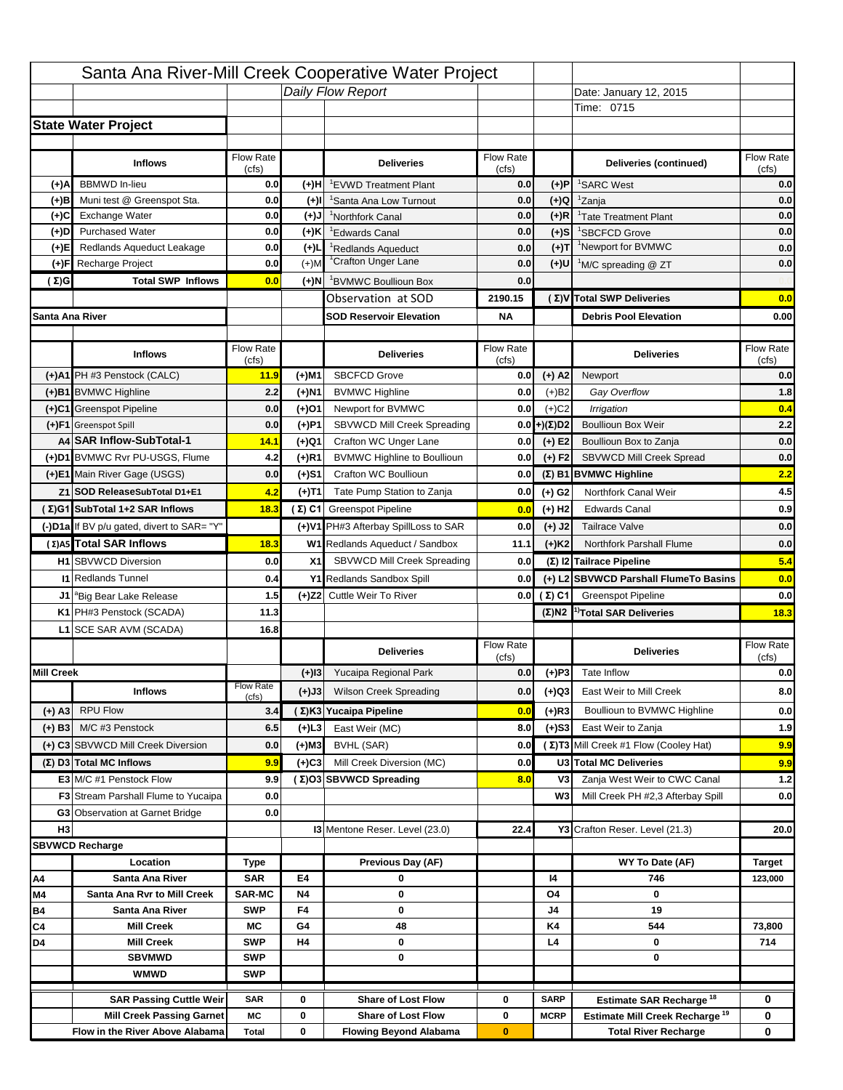|                   |                                            |                    |           | Santa Ana River-Mill Creek Cooperative Water Project |                           |                      |                                                  |                                  |
|-------------------|--------------------------------------------|--------------------|-----------|------------------------------------------------------|---------------------------|----------------------|--------------------------------------------------|----------------------------------|
|                   |                                            |                    |           | Daily Flow Report                                    |                           |                      | Date: January 12, 2015                           |                                  |
|                   |                                            |                    |           |                                                      |                           |                      | Time: 0715                                       |                                  |
|                   | <b>State Water Project</b>                 |                    |           |                                                      |                           |                      |                                                  |                                  |
|                   |                                            |                    |           |                                                      |                           |                      |                                                  |                                  |
|                   | <b>Inflows</b>                             | Flow Rate          |           | <b>Deliveries</b>                                    | <b>Flow Rate</b>          |                      | Deliveries (continued)                           | Flow Rate                        |
| (+)A              | <b>BBMWD</b> In-lieu                       | (cfs)<br>0.0       | (+)H      | 'EVWD Treatment Plant                                | (cfs)<br>0.0              | (+)P                 | <sup>1</sup> SARC West                           | (cfs)<br>0.0                     |
| (+)B              | Muni test @ Greenspot Sta.                 | 0.0                | $(+)$ l   | 'Santa Ana Low Turnout                               | 0.0                       | $(+)Q$               | <sup>1</sup> Zanja                               | 0.0                              |
| (+)C              | Exchange Water                             | 0.0                | $(L(+)$   | <sup>1</sup> Northfork Canal                         | 0.0                       | $(+)R$               | <sup>1</sup> Tate Treatment Plant                | 0.0                              |
| (+)D              | <b>Purchased Water</b>                     | 0.0                | (+)K      | <sup>1</sup> Edwards Canal                           | 0.0                       | $(+)$ S              | <sup>1</sup> SBCFCD Grove                        | 0.0                              |
| (+)E              | Redlands Aqueduct Leakage                  | 0.0                | $(+)1$    | <sup>1</sup> Redlands Aqueduct                       | 0.0                       | $(+)T$               | <sup>1</sup> Newport for BVMWC                   | 0.0                              |
| (+)F              | Recharge Project                           | 0.0                | $(+)$ M   | <sup>1</sup> Crafton Unger Lane                      | 0.0                       | $(+)$ U              | <sup>1</sup> M/C spreading @ ZT                  | 0.0                              |
| (Σ)G              | <b>Total SWP Inflows</b>                   | 0.0                | (+)N      | <sup>1</sup> BVMWC Boullioun Box                     | 0.0                       |                      |                                                  |                                  |
|                   |                                            |                    |           | Observation at SOD                                   | 2190.15                   |                      | (Σ)V Total SWP Deliveries                        | 0.0                              |
| Santa Ana River   |                                            |                    |           | <b>SOD Reservoir Elevation</b>                       | <b>NA</b>                 |                      | <b>Debris Pool Elevation</b>                     | 0.00                             |
|                   |                                            |                    |           |                                                      |                           |                      |                                                  |                                  |
|                   | <b>Inflows</b>                             | Flow Rate<br>(cfs) |           | <b>Deliveries</b>                                    | Flow Rate<br>(cfs)        |                      | <b>Deliveries</b>                                | Flow Rate<br>(cfs)               |
|                   | (+)A1 PH #3 Penstock (CALC)                | 11.9               | (+)M1     | <b>SBCFCD Grove</b>                                  | 0.0                       | $(+)$ A2             | Newport                                          | 0.0                              |
|                   | (+)B1 BVMWC Highline                       | 2.2                | (+)N1     | <b>BVMWC Highline</b>                                | 0.0                       | $(+)B2$              | Gay Overflow                                     | 1.8                              |
|                   | (+)C1 Greenspot Pipeline                   | 0.0                | (+)01     | Newport for BVMWC                                    | 0.0                       | $(+)$ C <sub>2</sub> | Irrigation                                       | 0.4                              |
|                   | (+)F1 Greenspot Spill                      | 0.0                | (+)P1     | SBVWCD Mill Creek Spreading                          | 0.0                       | (+)(Σ)D2             | <b>Boullioun Box Weir</b>                        | 2.2                              |
|                   | A4 SAR Inflow-SubTotal-1                   | 14.1               | (+)Q1     | Crafton WC Unger Lane                                | 0.0                       | $(+) E2$             | Boullioun Box to Zanja                           | 0.0                              |
|                   | (+)D1 BVMWC Rvr PU-USGS, Flume             | 4.2                | $(+)$ R1  | <b>BVMWC Highline to Boullioun</b>                   | 0.0                       | $(+) F2$             | SBVWCD Mill Creek Spread                         | 0.0                              |
|                   | (+)E1 Main River Gage (USGS)               | 0.0                | (+)S1     | Crafton WC Boullioun                                 | 0.0                       |                      | $(\Sigma)$ B1 BVMWC Highline                     | 2.2                              |
|                   | Z1 SOD ReleaseSubTotal D1+E1               | 4.2                | (+)T1     | Tate Pump Station to Zanja                           | 0.0                       | (+) G2               | Northfork Canal Weir                             | 4.5                              |
|                   | (Σ)G1 SubTotal 1+2 SAR Inflows             | 18.3               |           | (Σ) C1 Greenspot Pipeline                            | 0.0                       | $(+)$ H <sub>2</sub> | <b>Edwards Canal</b>                             | 0.9                              |
|                   | (-)D1a If BV p/u gated, divert to SAR= "Y" |                    |           | (+)V1 PH#3 Afterbay SpillLoss to SAR                 | 0.0                       | $(+)$ J2             | <b>Tailrace Valve</b>                            | 0.0                              |
|                   | (Σ) A5 Total SAR Inflows                   | 18.3               |           | W1 Redlands Aqueduct / Sandbox                       | 11.1                      | $(+)$ K <sub>2</sub> | <b>Northfork Parshall Flume</b>                  | 0.0                              |
|                   |                                            |                    |           |                                                      |                           |                      |                                                  |                                  |
|                   |                                            |                    |           |                                                      |                           |                      |                                                  |                                  |
|                   | <b>H1</b> SBVWCD Diversion                 | 0.0                | X1        | SBVWCD Mill Creek Spreading                          | 0.0                       |                      | (Σ) I2 Tailrace Pipeline                         | 5.4                              |
|                   | <b>11 Redlands Tunnel</b>                  | 0.4                |           | Y1 Redlands Sandbox Spill                            | 0.0                       |                      | (+) L2 SBVWCD Parshall FlumeTo Basins            | 0.0                              |
|                   | J1 <sup>a</sup> Big Bear Lake Release      | 1.5                |           | (+)Z2 Cuttle Weir To River                           |                           | 0.0 $(\Sigma)$ C1    | <b>Greenspot Pipeline</b>                        |                                  |
|                   | K1 PH#3 Penstock (SCADA)                   | 11.3               |           |                                                      |                           |                      | $(\Sigma)$ N2 <sup>1)</sup> Total SAR Deliveries |                                  |
|                   | L1 SCE SAR AVM (SCADA)                     | 16.8               |           |                                                      |                           |                      |                                                  |                                  |
|                   |                                            |                    |           | <b>Deliveries</b>                                    | <b>Flow Rate</b><br>(cfs) |                      | <b>Deliveries</b>                                | Flow Rate<br>(cfs)               |
| <b>Mill Creek</b> |                                            |                    | $(+)$ 13  | Yucaipa Regional Park                                | 0.0                       | $(+)P3$              | Tate Inflow                                      |                                  |
|                   | <b>Inflows</b>                             | <b>Flow Rate</b>   | (+)J3     | <b>Wilson Creek Spreading</b>                        | 0.0                       | (+)Q3                | East Weir to Mill Creek                          |                                  |
|                   |                                            | (cfs)              |           |                                                      | 0.0                       |                      | Boullioun to BVMWC Highline                      |                                  |
| (+) A3            | <b>RPU Flow</b><br>M/C #3 Penstock         | 3.4                |           | (Σ)K3 Yucaipa Pipeline                               |                           | $(+)$ R3             | East Weir to Zanja                               | 0.0<br>18.3<br>0.0<br>8.0<br>0.0 |
| $(+)$ B3          |                                            | 6.5                | $(+)$ L3  | East Weir (MC)                                       | 8.0                       | $(+)$ S3             |                                                  | 1.9                              |
|                   | (+) C3 SBVWCD Mill Creek Diversion         | 0.0                | (+)M3     | BVHL (SAR)                                           | 0.0                       |                      | (Σ) T3 Mill Creek #1 Flow (Cooley Hat)           | 9.9                              |
|                   | (Σ) D3 Total MC Inflows                    | 9.9                | $(+)C3$   | Mill Creek Diversion (MC)                            | 0.0                       |                      | U3 Total MC Deliveries                           | 9.9                              |
|                   | E3 M/C #1 Penstock Flow                    | 9.9                |           | (Σ)O3 SBVWCD Spreading                               | 8.0                       | V3<br>W <sub>3</sub> | Zanja West Weir to CWC Canal                     |                                  |
|                   | <b>F3</b> Stream Parshall Flume to Yucaipa | 0.0                |           |                                                      |                           |                      | Mill Creek PH #2,3 Afterbay Spill                |                                  |
|                   | G3 Observation at Garnet Bridge            | 0.0                |           |                                                      |                           |                      |                                                  | $1.2$<br>0.0                     |
| H <sub>3</sub>    | <b>SBVWCD Recharge</b>                     |                    |           | 13 Mentone Reser. Level (23.0)                       | 22.4                      |                      | Y3 Crafton Reser. Level (21.3)                   | 20.0                             |
|                   | Location                                   | Type               |           | Previous Day (AF)                                    |                           |                      | WY To Date (AF)                                  | <b>Target</b>                    |
| Α4                | Santa Ana River                            | <b>SAR</b>         | E4        | 0                                                    |                           | 14                   | 746                                              | 123,000                          |
| M4                | Santa Ana Rvr to Mill Creek                | <b>SAR-MC</b>      | <b>N4</b> | 0                                                    |                           | O4                   | 0                                                |                                  |
| Β4                | Santa Ana River                            | <b>SWP</b>         | F4        | 0                                                    |                           | J4                   | 19                                               |                                  |
| C4                | <b>Mill Creek</b>                          | МC                 | G4        | 48                                                   |                           | K4                   | 544                                              | 73,800                           |
| D4                | <b>Mill Creek</b>                          | <b>SWP</b>         | H4        | 0                                                    |                           | L4                   | 0                                                | 714                              |
|                   | <b>SBVMWD</b>                              | <b>SWP</b>         |           | 0                                                    |                           |                      | 0                                                |                                  |
|                   | <b>WMWD</b>                                | <b>SWP</b>         |           |                                                      |                           |                      |                                                  |                                  |
|                   | <b>SAR Passing Cuttle Weir</b>             | <b>SAR</b>         | 0         | <b>Share of Lost Flow</b>                            | 0                         | <b>SARP</b>          | Estimate SAR Recharge <sup>18</sup>              | 0                                |
|                   | <b>Mill Creek Passing Garnet</b>           | МC                 | 0         | <b>Share of Lost Flow</b>                            | 0                         | <b>MCRP</b>          | Estimate Mill Creek Recharge <sup>19</sup>       | 0                                |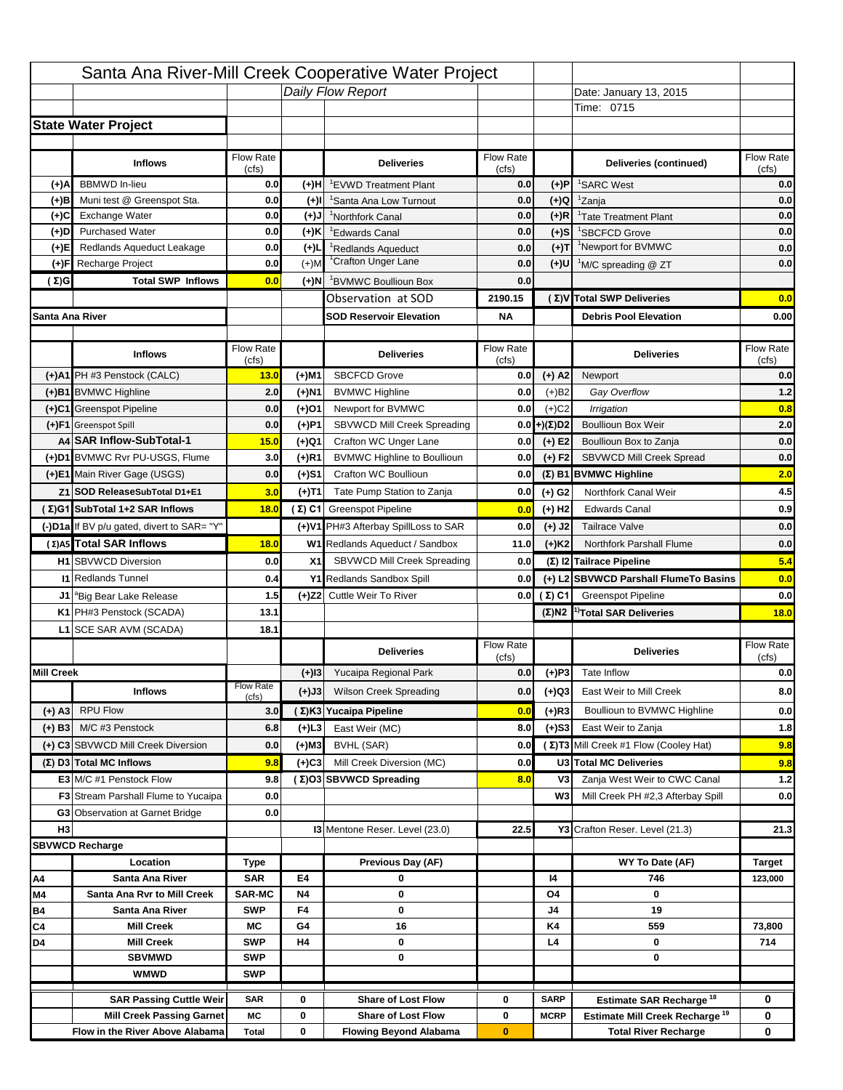|                   |                                            |                    |           | Santa Ana River-Mill Creek Cooperative Water Project |                           |                      |                                                  |                          |
|-------------------|--------------------------------------------|--------------------|-----------|------------------------------------------------------|---------------------------|----------------------|--------------------------------------------------|--------------------------|
|                   |                                            |                    |           | Daily Flow Report                                    |                           |                      | Date: January 13, 2015                           |                          |
|                   |                                            |                    |           |                                                      |                           |                      | Time: 0715                                       |                          |
|                   | <b>State Water Project</b>                 |                    |           |                                                      |                           |                      |                                                  |                          |
|                   |                                            |                    |           |                                                      |                           |                      |                                                  |                          |
|                   | <b>Inflows</b>                             | Flow Rate          |           | <b>Deliveries</b>                                    | <b>Flow Rate</b>          |                      | Deliveries (continued)                           | Flow Rate                |
| (+)A              | <b>BBMWD</b> In-lieu                       | (cfs)<br>0.0       | (+)H      | 'EVWD Treatment Plant                                | (cfs)<br>0.0              | (+)P                 | <sup>1</sup> SARC West                           | (cfs)<br>0.0             |
| (+)B              | Muni test @ Greenspot Sta.                 | 0.0                | $(+)$ l   | 'Santa Ana Low Turnout                               | 0.0                       | $(+)Q$               | <sup>1</sup> Zanja                               | 0.0                      |
| (+)C              | Exchange Water                             | 0.0                | $(+)$ J   | <sup>1</sup> Northfork Canal                         | 0.0                       | $(+)R$               | <sup>1</sup> Tate Treatment Plant                | 0.0                      |
| (+)D              | <b>Purchased Water</b>                     | 0.0                | (+)K      | <sup>1</sup> Edwards Canal                           | 0.0                       | $(+)$ S              | <sup>1</sup> SBCFCD Grove                        | 0.0                      |
| (+)E              | Redlands Aqueduct Leakage                  | 0.0                | $(+)1$    | <sup>1</sup> Redlands Aqueduct                       | 0.0                       | $(+)T$               | <sup>1</sup> Newport for BVMWC                   | 0.0                      |
| (+)F              | Recharge Project                           | 0.0                | $(+)$ M   | <sup>1</sup> Crafton Unger Lane                      | 0.0                       | $(+)$ U              | <sup>1</sup> M/C spreading @ ZT                  | 0.0                      |
| (Σ)G              | <b>Total SWP Inflows</b>                   | 0.0                | (+)N      | <sup>1</sup> BVMWC Boullioun Box                     | 0.0                       |                      |                                                  |                          |
|                   |                                            |                    |           | Observation at SOD                                   | 2190.15                   |                      | (Σ)V Total SWP Deliveries                        | 0.0                      |
| Santa Ana River   |                                            |                    |           | <b>SOD Reservoir Elevation</b>                       | <b>NA</b>                 |                      | <b>Debris Pool Elevation</b>                     | 0.00                     |
|                   |                                            |                    |           |                                                      |                           |                      |                                                  |                          |
|                   | <b>Inflows</b>                             | Flow Rate<br>(cfs) |           | <b>Deliveries</b>                                    | Flow Rate<br>(cfs)        |                      | <b>Deliveries</b>                                | Flow Rate<br>(cfs)       |
|                   | (+)A1 PH #3 Penstock (CALC)                | 13.0               | (+)M1     | <b>SBCFCD Grove</b>                                  | 0.0                       | $(+)$ A2             | Newport                                          | 0.0                      |
|                   | (+)B1 BVMWC Highline                       | 2.0                | (+)N1     | <b>BVMWC Highline</b>                                | 0.0                       | $(+)B2$              | Gay Overflow                                     | 1.2                      |
|                   | (+)C1 Greenspot Pipeline                   | 0.0                | (+)01     | Newport for BVMWC                                    | 0.0                       | $(+)$ C <sub>2</sub> | Irrigation                                       | 0.8                      |
|                   | (+)F1 Greenspot Spill                      | 0.0                | (+)P1     | SBVWCD Mill Creek Spreading                          | 0.0                       | (+)(Σ)D2             | <b>Boullioun Box Weir</b>                        | 2.0                      |
|                   | A4 SAR Inflow-SubTotal-1                   | 15.0               | (+)Q1     | Crafton WC Unger Lane                                | 0.0                       | $(+) E2$             | Boullioun Box to Zanja                           | 0.0                      |
|                   | (+)D1 BVMWC Rvr PU-USGS, Flume             | 3.0                | $(+)$ R1  | <b>BVMWC Highline to Boullioun</b>                   | 0.0                       | $(+) F2$             | SBVWCD Mill Creek Spread                         | 0.0                      |
|                   | (+)E1 Main River Gage (USGS)               | 0.0                | (+)S1     | Crafton WC Boullioun                                 | 0.0                       |                      | $(\Sigma)$ B1 BVMWC Highline                     | 2.0                      |
|                   | Z1 SOD ReleaseSubTotal D1+E1               | 3.0                | (+)T1     | Tate Pump Station to Zanja                           | 0.0                       | (+) G2               | Northfork Canal Weir                             | 4.5                      |
|                   | (Σ)G1 SubTotal 1+2 SAR Inflows             | 18.0               |           | (Σ) C1 Greenspot Pipeline                            | 0.0                       | $(+)$ H <sub>2</sub> | <b>Edwards Canal</b>                             | 0.9                      |
|                   | (-)D1a If BV p/u gated, divert to SAR= "Y" |                    |           | (+)V1 PH#3 Afterbay SpillLoss to SAR                 | 0.0                       | $(+)$ J2             | <b>Tailrace Valve</b>                            | 0.0                      |
|                   | (Σ) A5 Total SAR Inflows                   | 18.0               |           | W1 Redlands Aqueduct / Sandbox                       | 11.0                      | $(+)$ K <sub>2</sub> | <b>Northfork Parshall Flume</b>                  | 0.0                      |
|                   |                                            |                    |           |                                                      |                           |                      |                                                  |                          |
|                   |                                            |                    |           |                                                      |                           |                      |                                                  |                          |
|                   | <b>H1</b> SBVWCD Diversion                 | 0.0                | X1        | SBVWCD Mill Creek Spreading                          | 0.0                       |                      | (Σ) I2 Tailrace Pipeline                         |                          |
|                   | <b>11 Redlands Tunnel</b>                  | 0.4                |           | Y1 Redlands Sandbox Spill                            | 0.0                       |                      | (+) L2 SBVWCD Parshall FlumeTo Basins            | 5.4<br>0.0               |
|                   | J1 <sup>a</sup> Big Bear Lake Release      | 1.5                |           | (+)Z2 Cuttle Weir To River                           |                           | 0.0 $(\Sigma)$ C1    | <b>Greenspot Pipeline</b>                        | 0.0                      |
|                   | K1 PH#3 Penstock (SCADA)                   | 13.1               |           |                                                      |                           |                      | $(\Sigma)$ N2 <sup>1)</sup> Total SAR Deliveries |                          |
|                   | L1 SCE SAR AVM (SCADA)                     | 18.1               |           |                                                      |                           |                      |                                                  |                          |
|                   |                                            |                    |           | <b>Deliveries</b>                                    | <b>Flow Rate</b><br>(cfs) |                      | <b>Deliveries</b>                                | Flow Rate<br>(cfs)       |
| <b>Mill Creek</b> |                                            |                    | $(+)$ 13  | Yucaipa Regional Park                                | 0.0                       | $(+)P3$              | Tate Inflow                                      | 18.0<br>0.0              |
|                   | <b>Inflows</b>                             | <b>Flow Rate</b>   | (+)J3     | <b>Wilson Creek Spreading</b>                        | 0.0                       | (+)Q3                | East Weir to Mill Creek                          |                          |
|                   |                                            | (cfs)              |           |                                                      | 0.0                       |                      | Boullioun to BVMWC Highline                      |                          |
| (+) A3            | <b>RPU Flow</b><br>M/C #3 Penstock         | 3.0                |           | (Σ)K3 Yucaipa Pipeline                               |                           | $(+)$ R3             | East Weir to Zanja                               |                          |
| $(+)$ B3          |                                            | 6.8                | $(+)$ L3  | East Weir (MC)                                       | 8.0                       | $(+)$ S3             |                                                  | 8.0<br>0.0<br>1.8        |
|                   | (+) C3 SBVWCD Mill Creek Diversion         | 0.0                | (+)M3     | BVHL (SAR)                                           | 0.0                       |                      | (Σ) T3 Mill Creek #1 Flow (Cooley Hat)           | 9.8                      |
|                   | (Σ) D3 Total MC Inflows                    | 9.8                | $(+)C3$   | Mill Creek Diversion (MC)                            | 0.0                       |                      | U3 Total MC Deliveries                           | 9.8                      |
|                   | E3 M/C #1 Penstock Flow                    | 9.8                |           | (Σ)O3 SBVWCD Spreading                               | 8.0                       | V3<br>W <sub>3</sub> | Zanja West Weir to CWC Canal                     |                          |
|                   | <b>F3</b> Stream Parshall Flume to Yucaipa | 0.0                |           |                                                      |                           |                      | Mill Creek PH #2,3 Afterbay Spill                | $1.2$<br>0.0             |
|                   | G3 Observation at Garnet Bridge            | 0.0                |           |                                                      |                           |                      |                                                  |                          |
| H <sub>3</sub>    | <b>SBVWCD Recharge</b>                     |                    |           | 13 Mentone Reser. Level (23.0)                       | 22.5                      |                      | Y3 Crafton Reser. Level (21.3)                   | 21.3                     |
|                   | Location                                   |                    |           |                                                      |                           |                      |                                                  |                          |
| Α4                | Santa Ana River                            | Type<br><b>SAR</b> | E4        | Previous Day (AF)<br>0                               |                           | 14                   | WY To Date (AF)<br>746                           | <b>Target</b><br>123,000 |
| M4                | Santa Ana Rvr to Mill Creek                | <b>SAR-MC</b>      | <b>N4</b> | 0                                                    |                           | O4                   | 0                                                |                          |
| Β4                | Santa Ana River                            | <b>SWP</b>         | F4        | 0                                                    |                           | J4                   | 19                                               |                          |
| C4                | <b>Mill Creek</b>                          | МC                 | G4        | 16                                                   |                           | K4                   | 559                                              | 73,800                   |
| D4                | <b>Mill Creek</b>                          | <b>SWP</b>         | H4        | 0                                                    |                           | L4                   | 0                                                | 714                      |
|                   | <b>SBVMWD</b>                              | <b>SWP</b>         |           | 0                                                    |                           |                      | 0                                                |                          |
|                   | <b>WMWD</b>                                | <b>SWP</b>         |           |                                                      |                           |                      |                                                  |                          |
|                   | <b>SAR Passing Cuttle Weir</b>             | <b>SAR</b>         | 0         | <b>Share of Lost Flow</b>                            | 0                         | <b>SARP</b>          | Estimate SAR Recharge <sup>18</sup>              | 0                        |
|                   | <b>Mill Creek Passing Garnet</b>           | МC                 | 0         | <b>Share of Lost Flow</b>                            | 0                         | <b>MCRP</b>          | Estimate Mill Creek Recharge <sup>19</sup>       | 0                        |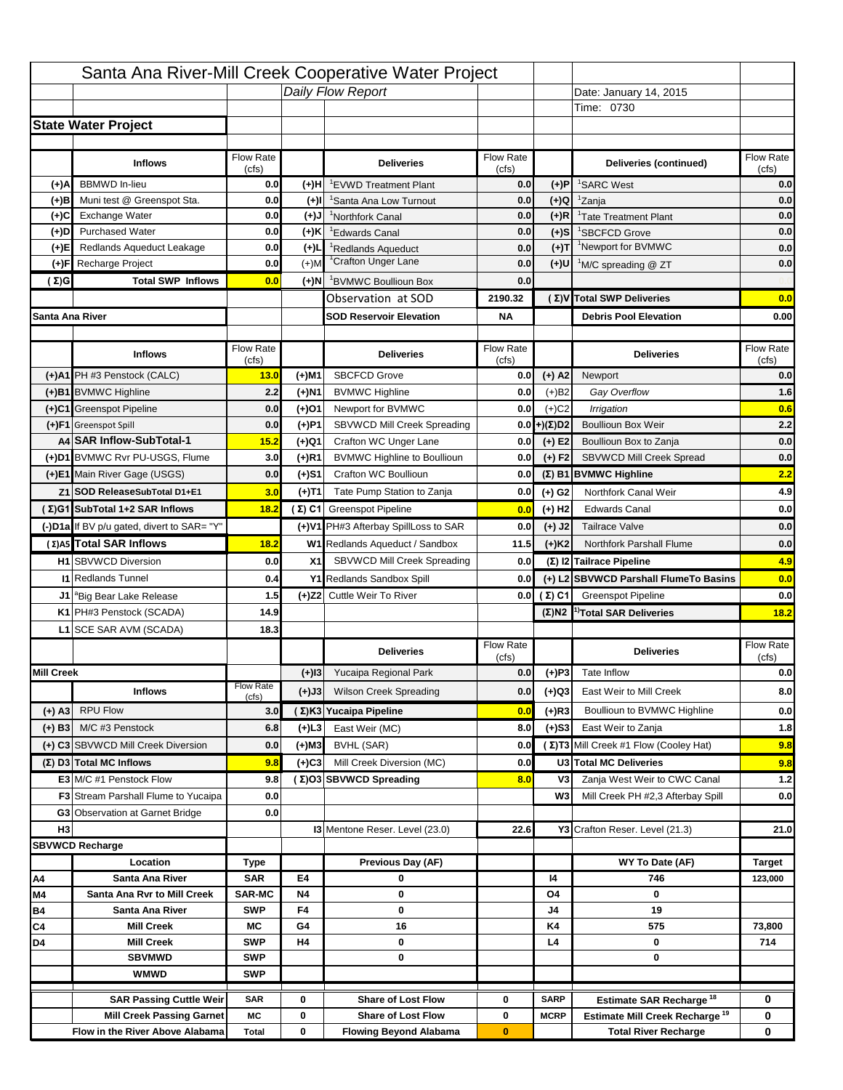|                   |                                            |                    |           | Santa Ana River-Mill Creek Cooperative Water Project |                           |                      |                                                  |                                  |
|-------------------|--------------------------------------------|--------------------|-----------|------------------------------------------------------|---------------------------|----------------------|--------------------------------------------------|----------------------------------|
|                   |                                            |                    |           | Daily Flow Report                                    |                           |                      | Date: January 14, 2015                           |                                  |
|                   |                                            |                    |           |                                                      |                           |                      | Time: 0730                                       |                                  |
|                   | <b>State Water Project</b>                 |                    |           |                                                      |                           |                      |                                                  |                                  |
|                   |                                            |                    |           |                                                      |                           |                      |                                                  |                                  |
|                   | <b>Inflows</b>                             | Flow Rate          |           | <b>Deliveries</b>                                    | <b>Flow Rate</b>          |                      | Deliveries (continued)                           | Flow Rate                        |
| (+)A              | <b>BBMWD</b> In-lieu                       | (cfs)<br>0.0       | (+)H      | 'EVWD Treatment Plant                                | (cfs)<br>0.0              | (+)P                 | <sup>1</sup> SARC West                           | (cfs)<br>0.0                     |
| (+)B              | Muni test @ Greenspot Sta.                 | 0.0                | $(+)$ l   | 'Santa Ana Low Turnout                               | 0.0                       | $(+)Q$               | <sup>1</sup> Zanja                               | 0.0                              |
| (+)C              | Exchange Water                             | 0.0                | $(+)$ J   | <sup>1</sup> Northfork Canal                         | 0.0                       | $(+)R$               | <sup>1</sup> Tate Treatment Plant                | 0.0                              |
| (+)D              | <b>Purchased Water</b>                     | 0.0                | (+)K      | <sup>1</sup> Edwards Canal                           | 0.0                       | $(+)$ S              | <sup>1</sup> SBCFCD Grove                        | 0.0                              |
| (+)E              | Redlands Aqueduct Leakage                  | 0.0                | $(+)1$    | <sup>1</sup> Redlands Aqueduct                       | 0.0                       | $(+)T$               | <sup>1</sup> Newport for BVMWC                   | 0.0                              |
| (+)F              | Recharge Project                           | 0.0                | $(+)$ M   | <sup>1</sup> Crafton Unger Lane                      | 0.0                       | $(+)$ U              | <sup>1</sup> M/C spreading @ ZT                  | 0.0                              |
| (Σ)G              | <b>Total SWP Inflows</b>                   | 0.0                | (+)N      | <sup>1</sup> BVMWC Boullioun Box                     | 0.0                       |                      |                                                  |                                  |
|                   |                                            |                    |           | Observation at SOD                                   | 2190.32                   |                      | (Σ)V Total SWP Deliveries                        | 0.0                              |
| Santa Ana River   |                                            |                    |           | <b>SOD Reservoir Elevation</b>                       | <b>NA</b>                 |                      | <b>Debris Pool Elevation</b>                     | 0.00                             |
|                   |                                            |                    |           |                                                      |                           |                      |                                                  |                                  |
|                   | <b>Inflows</b>                             | Flow Rate<br>(cfs) |           | <b>Deliveries</b>                                    | Flow Rate<br>(cfs)        |                      | <b>Deliveries</b>                                | Flow Rate<br>(cfs)               |
|                   | (+)A1 PH #3 Penstock (CALC)                | 13.0               | (+)M1     | <b>SBCFCD Grove</b>                                  | 0.0                       | $(+)$ A2             | Newport                                          | 0.0                              |
|                   | (+)B1 BVMWC Highline                       | 2.2                | (+)N1     | <b>BVMWC Highline</b>                                | 0.0                       | $(+)B2$              | Gay Overflow                                     | 1.6                              |
|                   | (+)C1 Greenspot Pipeline                   | 0.0                | (+)01     | Newport for BVMWC                                    | 0.0                       | $(+)$ C <sub>2</sub> | Irrigation                                       | 0.6                              |
|                   | (+)F1 Greenspot Spill                      | 0.0                | (+)P1     | SBVWCD Mill Creek Spreading                          | 0.0                       | (+)(Σ)D2             | <b>Boullioun Box Weir</b>                        | 2.2                              |
|                   | A4 SAR Inflow-SubTotal-1                   | 15.2               | (+)Q1     | Crafton WC Unger Lane                                | 0.0                       | $(+) E2$             | Boullioun Box to Zanja                           | 0.0                              |
|                   | (+)D1 BVMWC Rvr PU-USGS, Flume             | 3.0                | $(+)$ R1  | <b>BVMWC Highline to Boullioun</b>                   | 0.0                       | $(+) F2$             | <b>SBVWCD Mill Creek Spread</b>                  | 0.0                              |
|                   | (+)E1 Main River Gage (USGS)               | 0.0                | (+)S1     | Crafton WC Boullioun                                 | 0.0                       |                      | $(\Sigma)$ B1 BVMWC Highline                     | 2.2                              |
|                   | Z1 SOD ReleaseSubTotal D1+E1               | 3.0                | (+)T1     | Tate Pump Station to Zanja                           | 0.0                       | (+) G2               | Northfork Canal Weir                             | 4.9                              |
|                   | (Σ)G1 SubTotal 1+2 SAR Inflows             | 18.2               |           | (Σ) C1 Greenspot Pipeline                            | 0.0                       | $(+)$ H <sub>2</sub> | <b>Edwards Canal</b>                             | 0.0                              |
|                   | (-)D1a If BV p/u gated, divert to SAR= "Y" |                    |           | (+)V1 PH#3 Afterbay SpillLoss to SAR                 | 0.0                       | $(+)$ J2             | <b>Tailrace Valve</b>                            | 0.0                              |
|                   | (Σ) A5 Total SAR Inflows                   | 18.2               |           | W1 Redlands Aqueduct / Sandbox                       | 11.5                      | $(+)$ K <sub>2</sub> | <b>Northfork Parshall Flume</b>                  | 0.0                              |
|                   |                                            |                    |           |                                                      |                           |                      |                                                  |                                  |
|                   |                                            |                    |           |                                                      |                           |                      |                                                  |                                  |
|                   | <b>H1</b> SBVWCD Diversion                 | 0.0                | X1        | SBVWCD Mill Creek Spreading                          | 0.0                       |                      | (Σ) I2 Tailrace Pipeline                         | 4.9                              |
|                   | <b>11 Redlands Tunnel</b>                  | 0.4                |           | Y1 Redlands Sandbox Spill                            | 0.0                       |                      | (+) L2 SBVWCD Parshall FlumeTo Basins            | 0.0                              |
|                   | J1 <sup>a</sup> Big Bear Lake Release      | 1.5                |           | (+)Z2 Cuttle Weir To River                           |                           | 0.0 $(\Sigma)$ C1    | <b>Greenspot Pipeline</b>                        |                                  |
|                   | K1 PH#3 Penstock (SCADA)                   | 14.9               |           |                                                      |                           |                      | $(\Sigma)$ N2 <sup>1)</sup> Total SAR Deliveries |                                  |
|                   | L1 SCE SAR AVM (SCADA)                     | 18.3               |           |                                                      |                           |                      |                                                  |                                  |
|                   |                                            |                    |           | <b>Deliveries</b>                                    | <b>Flow Rate</b><br>(cfs) |                      | <b>Deliveries</b>                                | Flow Rate<br>(cfs)               |
| <b>Mill Creek</b> |                                            |                    | $(+)$ 13  | Yucaipa Regional Park                                | 0.0                       | $(+)P3$              | Tate Inflow                                      |                                  |
|                   | <b>Inflows</b>                             | <b>Flow Rate</b>   | (+)J3     | <b>Wilson Creek Spreading</b>                        | 0.0                       | (+)Q3                | East Weir to Mill Creek                          |                                  |
|                   |                                            | (cfs)              |           |                                                      | 0.0                       |                      | Boullioun to BVMWC Highline                      |                                  |
| (+) A3            | <b>RPU Flow</b><br>M/C #3 Penstock         | 3.0                |           | (Σ)K3 Yucaipa Pipeline                               |                           | $(+)$ R3             |                                                  | 0.0<br>18.2<br>0.0<br>8.0<br>0.0 |
| $(+)$ B3          |                                            | 6.8                | $(+)$ L3  | East Weir (MC)                                       | 8.0                       | $(+)$ S3             | East Weir to Zanja                               | 1.8                              |
|                   | (+) C3 SBVWCD Mill Creek Diversion         | 0.0                | (+)M3     | BVHL (SAR)                                           | 0.0                       |                      | (Σ) T3 Mill Creek #1 Flow (Cooley Hat)           | 9.8                              |
|                   | (Σ) D3 Total MC Inflows                    | 9.8                | $(+)C3$   | Mill Creek Diversion (MC)                            | 0.0                       |                      | U3 Total MC Deliveries                           | 9.8                              |
|                   | E3 M/C #1 Penstock Flow                    | 9.8                |           | (Σ)O3 SBVWCD Spreading                               | 8.0                       | V3<br>W <sub>3</sub> | Zanja West Weir to CWC Canal                     |                                  |
|                   | <b>F3</b> Stream Parshall Flume to Yucaipa | 0.0                |           |                                                      |                           |                      | Mill Creek PH #2,3 Afterbay Spill                | $1.2$<br>0.0                     |
| H <sub>3</sub>    | G3 Observation at Garnet Bridge            | 0.0                |           |                                                      | 22.6                      |                      |                                                  | 21.0                             |
|                   | <b>SBVWCD Recharge</b>                     |                    |           | 13 Mentone Reser. Level (23.0)                       |                           |                      | Y3 Crafton Reser. Level (21.3)                   |                                  |
|                   |                                            |                    |           |                                                      |                           |                      |                                                  |                                  |
| Α4                | Location<br>Santa Ana River                | Type<br><b>SAR</b> | E4        | Previous Day (AF)<br>0                               |                           | 14                   | WY To Date (AF)<br>746                           | <b>Target</b><br>123,000         |
| M4                | Santa Ana Rvr to Mill Creek                | <b>SAR-MC</b>      | <b>N4</b> | 0                                                    |                           | O4                   | 0                                                |                                  |
| Β4                | Santa Ana River                            | <b>SWP</b>         | F4        | 0                                                    |                           | J4                   | 19                                               |                                  |
| C4                | <b>Mill Creek</b>                          | МC                 | G4        | 16                                                   |                           | K4                   | 575                                              | 73,800                           |
| D4                | <b>Mill Creek</b>                          | <b>SWP</b>         | H4        | 0                                                    |                           | L4                   | 0                                                | 714                              |
|                   | <b>SBVMWD</b>                              | <b>SWP</b>         |           | 0                                                    |                           |                      | 0                                                |                                  |
|                   | <b>WMWD</b>                                | <b>SWP</b>         |           |                                                      |                           |                      |                                                  |                                  |
|                   | <b>SAR Passing Cuttle Weir</b>             | <b>SAR</b>         | 0         | <b>Share of Lost Flow</b>                            | 0                         | <b>SARP</b>          | Estimate SAR Recharge <sup>18</sup>              | 0                                |
|                   | <b>Mill Creek Passing Garnet</b>           | МC                 | 0         | <b>Share of Lost Flow</b>                            | 0                         | <b>MCRP</b>          | Estimate Mill Creek Recharge <sup>19</sup>       | 0                                |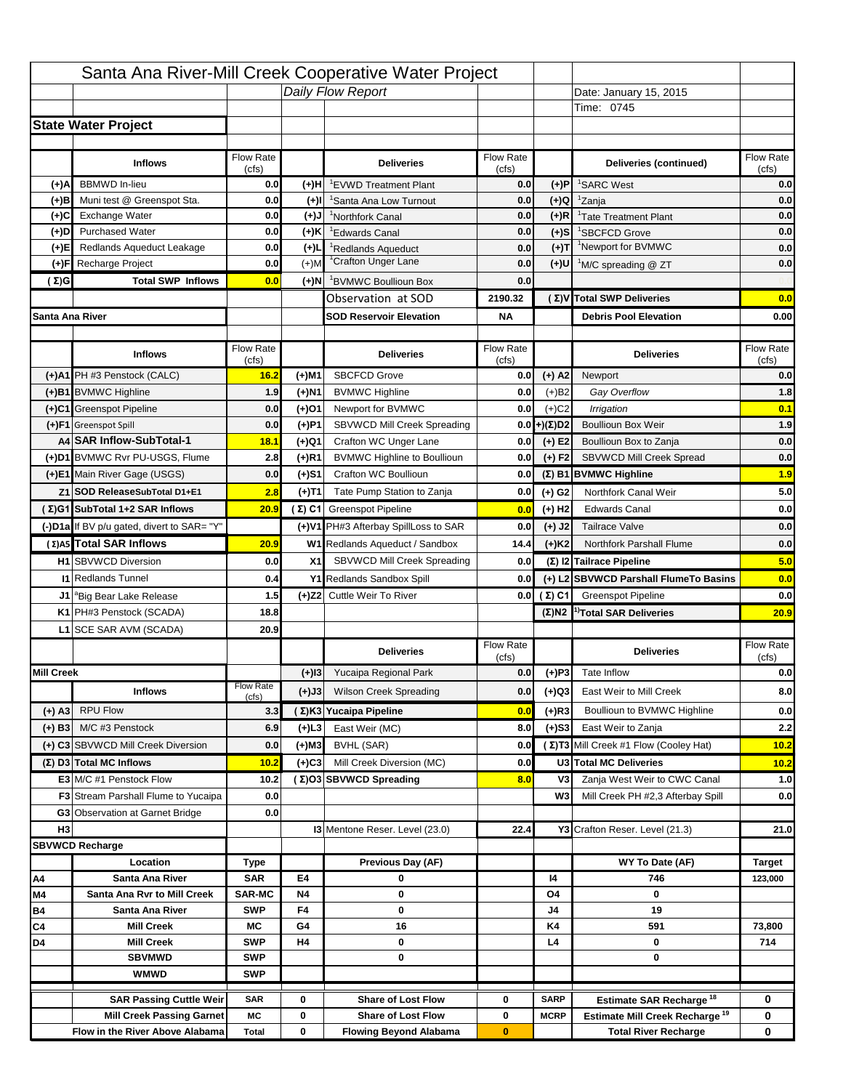|                   |                                            |                    |           | Santa Ana River-Mill Creek Cooperative Water Project |                           |                      |                                                  |                                  |
|-------------------|--------------------------------------------|--------------------|-----------|------------------------------------------------------|---------------------------|----------------------|--------------------------------------------------|----------------------------------|
|                   |                                            |                    |           | Daily Flow Report                                    |                           |                      | Date: January 15, 2015                           |                                  |
|                   |                                            |                    |           |                                                      |                           |                      | Time: 0745                                       |                                  |
|                   | <b>State Water Project</b>                 |                    |           |                                                      |                           |                      |                                                  |                                  |
|                   |                                            |                    |           |                                                      |                           |                      |                                                  |                                  |
|                   | <b>Inflows</b>                             | Flow Rate          |           | <b>Deliveries</b>                                    | <b>Flow Rate</b>          |                      | Deliveries (continued)                           | Flow Rate                        |
| (+)A              | <b>BBMWD</b> In-lieu                       | (cfs)<br>0.0       | (+)H      | 'EVWD Treatment Plant                                | (cfs)<br>0.0              | (+)P                 | <sup>1</sup> SARC West                           | (cfs)<br>0.0                     |
| (+)B              | Muni test @ Greenspot Sta.                 | 0.0                | $(+)$ l   | 'Santa Ana Low Turnout                               | 0.0                       | $(+)Q$               | <sup>1</sup> Zanja                               | 0.0                              |
| (+)C              | Exchange Water                             | 0.0                | $(+)$ J   | <sup>1</sup> Northfork Canal                         | 0.0                       | $(+)R$               | <sup>1</sup> Tate Treatment Plant                | 0.0                              |
| (+)D              | <b>Purchased Water</b>                     | 0.0                | (+)K      | <sup>1</sup> Edwards Canal                           | 0.0                       | $(+)$ S              | <sup>1</sup> SBCFCD Grove                        | 0.0                              |
| (+)E              | Redlands Aqueduct Leakage                  | 0.0                | $(+)1$    | <sup>1</sup> Redlands Aqueduct                       | 0.0                       | $(+)T$               | <sup>1</sup> Newport for BVMWC                   | 0.0                              |
| (+)F              | Recharge Project                           | 0.0                | $(+)$ M   | <sup>1</sup> Crafton Unger Lane                      | 0.0                       | $(+)$ U              | <sup>1</sup> M/C spreading @ ZT                  | 0.0                              |
| (Σ)G              | <b>Total SWP Inflows</b>                   | 0.0                | (+)N      | <sup>1</sup> BVMWC Boullioun Box                     | 0.0                       |                      |                                                  |                                  |
|                   |                                            |                    |           | Observation at SOD                                   | 2190.32                   |                      | (Σ)V Total SWP Deliveries                        | 0.0                              |
| Santa Ana River   |                                            |                    |           | <b>SOD Reservoir Elevation</b>                       | <b>NA</b>                 |                      | <b>Debris Pool Elevation</b>                     | 0.00                             |
|                   |                                            |                    |           |                                                      |                           |                      |                                                  |                                  |
|                   | <b>Inflows</b>                             | Flow Rate<br>(cfs) |           | <b>Deliveries</b>                                    | Flow Rate<br>(cfs)        |                      | <b>Deliveries</b>                                | Flow Rate<br>(cfs)               |
|                   | (+)A1 PH #3 Penstock (CALC)                | 16.2               | (+)M1     | <b>SBCFCD Grove</b>                                  | 0.0                       | $(+)$ A2             | Newport                                          | 0.0                              |
|                   | (+)B1 BVMWC Highline                       | 1.9                | (+)N1     | <b>BVMWC Highline</b>                                | 0.0                       | $(+)B2$              | Gay Overflow                                     | 1.8                              |
|                   | (+)C1 Greenspot Pipeline                   | 0.0                | (+)01     | Newport for BVMWC                                    | 0.0                       | $(+)$ C <sub>2</sub> | Irrigation                                       | 0.1                              |
|                   | (+)F1 Greenspot Spill                      | 0.0                | (+)P1     | SBVWCD Mill Creek Spreading                          | 0.0                       | (+)(Σ)D2             | <b>Boullioun Box Weir</b>                        | 1.9                              |
|                   | A4 SAR Inflow-SubTotal-1                   | 18.1               | (+)Q1     | Crafton WC Unger Lane                                | 0.0                       | $(+) E2$             | Boullioun Box to Zanja                           | 0.0                              |
|                   | (+)D1 BVMWC Rvr PU-USGS, Flume             | 2.8                | $(+)$ R1  | <b>BVMWC Highline to Boullioun</b>                   | 0.0                       | $(+) F2$             | SBVWCD Mill Creek Spread                         | 0.0                              |
|                   | (+)E1 Main River Gage (USGS)               | 0.0                | (+)S1     | Crafton WC Boullioun                                 | 0.0                       |                      | $(\Sigma)$ B1 BVMWC Highline                     | 1.9                              |
|                   | Z1 SOD ReleaseSubTotal D1+E1               | 2.8                | (+)T1     | Tate Pump Station to Zanja                           | 0.0                       | (+) G2               | Northfork Canal Weir                             | 5.0                              |
|                   | (Σ)G1 SubTotal 1+2 SAR Inflows             | 20.9               |           | (Σ) C1 Greenspot Pipeline                            | 0.0                       | $(+)$ H <sub>2</sub> | <b>Edwards Canal</b>                             | 0.0                              |
|                   | (-)D1a If BV p/u gated, divert to SAR= "Y" |                    |           | (+)V1 PH#3 Afterbay SpillLoss to SAR                 | 0.0                       | $(+)$ J2             | <b>Tailrace Valve</b>                            | 0.0                              |
|                   | (Σ) A5 Total SAR Inflows                   | 20.9               |           | W1 Redlands Aqueduct / Sandbox                       | 14.4                      | $(+)$ K <sub>2</sub> | <b>Northfork Parshall Flume</b>                  | 0.0                              |
|                   |                                            |                    |           |                                                      |                           |                      |                                                  |                                  |
|                   |                                            |                    |           |                                                      |                           |                      |                                                  |                                  |
|                   | <b>H1</b> SBVWCD Diversion                 | 0.0                | X1        | SBVWCD Mill Creek Spreading                          | 0.0                       |                      | (Σ) I2 Tailrace Pipeline                         | 5.0                              |
|                   | <b>11 Redlands Tunnel</b>                  | 0.4                |           | Y1 Redlands Sandbox Spill                            | 0.0                       |                      | (+) L2 SBVWCD Parshall FlumeTo Basins            | 0.0                              |
|                   | J1 <sup>a</sup> Big Bear Lake Release      | 1.5                |           | (+)Z2 Cuttle Weir To River                           |                           | 0.0 $(\Sigma)$ C1    | <b>Greenspot Pipeline</b>                        | 0.0                              |
|                   | K1 PH#3 Penstock (SCADA)                   | 18.8               |           |                                                      |                           |                      | $(\Sigma)$ N2 <sup>1)</sup> Total SAR Deliveries |                                  |
|                   | L1 SCE SAR AVM (SCADA)                     | 20.9               |           |                                                      |                           |                      |                                                  |                                  |
|                   |                                            |                    |           | <b>Deliveries</b>                                    | <b>Flow Rate</b><br>(cfs) |                      | <b>Deliveries</b>                                | Flow Rate<br>(cfs)               |
| <b>Mill Creek</b> |                                            |                    | $(+)$ 13  | Yucaipa Regional Park                                | 0.0                       | $(+)P3$              | Tate Inflow                                      |                                  |
|                   | <b>Inflows</b>                             | <b>Flow Rate</b>   | (+)J3     | <b>Wilson Creek Spreading</b>                        | 0.0                       | (+)Q3                | East Weir to Mill Creek                          |                                  |
|                   |                                            | (cfs)              |           |                                                      | 0.0                       |                      | Boullioun to BVMWC Highline                      |                                  |
| (+) A3            | <b>RPU Flow</b><br>M/C #3 Penstock         | 3.3                |           | (Σ)K3 Yucaipa Pipeline                               |                           | $(+)$ R3             |                                                  |                                  |
| $(+)$ B3          |                                            | 6.9                | $(+)$ L3  | East Weir (MC)                                       | 8.0                       | $(+)$ S3             | East Weir to Zanja                               | 20.9<br>0.0<br>8.0<br>0.0<br>2.2 |
|                   | (+) C3 SBVWCD Mill Creek Diversion         | 0.0                | (+)M3     | BVHL (SAR)                                           | 0.0                       |                      | (Σ) T3 Mill Creek #1 Flow (Cooley Hat)           | 10.2                             |
|                   | (Σ) D3 Total MC Inflows                    | 10.2               | $(+)C3$   | Mill Creek Diversion (MC)                            | 0.0                       |                      | U3 Total MC Deliveries                           | 10.2                             |
|                   | E3 M/C #1 Penstock Flow                    | 10.2               |           | (Σ)O3 SBVWCD Spreading                               | 8.0                       | V3<br>W <sub>3</sub> | Zanja West Weir to CWC Canal                     | 1.0                              |
|                   | <b>F3</b> Stream Parshall Flume to Yucaipa | 0.0                |           |                                                      |                           |                      | Mill Creek PH #2,3 Afterbay Spill                |                                  |
|                   | G3 Observation at Garnet Bridge            | 0.0                |           |                                                      |                           |                      |                                                  | 0.0                              |
| H <sub>3</sub>    |                                            |                    |           | 13 Mentone Reser. Level (23.0)                       | 22.4                      |                      | Y3 Crafton Reser. Level (21.3)                   | 21.0                             |
|                   | <b>SBVWCD Recharge</b><br>Location         |                    |           |                                                      |                           |                      |                                                  |                                  |
| Α4                | Santa Ana River                            | Type<br><b>SAR</b> | E4        | Previous Day (AF)<br>0                               |                           | 14                   | WY To Date (AF)<br>746                           | <b>Target</b><br>123,000         |
| M4                | Santa Ana Rvr to Mill Creek                | <b>SAR-MC</b>      | <b>N4</b> | 0                                                    |                           | O4                   | 0                                                |                                  |
| Β4                | Santa Ana River                            | <b>SWP</b>         | F4        | 0                                                    |                           | J4                   | 19                                               |                                  |
| C4                | <b>Mill Creek</b>                          | МC                 | G4        | 16                                                   |                           | K4                   | 591                                              | 73,800                           |
| D4                | <b>Mill Creek</b>                          | <b>SWP</b>         | H4        | 0                                                    |                           | L4                   | 0                                                | 714                              |
|                   | <b>SBVMWD</b>                              | <b>SWP</b>         |           | 0                                                    |                           |                      | 0                                                |                                  |
|                   | <b>WMWD</b>                                | <b>SWP</b>         |           |                                                      |                           |                      |                                                  |                                  |
|                   | <b>SAR Passing Cuttle Weir</b>             | <b>SAR</b>         | 0         | <b>Share of Lost Flow</b>                            | 0                         | <b>SARP</b>          | Estimate SAR Recharge <sup>18</sup>              | 0                                |
|                   | <b>Mill Creek Passing Garnet</b>           | МC                 | 0         | <b>Share of Lost Flow</b>                            | 0                         | <b>MCRP</b>          | Estimate Mill Creek Recharge <sup>19</sup>       | 0                                |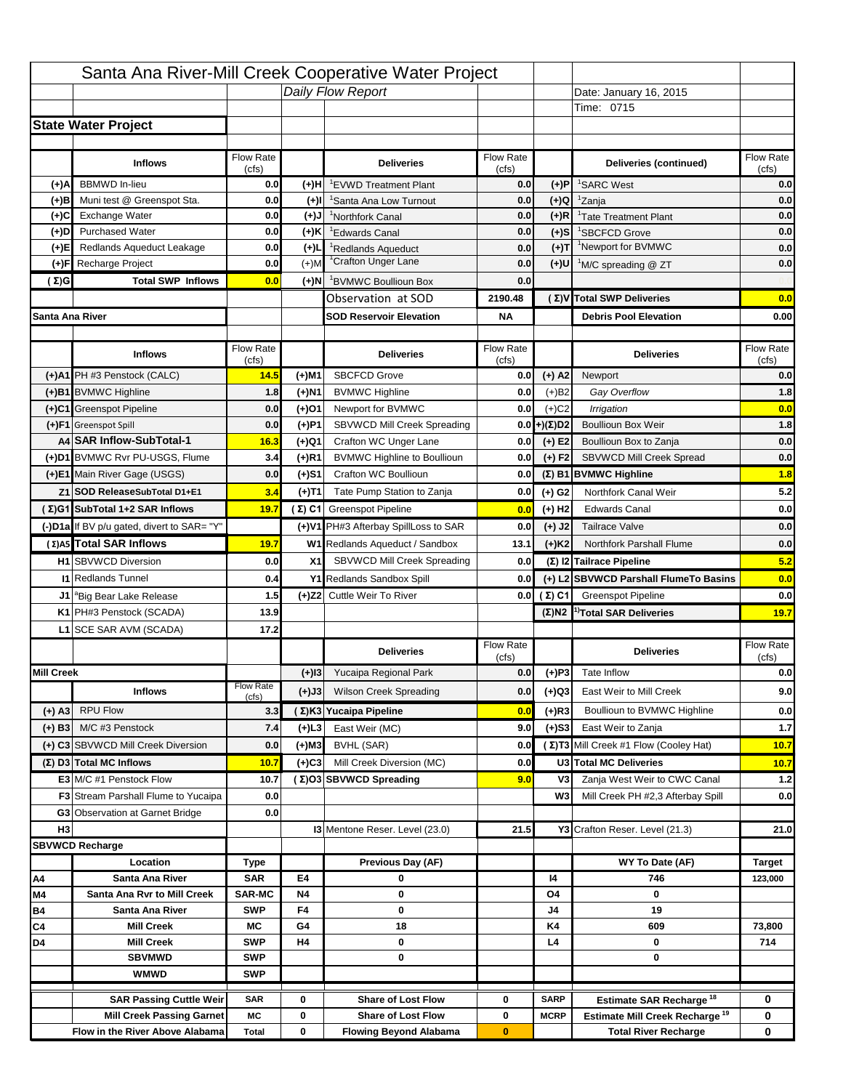|                   |                                            |                    |           | Santa Ana River-Mill Creek Cooperative Water Project |                           |                      |                                                                  |                                                         |
|-------------------|--------------------------------------------|--------------------|-----------|------------------------------------------------------|---------------------------|----------------------|------------------------------------------------------------------|---------------------------------------------------------|
|                   |                                            |                    |           | Daily Flow Report                                    |                           |                      | Date: January 16, 2015                                           |                                                         |
|                   |                                            |                    |           |                                                      |                           |                      | Time: 0715                                                       |                                                         |
|                   | <b>State Water Project</b>                 |                    |           |                                                      |                           |                      |                                                                  |                                                         |
|                   |                                            |                    |           |                                                      |                           |                      |                                                                  |                                                         |
|                   | <b>Inflows</b>                             | Flow Rate          |           | <b>Deliveries</b>                                    | <b>Flow Rate</b>          |                      | Deliveries (continued)                                           | Flow Rate                                               |
| (+)A              | <b>BBMWD</b> In-lieu                       | (cfs)<br>0.0       | (+)H      | 'EVWD Treatment Plant                                | (cfs)<br>0.0              | (+)P                 | <sup>1</sup> SARC West                                           | (cfs)<br>0.0                                            |
| (+)B              | Muni test @ Greenspot Sta.                 | 0.0                | $(+)$ l   | 'Santa Ana Low Turnout                               | 0.0                       | $(+)Q$               | <sup>1</sup> Zanja                                               | 0.0                                                     |
| (+)C              | Exchange Water                             | 0.0                | $(+)$ J   | <sup>1</sup> Northfork Canal                         | 0.0                       | $(+)R$               | <sup>1</sup> Tate Treatment Plant                                | 0.0                                                     |
| (+)D              | <b>Purchased Water</b>                     | 0.0                | (+)K      | <sup>1</sup> Edwards Canal                           | 0.0                       | $(+)$ S              | <sup>1</sup> SBCFCD Grove                                        | 0.0                                                     |
| (+)E              | Redlands Aqueduct Leakage                  | 0.0                | $(+)1$    | <sup>1</sup> Redlands Aqueduct                       | 0.0                       | $(+)T$               | <sup>1</sup> Newport for BVMWC                                   | 0.0                                                     |
| (+)F              | Recharge Project                           | 0.0                | $(+)$ M   | <sup>1</sup> Crafton Unger Lane                      | 0.0                       | $(+)$ U              | <sup>1</sup> M/C spreading @ ZT                                  | 0.0                                                     |
| (Σ)G              | <b>Total SWP Inflows</b>                   | 0.0                | (+)N      | <sup>1</sup> BVMWC Boullioun Box                     | 0.0                       |                      |                                                                  |                                                         |
|                   |                                            |                    |           | Observation at SOD                                   | 2190.48                   |                      | (Σ)V Total SWP Deliveries                                        | 0.0                                                     |
| Santa Ana River   |                                            |                    |           | <b>SOD Reservoir Elevation</b>                       | <b>NA</b>                 |                      | <b>Debris Pool Elevation</b>                                     | 0.00                                                    |
|                   |                                            |                    |           |                                                      |                           |                      |                                                                  |                                                         |
|                   | <b>Inflows</b>                             | Flow Rate<br>(cfs) |           | <b>Deliveries</b>                                    | Flow Rate<br>(cfs)        |                      | <b>Deliveries</b>                                                | Flow Rate<br>(cfs)                                      |
|                   | (+)A1 PH #3 Penstock (CALC)                | 14.5               | (+)M1     | <b>SBCFCD Grove</b>                                  | 0.0                       | $(+)$ A2             | Newport                                                          | 0.0                                                     |
|                   | (+)B1 BVMWC Highline                       | 1.8                | (+)N1     | <b>BVMWC Highline</b>                                | 0.0                       | $(+)B2$              | Gay Overflow                                                     | 1.8                                                     |
|                   | (+)C1 Greenspot Pipeline                   | 0.0                | (+)01     | Newport for BVMWC                                    | 0.0                       | $(+)$ C <sub>2</sub> | Irrigation                                                       | 0.0                                                     |
|                   | (+)F1 Greenspot Spill                      | 0.0                | (+)P1     | SBVWCD Mill Creek Spreading                          | 0.0                       | (+)(Σ)D2             | <b>Boullioun Box Weir</b>                                        | 1.8                                                     |
|                   | A4 SAR Inflow-SubTotal-1                   | 16.3               | (+)Q1     | Crafton WC Unger Lane                                | 0.0                       | $(+) E2$             | Boullioun Box to Zanja                                           | 0.0                                                     |
|                   | (+)D1 BVMWC Rvr PU-USGS, Flume             | 3.4                | $(+)$ R1  | <b>BVMWC Highline to Boullioun</b>                   | 0.0                       | $(+) F2$             | SBVWCD Mill Creek Spread                                         | 0.0                                                     |
|                   | (+)E1 Main River Gage (USGS)               | 0.0                | (+)S1     | Crafton WC Boullioun                                 | 0.0                       |                      | $(\Sigma)$ B1 BVMWC Highline                                     | 1.8                                                     |
|                   | Z1 SOD ReleaseSubTotal D1+E1               | 3.4                | (+)T1     | Tate Pump Station to Zanja                           | 0.0                       | (+) G2               | Northfork Canal Weir                                             | 5.2                                                     |
|                   | (Σ)G1 SubTotal 1+2 SAR Inflows             | 19.7               |           | (Σ) C1 Greenspot Pipeline                            | 0.0                       | $(+)$ H <sub>2</sub> | <b>Edwards Canal</b>                                             | 0.0                                                     |
|                   | (-)D1a If BV p/u gated, divert to SAR= "Y" |                    |           | (+)V1 PH#3 Afterbay SpillLoss to SAR                 | 0.0                       | $(+)$ J2             | <b>Tailrace Valve</b>                                            | 0.0                                                     |
|                   | (Σ) A5 Total SAR Inflows                   | 19.7               |           | W1 Redlands Aqueduct / Sandbox                       | 13.1                      | $(+)$ K <sub>2</sub> | <b>Northfork Parshall Flume</b>                                  | 0.0                                                     |
|                   | <b>H1</b> SBVWCD Diversion                 | 0.0                | X1        |                                                      |                           |                      |                                                                  |                                                         |
|                   |                                            |                    |           |                                                      |                           |                      |                                                                  |                                                         |
|                   |                                            |                    |           | SBVWCD Mill Creek Spreading                          | 0.0                       |                      | (Σ) I2 Tailrace Pipeline                                         |                                                         |
|                   | <b>11 Redlands Tunnel</b>                  | 0.4                |           | Y1 Redlands Sandbox Spill                            | 0.0                       |                      | (+) L2 SBVWCD Parshall FlumeTo Basins                            |                                                         |
|                   | J1 <sup>a</sup> Big Bear Lake Release      | 1.5                |           | (+)Z2 Cuttle Weir To River                           |                           | 0.0 $(\Sigma)$ C1    | <b>Greenspot Pipeline</b>                                        |                                                         |
|                   | K1 PH#3 Penstock (SCADA)                   | 13.9               |           |                                                      |                           |                      | $(\Sigma)$ N2 <sup>1)</sup> Total SAR Deliveries                 |                                                         |
|                   | L1 SCE SAR AVM (SCADA)                     | 17.2               |           |                                                      |                           |                      |                                                                  |                                                         |
|                   |                                            |                    |           | <b>Deliveries</b>                                    | <b>Flow Rate</b><br>(cfs) |                      | <b>Deliveries</b>                                                | Flow Rate<br>(cfs)                                      |
| <b>Mill Creek</b> |                                            |                    | $(+)$ 13  | Yucaipa Regional Park                                | 0.0                       | $(+)P3$              | Tate Inflow                                                      |                                                         |
|                   | <b>Inflows</b>                             | <b>Flow Rate</b>   | (+)J3     | <b>Wilson Creek Spreading</b>                        | 0.0                       | (+)Q3                | East Weir to Mill Creek                                          |                                                         |
| (+) A3            | <b>RPU Flow</b>                            | (cfs)<br>3.3       |           | (Σ)K3 Yucaipa Pipeline                               | 0.0                       |                      | Boullioun to BVMWC Highline                                      |                                                         |
| $(+)$ B3          | M/C #3 Penstock                            | 7.4                | (+)L3     | East Weir (MC)                                       | 9.0                       | $(+)$ R3<br>$(+)$ S3 | East Weir to Zanja                                               | 5.2<br>0.0<br>0.0<br>19.7<br>0.0<br>9.0<br>0.0<br>$1.7$ |
|                   | (+) C3 SBVWCD Mill Creek Diversion         | 0.0                | (+)M3     | BVHL (SAR)                                           | 0.0                       |                      |                                                                  | 10.7                                                    |
|                   | (Σ) D3 Total MC Inflows                    | 10.7               | $(+)C3$   | Mill Creek Diversion (MC)                            | 0.0                       |                      | (Σ) T3 Mill Creek #1 Flow (Cooley Hat)<br>U3 Total MC Deliveries | 10.7                                                    |
|                   | E3 M/C #1 Penstock Flow                    | 10.7               |           | (Σ)O3 SBVWCD Spreading                               | 9.0                       | V3                   | Zanja West Weir to CWC Canal                                     | $1.2$                                                   |
|                   | <b>F3</b> Stream Parshall Flume to Yucaipa | 0.0                |           |                                                      |                           | W <sub>3</sub>       | Mill Creek PH #2,3 Afterbay Spill                                |                                                         |
|                   | G3 Observation at Garnet Bridge            | 0.0                |           |                                                      |                           |                      |                                                                  | 0.0                                                     |
| H <sub>3</sub>    |                                            |                    |           | 13 Mentone Reser. Level (23.0)                       | 21.5                      |                      | Y3 Crafton Reser. Level (21.3)                                   | 21.0                                                    |
|                   | <b>SBVWCD Recharge</b>                     |                    |           |                                                      |                           |                      |                                                                  |                                                         |
|                   | Location                                   | Type               |           | Previous Day (AF)                                    |                           |                      | WY To Date (AF)                                                  | <b>Target</b>                                           |
| Α4                | Santa Ana River                            | <b>SAR</b>         | E4        | 0                                                    |                           | 14                   | 746                                                              | 123,000                                                 |
| M4                | Santa Ana Rvr to Mill Creek                | <b>SAR-MC</b>      | <b>N4</b> | 0                                                    |                           | O4                   | 0                                                                |                                                         |
| Β4                | Santa Ana River                            | <b>SWP</b>         | F4        | 0                                                    |                           | J4                   | 19                                                               |                                                         |
| C4                | <b>Mill Creek</b>                          | МC                 | G4        | 18                                                   |                           | K4                   | 609                                                              | 73,800                                                  |
| D4                | <b>Mill Creek</b>                          | <b>SWP</b>         | H4        | 0                                                    |                           | L4                   | 0                                                                | 714                                                     |
|                   | <b>SBVMWD</b>                              | <b>SWP</b>         |           | 0                                                    |                           |                      | 0                                                                |                                                         |
|                   | <b>WMWD</b>                                | <b>SWP</b>         |           |                                                      |                           |                      |                                                                  |                                                         |
|                   | <b>SAR Passing Cuttle Weir</b>             | <b>SAR</b>         | 0         | <b>Share of Lost Flow</b>                            | 0                         | <b>SARP</b>          | Estimate SAR Recharge <sup>18</sup>                              | 0                                                       |
|                   | <b>Mill Creek Passing Garnet</b>           | МC                 | 0         | <b>Share of Lost Flow</b>                            | 0                         | <b>MCRP</b>          | Estimate Mill Creek Recharge <sup>19</sup>                       | 0                                                       |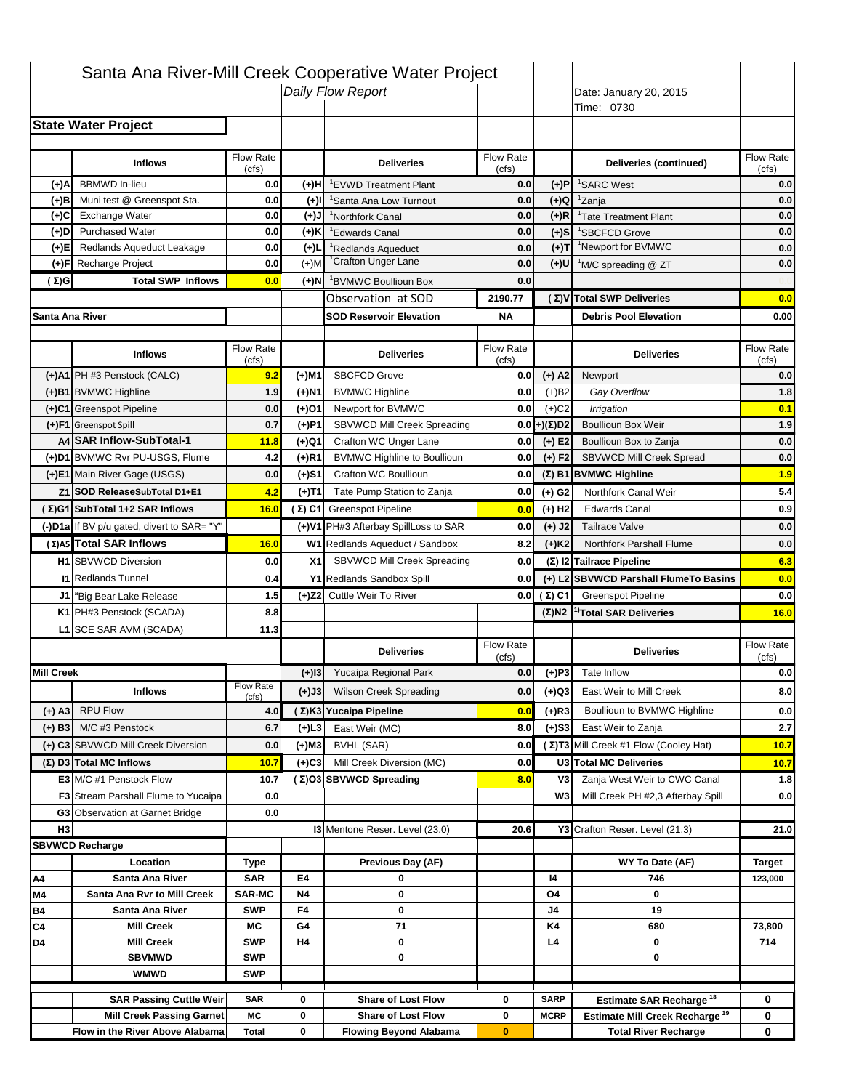|                   |                                            |                    |           | Santa Ana River-Mill Creek Cooperative Water Project |                           |                      |                                                                                   |                                         |
|-------------------|--------------------------------------------|--------------------|-----------|------------------------------------------------------|---------------------------|----------------------|-----------------------------------------------------------------------------------|-----------------------------------------|
|                   |                                            |                    |           | Daily Flow Report                                    |                           |                      | Date: January 20, 2015                                                            |                                         |
|                   |                                            |                    |           |                                                      |                           |                      | Time: 0730                                                                        |                                         |
|                   | <b>State Water Project</b>                 |                    |           |                                                      |                           |                      |                                                                                   |                                         |
|                   |                                            |                    |           |                                                      |                           |                      |                                                                                   |                                         |
|                   | <b>Inflows</b>                             | Flow Rate<br>(cfs) |           | <b>Deliveries</b>                                    | <b>Flow Rate</b><br>(cfs) |                      | Deliveries (continued)                                                            | Flow Rate<br>(cfs)                      |
| (+)A              | <b>BBMWD</b> In-lieu                       | 0.0                | (+)H      | 'EVWD Treatment Plant                                | 0.0                       | (+)P                 | <sup>1</sup> SARC West                                                            | 0.0                                     |
| (+)B              | Muni test @ Greenspot Sta.                 | 0.0                | $(+)$ l   | <sup>1</sup> Santa Ana Low Turnout                   | 0.0                       | $(+)Q$               | <sup>1</sup> Zanja                                                                | 0.0                                     |
| (+)C              | Exchange Water                             | 0.0                | $(+)$ J   | <sup>1</sup> Northfork Canal                         | 0.0                       | $(+)R$               | <sup>1</sup> Tate Treatment Plant                                                 | 0.0                                     |
| (+)D              | <b>Purchased Water</b>                     | 0.0                | (+)K      | <sup>1</sup> Edwards Canal                           | 0.0                       | $(+)$ S              | <sup>1</sup> SBCFCD Grove                                                         | 0.0                                     |
| (+)E              | Redlands Aqueduct Leakage                  | 0.0                | $(+)1$    | <sup>1</sup> Redlands Aqueduct                       | 0.0                       | $(+)T$               | <sup>1</sup> Newport for BVMWC                                                    | 0.0                                     |
| (+)F              | Recharge Project                           | 0.0                | $(+)$ M   | <sup>1</sup> Crafton Unger Lane                      | 0.0                       | (+)U                 | <sup>1</sup> M/C spreading @ ZT                                                   | 0.0                                     |
| (Σ)G              | <b>Total SWP Inflows</b>                   | 0.0                | (+)N      | <sup>1</sup> BVMWC Boullioun Box                     | 0.0                       |                      |                                                                                   |                                         |
|                   |                                            |                    |           | Observation at SOD                                   | 2190.77                   |                      | (Σ) V Total SWP Deliveries                                                        | 0.0                                     |
| Santa Ana River   |                                            |                    |           | <b>SOD Reservoir Elevation</b>                       | <b>NA</b>                 |                      | <b>Debris Pool Elevation</b>                                                      | 0.00                                    |
|                   |                                            |                    |           |                                                      |                           |                      |                                                                                   |                                         |
|                   | <b>Inflows</b>                             | Flow Rate<br>(cfs) |           | <b>Deliveries</b>                                    | Flow Rate<br>(cfs)        |                      | <b>Deliveries</b>                                                                 | Flow Rate<br>(cfs)                      |
|                   | (+)A1 PH #3 Penstock (CALC)                | 9.2                | (+)M1     | <b>SBCFCD Grove</b>                                  | 0.0                       | $(+)$ A2             | Newport                                                                           | 0.0                                     |
|                   | (+)B1 BVMWC Highline                       | 1.9                | (+)N1     | <b>BVMWC Highline</b>                                | 0.0                       | $(+)B2$              | Gay Overflow                                                                      | 1.8                                     |
|                   | (+)C1 Greenspot Pipeline                   | 0.0                | (+)01     | Newport for BVMWC                                    | 0.0                       | $(+)$ C <sub>2</sub> | Irrigation                                                                        | 0.1                                     |
|                   | (+)F1 Greenspot Spill                      | 0.7                | (+)P1     | SBVWCD Mill Creek Spreading                          | 0.0                       | (+)(Σ)D2             | <b>Boullioun Box Weir</b>                                                         | 1.9                                     |
|                   | A4 SAR Inflow-SubTotal-1                   | 11.8               | (+)Q1     | Crafton WC Unger Lane                                | 0.0                       | $(+) E2$             | Boullioun Box to Zanja                                                            | 0.0                                     |
|                   | (+)D1 BVMWC Rvr PU-USGS, Flume             | 4.2                | $(+)$ R1  | <b>BVMWC Highline to Boullioun</b>                   | 0.0                       | $(+) F2$             | SBVWCD Mill Creek Spread                                                          | 0.0                                     |
|                   | (+)E1 Main River Gage (USGS)               | 0.0                | (+)S1     | Crafton WC Boullioun                                 | 0.0                       |                      | $(\Sigma)$ B1 BVMWC Highline                                                      | 1.9                                     |
|                   | Z1 SOD ReleaseSubTotal D1+E1               | 4.2                | (+)T1     | Tate Pump Station to Zanja                           | 0.0                       | (+) G2               | Northfork Canal Weir                                                              | 5.4                                     |
|                   | (Σ)G1 SubTotal 1+2 SAR Inflows             | 16.0               |           | (Σ) C1 Greenspot Pipeline                            | 0.0                       | $(+)$ H <sub>2</sub> | <b>Edwards Canal</b>                                                              | 0.9                                     |
|                   | (-)D1a If BV p/u gated, divert to SAR= "Y" |                    |           | (+)V1 PH#3 Afterbay SpillLoss to SAR                 | 0.0                       | $(+)$ J2             | <b>Tailrace Valve</b>                                                             | 0.0                                     |
|                   | (Σ) A5 Total SAR Inflows                   | 16.0               |           | W1 Redlands Aqueduct / Sandbox                       | 8.2                       | $(+)$ K <sub>2</sub> | Northfork Parshall Flume                                                          | 0.0                                     |
|                   |                                            |                    |           |                                                      |                           |                      |                                                                                   |                                         |
|                   |                                            |                    |           |                                                      |                           |                      |                                                                                   |                                         |
|                   | <b>H1</b> SBVWCD Diversion                 | 0.0                | X1        | SBVWCD Mill Creek Spreading                          | 0.0                       |                      | (Σ) I2 Tailrace Pipeline                                                          | 6.3                                     |
|                   | <b>11 Redlands Tunnel</b>                  | 0.4                |           | Y1 Redlands Sandbox Spill                            | 0.0                       |                      | (+) L2 SBVWCD Parshall FlumeTo Basins                                             |                                         |
|                   | J1 <sup>a</sup> Big Bear Lake Release      | 1.5                |           | (+)Z2 Cuttle Weir To River                           |                           | 0.0 $(\Sigma)$ C1    | <b>Greenspot Pipeline</b>                                                         |                                         |
|                   | K1 PH#3 Penstock (SCADA)                   | 8.8                |           |                                                      |                           |                      | $(\Sigma)$ N2 <sup>1)</sup> Total SAR Deliveries                                  |                                         |
|                   | L1 SCE SAR AVM (SCADA)                     | 11.3               |           |                                                      |                           |                      |                                                                                   |                                         |
|                   |                                            |                    |           | <b>Deliveries</b>                                    | <b>Flow Rate</b><br>(cfs) |                      | <b>Deliveries</b>                                                                 | Flow Rate<br>(cfs)                      |
| <b>Mill Creek</b> |                                            |                    | $(+)$ 13  | Yucaipa Regional Park                                | 0.0                       | $(+)P3$              | Tate Inflow                                                                       |                                         |
|                   | <b>Inflows</b>                             | <b>Flow Rate</b>   |           | <b>Wilson Creek Spreading</b>                        | 0.0                       |                      | East Weir to Mill Creek                                                           |                                         |
|                   |                                            | (cfs)              | (+)J3     |                                                      |                           | (+)Q3                |                                                                                   |                                         |
| (+) A3            | <b>RPU Flow</b>                            | 4.0                |           | (Σ)K3 Yucaipa Pipeline                               | 0.0                       | $(+)$ R3             | Boullioun to BVMWC Highline                                                       | 0.0<br>0.0<br>16.0<br>0.0<br>8.0<br>0.0 |
| $(+)$ B3          | M/C #3 Penstock                            | 6.7                | (+)L3     | East Weir (MC)                                       | 8.0                       | $(+)$ S3             | East Weir to Zanja                                                                | 2.7                                     |
|                   | (+) C3 SBVWCD Mill Creek Diversion         | 0.0                | (+)M3     | BVHL (SAR)                                           | 0.0                       |                      | (Σ) T3 Mill Creek #1 Flow (Cooley Hat)                                            | 10.7                                    |
|                   | (Σ) D3 Total MC Inflows                    | 10.7               | $(+)C3$   | Mill Creek Diversion (MC)                            | 0.0                       |                      | U3 Total MC Deliveries                                                            | 10.7                                    |
|                   | E3 M/C #1 Penstock Flow                    | 10.7               |           | (Σ)O3 SBVWCD Spreading                               | 8.0                       | V3                   | Zanja West Weir to CWC Canal                                                      | 1.8                                     |
|                   | <b>F3</b> Stream Parshall Flume to Yucaipa | 0.0                |           |                                                      |                           | W <sub>3</sub>       | Mill Creek PH #2,3 Afterbay Spill                                                 | 0.0                                     |
|                   | G3 Observation at Garnet Bridge            | 0.0                |           |                                                      |                           |                      |                                                                                   |                                         |
| H <sub>3</sub>    |                                            |                    |           | 13 Mentone Reser. Level (23.0)                       | 20.6                      |                      | Y3 Crafton Reser. Level (21.3)                                                    | 21.0                                    |
|                   | <b>SBVWCD Recharge</b>                     |                    |           |                                                      |                           |                      |                                                                                   |                                         |
| Α4                | Location<br>Santa Ana River                | Type<br><b>SAR</b> | E4        | Previous Day (AF)<br>0                               |                           | 14                   | WY To Date (AF)<br>746                                                            | <b>Target</b><br>123,000                |
| M4                | Santa Ana Rvr to Mill Creek                | <b>SAR-MC</b>      | <b>N4</b> | 0                                                    |                           | O4                   | 0                                                                                 |                                         |
| Β4                | Santa Ana River                            | <b>SWP</b>         | F4        | 0                                                    |                           | J4                   | 19                                                                                |                                         |
| C4                | <b>Mill Creek</b>                          | МC                 | G4        | 71                                                   |                           | K4                   | 680                                                                               | 73,800                                  |
| D4                | <b>Mill Creek</b>                          | <b>SWP</b>         | H4        | 0                                                    |                           | L4                   | 0                                                                                 | 714                                     |
|                   | <b>SBVMWD</b>                              | <b>SWP</b>         |           | 0                                                    |                           |                      | 0                                                                                 |                                         |
|                   | <b>WMWD</b>                                | <b>SWP</b>         |           |                                                      |                           |                      |                                                                                   |                                         |
|                   | <b>SAR Passing Cuttle Weir</b>             | <b>SAR</b>         | 0         | <b>Share of Lost Flow</b>                            | 0                         | <b>SARP</b>          |                                                                                   | 0                                       |
|                   | <b>Mill Creek Passing Garnet</b>           | МC                 | 0         | <b>Share of Lost Flow</b>                            | 0                         | <b>MCRP</b>          | Estimate SAR Recharge <sup>18</sup><br>Estimate Mill Creek Recharge <sup>19</sup> | 0                                       |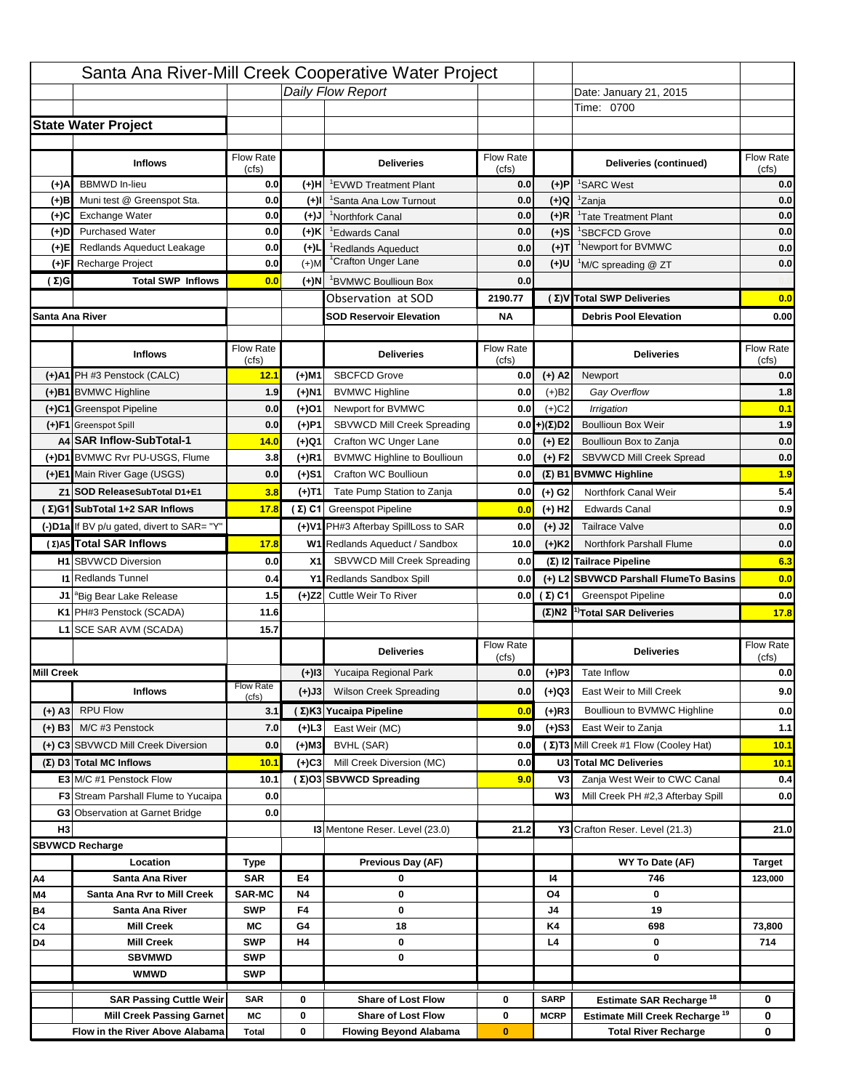|                   |                                                               |                    |                  | Santa Ana River-Mill Creek Cooperative Water Project |                           |                      |                                                                   |                                  |
|-------------------|---------------------------------------------------------------|--------------------|------------------|------------------------------------------------------|---------------------------|----------------------|-------------------------------------------------------------------|----------------------------------|
|                   |                                                               |                    |                  | Daily Flow Report                                    |                           |                      | Date: January 21, 2015                                            |                                  |
|                   |                                                               |                    |                  |                                                      |                           |                      | Time: 0700                                                        |                                  |
|                   | <b>State Water Project</b>                                    |                    |                  |                                                      |                           |                      |                                                                   |                                  |
|                   |                                                               |                    |                  |                                                      |                           |                      |                                                                   |                                  |
|                   | <b>Inflows</b>                                                | Flow Rate          |                  | <b>Deliveries</b>                                    | <b>Flow Rate</b>          |                      | Deliveries (continued)                                            | Flow Rate<br>(cfs)               |
| (+)A              | <b>BBMWD</b> In-lieu                                          | (cfs)<br>0.0       | (+)H             | 'EVWD Treatment Plant                                | (cfs)<br>0.0              | (+)P                 | <sup>1</sup> SARC West                                            | 0.0                              |
| (+)B              | Muni test @ Greenspot Sta.                                    | 0.0                | $(+)$ l          | 'Santa Ana Low Turnout                               | 0.0                       | $(+)Q$               | <sup>1</sup> Zanja                                                | 0.0                              |
| (+)C              | Exchange Water                                                | 0.0                | $(+)$ J          | <sup>1</sup> Northfork Canal                         | 0.0                       | $(+)R$               | <sup>1</sup> Tate Treatment Plant                                 | 0.0                              |
| (+)D              | <b>Purchased Water</b>                                        | 0.0                | (+)K             | <sup>1</sup> Edwards Canal                           | 0.0                       | $(+)$ S              | <sup>1</sup> SBCFCD Grove                                         | 0.0                              |
| (+)E              | Redlands Aqueduct Leakage                                     | 0.0                | $(+)1$           | <sup>1</sup> Redlands Aqueduct                       | 0.0                       | $(+)T$               | <sup>1</sup> Newport for BVMWC                                    | 0.0                              |
| (+)F              | Recharge Project                                              | 0.0                | $(+)$ M          | <sup>1</sup> Crafton Unger Lane                      | 0.0                       | $(+)$ U              | <sup>1</sup> M/C spreading @ ZT                                   | 0.0                              |
| (Σ)G              | <b>Total SWP Inflows</b>                                      | 0.0                | (+)N             | <sup>1</sup> BVMWC Boullioun Box                     | 0.0                       |                      |                                                                   |                                  |
|                   |                                                               |                    |                  | Observation at SOD                                   | 2190.77                   |                      | (Σ) V Total SWP Deliveries                                        | 0.0                              |
| Santa Ana River   |                                                               |                    |                  | <b>SOD Reservoir Elevation</b>                       | <b>NA</b>                 |                      | <b>Debris Pool Elevation</b>                                      | 0.00                             |
|                   |                                                               |                    |                  |                                                      |                           |                      |                                                                   |                                  |
|                   | <b>Inflows</b>                                                | Flow Rate<br>(cfs) |                  | <b>Deliveries</b>                                    | Flow Rate<br>(cfs)        |                      | <b>Deliveries</b>                                                 | Flow Rate<br>(cfs)               |
|                   | (+)A1 PH #3 Penstock (CALC)                                   | 12.1               | (+)M1            | <b>SBCFCD Grove</b>                                  | 0.0                       | $(+)$ A2             | Newport                                                           | 0.0                              |
|                   | (+)B1 BVMWC Highline                                          | 1.9                | (+)N1            | <b>BVMWC Highline</b>                                | 0.0                       | $(+)B2$              | Gay Overflow                                                      | 1.8                              |
|                   | (+)C1 Greenspot Pipeline                                      | 0.0                | (+)01            | Newport for BVMWC                                    | 0.0                       | $(+)$ C <sub>2</sub> | Irrigation                                                        | 0.1                              |
|                   | (+)F1 Greenspot Spill                                         | 0.0                | (+)P1            | SBVWCD Mill Creek Spreading                          | 0.0                       | (+)(Σ)D2             | <b>Boullioun Box Weir</b>                                         | 1.9                              |
|                   | A4 SAR Inflow-SubTotal-1                                      | 14.0               | (+)Q1            | Crafton WC Unger Lane                                | 0.0                       | $(+) E2$             | Boullioun Box to Zanja                                            | 0.0                              |
|                   | (+)D1 BVMWC Rvr PU-USGS, Flume                                | 3.8                | $(+)$ R1         | <b>BVMWC Highline to Boullioun</b>                   | 0.0                       | $(+) F2$             | SBVWCD Mill Creek Spread                                          | 0.0                              |
|                   | (+)E1 Main River Gage (USGS)                                  | 0.0                | (+)S1            | Crafton WC Boullioun                                 | 0.0                       |                      | $(\Sigma)$ B1 BVMWC Highline                                      | 1.9                              |
|                   | Z1 SOD ReleaseSubTotal D1+E1                                  | 3.8                | (+)T1            | Tate Pump Station to Zanja                           | 0.0                       | (+) G2               | Northfork Canal Weir                                              | 5.4                              |
|                   | (Σ)G1 SubTotal 1+2 SAR Inflows                                | 17.8               |                  | (Σ) C1 Greenspot Pipeline                            | 0.0                       | $(+)$ H <sub>2</sub> | <b>Edwards Canal</b>                                              | 0.9                              |
|                   | (-)D1a If BV p/u gated, divert to SAR= "Y"                    |                    |                  | (+)V1 PH#3 Afterbay SpillLoss to SAR                 | 0.0                       | $(+)$ J2             | <b>Tailrace Valve</b>                                             | 0.0                              |
|                   | (Σ) A5 Total SAR Inflows                                      | 17.8               |                  | W1 Redlands Aqueduct / Sandbox                       | 10.0                      | $(+)$ K <sub>2</sub> | <b>Northfork Parshall Flume</b>                                   | 0.0                              |
|                   | <b>H1</b> SBVWCD Diversion                                    | 0.0                | X1               | SBVWCD Mill Creek Spreading                          | 0.0                       |                      | (Σ) I2 Tailrace Pipeline                                          | 6.3                              |
|                   | <b>11 Redlands Tunnel</b>                                     | 0.4                |                  | Y1 Redlands Sandbox Spill                            | 0.0                       |                      | (+) L2 SBVWCD Parshall FlumeTo Basins                             | 0.0                              |
|                   |                                                               | 1.5                |                  | (+)Z2 Cuttle Weir To River                           |                           |                      | <b>Greenspot Pipeline</b>                                         | 0.0                              |
|                   |                                                               |                    |                  |                                                      |                           | 0.0 $(\Sigma)$ C1    |                                                                   |                                  |
|                   | J1 <sup>a</sup> Big Bear Lake Release                         |                    |                  |                                                      |                           |                      |                                                                   |                                  |
|                   | K1 PH#3 Penstock (SCADA)                                      | 11.6               |                  |                                                      |                           |                      | $(\Sigma)$ N2 <sup>1)</sup> Total SAR Deliveries                  |                                  |
|                   | L1 SCE SAR AVM (SCADA)                                        | 15.7               |                  |                                                      |                           |                      |                                                                   |                                  |
|                   |                                                               |                    |                  | <b>Deliveries</b>                                    | <b>Flow Rate</b><br>(cfs) |                      | <b>Deliveries</b>                                                 | Flow Rate<br>(cfs)               |
| <b>Mill Creek</b> |                                                               |                    | $(+)$ 13         | Yucaipa Regional Park                                | 0.0                       | $(+)P3$              | Tate Inflow                                                       |                                  |
|                   | <b>Inflows</b>                                                | <b>Flow Rate</b>   | (+)J3            | <b>Wilson Creek Spreading</b>                        | 0.0                       | (+)Q3                | East Weir to Mill Creek                                           |                                  |
|                   |                                                               | (cfs)<br>3.1       |                  | (Σ)K3 Yucaipa Pipeline                               | 0.0                       |                      | Boullioun to BVMWC Highline                                       |                                  |
| (+) A3            | <b>RPU Flow</b><br>M/C #3 Penstock                            | 7.0                |                  | East Weir (MC)                                       | 9.0                       | $(+)$ R3             | East Weir to Zanja                                                |                                  |
| $(+)$ B3          |                                                               |                    | (+)L3            |                                                      | 0.0                       | $(+)$ S3             |                                                                   | 17.8<br>0.0<br>9.0<br>0.0<br>1.1 |
|                   | (+) C3 SBVWCD Mill Creek Diversion<br>(Σ) D3 Total MC Inflows | 0.0<br>10.1        | (+)M3<br>$(+)C3$ | BVHL (SAR)<br>Mill Creek Diversion (MC)              | 0.0                       |                      | (Σ) T3 Mill Creek #1 Flow (Cooley Hat)<br>U3 Total MC Deliveries  | 10.1                             |
|                   | E3 M/C #1 Penstock Flow                                       | 10.1               |                  | (Σ)O3 SBVWCD Spreading                               |                           | V3                   |                                                                   | 10.1                             |
|                   | <b>F3</b> Stream Parshall Flume to Yucaipa                    | 0.0                |                  |                                                      | 9.0                       | W <sub>3</sub>       | Zanja West Weir to CWC Canal<br>Mill Creek PH #2,3 Afterbay Spill | 0.4<br>0.0                       |
|                   | G3 Observation at Garnet Bridge                               | 0.0                |                  |                                                      |                           |                      |                                                                   |                                  |
| H <sub>3</sub>    |                                                               |                    |                  | 13 Mentone Reser. Level (23.0)                       | 21.2                      |                      | Y3 Crafton Reser. Level (21.3)                                    | 21.0                             |
|                   | <b>SBVWCD Recharge</b>                                        |                    |                  |                                                      |                           |                      |                                                                   |                                  |
|                   | Location                                                      | Type               |                  | Previous Day (AF)                                    |                           |                      | WY To Date (AF)                                                   | <b>Target</b>                    |
| Α4                | Santa Ana River                                               | <b>SAR</b>         | E4               | 0                                                    |                           | 14                   | 746                                                               | 123,000                          |
| M4                | Santa Ana Rvr to Mill Creek                                   | <b>SAR-MC</b>      | <b>N4</b>        | 0                                                    |                           | O4                   | 0                                                                 |                                  |
| Β4                | Santa Ana River                                               | <b>SWP</b>         | F4               | 0                                                    |                           | J4                   | 19                                                                |                                  |
| C4                | <b>Mill Creek</b>                                             | МC                 | G4               | 18                                                   |                           | K4                   | 698                                                               | 73,800                           |
| D4                | <b>Mill Creek</b>                                             | <b>SWP</b>         | H4               | 0                                                    |                           | L4                   | 0                                                                 | 714                              |
|                   | <b>SBVMWD</b>                                                 | <b>SWP</b>         |                  | 0                                                    |                           |                      | 0                                                                 |                                  |
|                   | <b>WMWD</b>                                                   | <b>SWP</b>         |                  |                                                      |                           |                      |                                                                   |                                  |
|                   | <b>SAR Passing Cuttle Weir</b>                                | <b>SAR</b>         | 0                | <b>Share of Lost Flow</b>                            | 0                         | <b>SARP</b>          | Estimate SAR Recharge <sup>18</sup>                               | 0                                |
|                   | <b>Mill Creek Passing Garnet</b>                              | МC                 | 0                | <b>Share of Lost Flow</b>                            | 0                         | <b>MCRP</b>          | Estimate Mill Creek Recharge <sup>19</sup>                        | 0                                |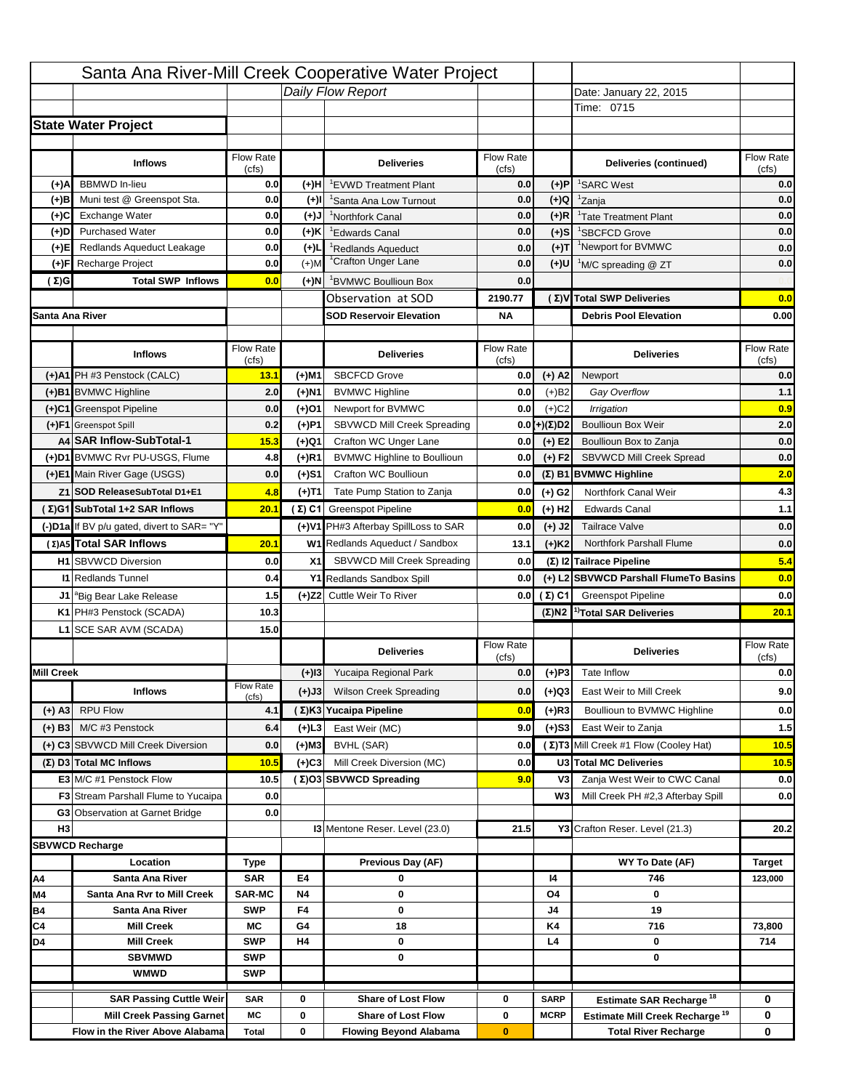|                   |                                                                     |                           |           | Santa Ana River-Mill Creek Cooperative Water Project       |                           |                      |                                                                           |                    |
|-------------------|---------------------------------------------------------------------|---------------------------|-----------|------------------------------------------------------------|---------------------------|----------------------|---------------------------------------------------------------------------|--------------------|
|                   |                                                                     |                           |           | Daily Flow Report                                          |                           |                      | Date: January 22, 2015                                                    |                    |
|                   |                                                                     |                           |           |                                                            |                           |                      | Time: 0715                                                                |                    |
|                   | <b>State Water Project</b>                                          |                           |           |                                                            |                           |                      |                                                                           |                    |
|                   |                                                                     |                           |           |                                                            |                           |                      |                                                                           |                    |
|                   | <b>Inflows</b>                                                      | <b>Flow Rate</b><br>(cfs) |           | <b>Deliveries</b>                                          | <b>Flow Rate</b><br>(cfs) |                      | Deliveries (continued)                                                    | Flow Rate<br>(cfs) |
| (+)A              | <b>BBMWD</b> In-lieu                                                | 0.0                       | (+)H      | <sup>1</sup> EVWD Treatment Plant                          | 0.0                       | (+)P                 | <sup>1</sup> SARC West                                                    | 0.0                |
| (+)B              | Muni test @ Greenspot Sta.                                          | 0.0                       | $(+)$ l   | <sup>1</sup> Santa Ana Low Turnout                         | 0.0                       | $(+)Q$               | <sup>1</sup> Zanja                                                        | 0.0                |
| (+)C              | Exchange Water                                                      | 0.0                       | $(L(+)$   | <sup>1</sup> Northfork Canal                               | 0.0                       | $(+)R$               | <sup>1</sup> Tate Treatment Plant                                         | 0.0                |
| (+)D              | <b>Purchased Water</b>                                              | 0.0                       | (+)K      | <sup>1</sup> Edwards Canal                                 | 0.0                       | $(+)$ S              | <sup>1</sup> SBCFCD Grove                                                 | 0.0                |
| (+)E              | Redlands Aqueduct Leakage                                           | 0.0                       | $(+)$     | <sup>1</sup> Redlands Aqueduct                             | 0.0                       | $(+)T$               | <sup>1</sup> Newport for BVMWC                                            | 0.0                |
| (+)F              | Recharge Project                                                    | 0.0                       | $(+)$ M   | <sup>1</sup> Crafton Unger Lane                            | 0.0                       | (+)U                 | <sup>1</sup> M/C spreading @ ZT                                           | 0.0                |
| (Σ)G              | <b>Total SWP Inflows</b>                                            | 0.0                       | (+)N      | <sup>1</sup> BVMWC Boullioun Box                           | 0.0                       |                      |                                                                           |                    |
|                   |                                                                     |                           |           | Observation at SOD                                         | 2190.77                   |                      | (Σ) V Total SWP Deliveries                                                | 0.0                |
| Santa Ana River   |                                                                     |                           |           | <b>SOD Reservoir Elevation</b>                             | ΝA                        |                      | <b>Debris Pool Elevation</b>                                              | 0.00               |
|                   |                                                                     |                           |           |                                                            |                           |                      |                                                                           |                    |
|                   | <b>Inflows</b>                                                      | Flow Rate<br>(cfs)        |           | <b>Deliveries</b>                                          | Flow Rate<br>(cfs)        |                      | <b>Deliveries</b>                                                         | Flow Rate<br>(cfs) |
|                   | (+)A1 PH #3 Penstock (CALC)                                         | 13.1                      | (+)M1     | <b>SBCFCD Grove</b>                                        | 0.0                       | $(+)$ A2             | Newport                                                                   | 0.0                |
|                   | (+)B1 BVMWC Highline                                                | 2.0                       | (+)N1     | <b>BVMWC Highline</b>                                      | 0.0                       | (+)B2                | Gay Overflow                                                              | 1.1                |
|                   | (+)C1 Greenspot Pipeline                                            | 0.0                       | (+)01     | Newport for BVMWC                                          | 0.0                       | $(+)$ C <sub>2</sub> | <b>Irrigation</b>                                                         | 0.9                |
|                   | (+)F1 Greenspot Spill                                               | 0.2                       | (+)P1     | SBVWCD Mill Creek Spreading                                | 0.0                       | (+)(Σ)D2             | <b>Boullioun Box Weir</b>                                                 | 2.0                |
|                   | A4 SAR Inflow-SubTotal-1                                            | 15.3                      | (+)Q1     | Crafton WC Unger Lane                                      | 0.0                       | $(+)$ E2             | Boullioun Box to Zanja                                                    | 0.0                |
|                   | (+)D1 BVMWC Rvr PU-USGS, Flume                                      | 4.8                       | (+)R1     | <b>BVMWC Highline to Boullioun</b>                         | 0.0                       | $(+) F2$             | SBVWCD Mill Creek Spread                                                  | 0.0                |
|                   | (+)E1 Main River Gage (USGS)                                        | 0.0                       | (+)S1     | Crafton WC Boullioun                                       | 0.0                       |                      | (Σ) B1 BVMWC Highline                                                     | 2.0                |
|                   | Z1 SOD ReleaseSubTotal D1+E1                                        | 4.8                       | (+)T1     | Tate Pump Station to Zanja                                 | 0.0                       | $(+)$ G <sub>2</sub> | Northfork Canal Weir                                                      | 4.3                |
|                   | (Σ)G1 SubTotal 1+2 SAR Inflows                                      | 20.1                      |           | (Σ) C1 Greenspot Pipeline                                  | 0.0                       | $(+)$ H <sub>2</sub> | <b>Edwards Canal</b>                                                      | $1.1$              |
|                   | (-)D1a If BV p/u gated, divert to SAR= "Y"                          |                           |           | (+)V1 PH#3 Afterbay SpillLoss to SAR                       | 0.0                       | $(+)$ J2             | <b>Tailrace Valve</b>                                                     | 0.0                |
|                   | (Σ) A5 Total SAR Inflows                                            | 20.1                      |           | W1 Redlands Aqueduct / Sandbox                             | 13.1                      | $(+)$ K2             | Northfork Parshall Flume                                                  | 0.0                |
|                   | <b>H1 SBVWCD Diversion</b>                                          | 0.0                       | X1        | SBVWCD Mill Creek Spreading                                | 0.0                       |                      | (Σ) I2 Tailrace Pipeline                                                  | 5.4                |
|                   | <b>I1 Redlands Tunnel</b>                                           | 0.4                       |           | Y1 Redlands Sandbox Spill                                  | 0.0                       |                      | (+) L2 SBVWCD Parshall FlumeTo Basins                                     | 0.0                |
|                   | J1 <sup>a</sup> Big Bear Lake Release                               | 1.5                       |           | (+)Z2 Cuttle Weir To River                                 | 0.0                       | (Σ) C1               | <b>Greenspot Pipeline</b>                                                 | 0.0                |
|                   | K1 PH#3 Penstock (SCADA)                                            | 10.3                      |           |                                                            |                           |                      | $(\Sigma)$ N2 <sup>1</sup> Total SAR Deliveries                           | 20.1               |
|                   | L1 SCE SAR AVM (SCADA)                                              | 15.0                      |           |                                                            |                           |                      |                                                                           |                    |
|                   |                                                                     |                           |           |                                                            | Flow Rate                 |                      |                                                                           | Flow Rate          |
|                   |                                                                     |                           |           | <b>Deliveries</b>                                          | (cfs)                     |                      | <b>Deliveries</b>                                                         | (cfs)              |
| <b>Mill Creek</b> |                                                                     |                           | $(+)13$   | Yucaipa Regional Park                                      | 0.0                       | $(+)$ P3             | Tate Inflow                                                               | 0.0                |
|                   | <b>Inflows</b>                                                      | <b>Flow Rate</b><br>(cfs) | (+)J3     | <b>Wilson Creek Spreading</b>                              | 0.0                       | (+)Q3                | East Weir to Mill Creek                                                   | 9.0                |
| $(+)$ A3          | <b>RPU Flow</b>                                                     | 4.1                       |           | (Σ)K3 Yucaipa Pipeline                                     | 0.0                       | $(+)$ R3             | Boullioun to BVMWC Highline                                               | 0.0                |
| $(+)$ B3          | M/C #3 Penstock                                                     | 6.4                       | (+)L3     | East Weir (MC)                                             | 9.0                       | $(+)$ S3             | East Weir to Zanja                                                        | $1.5$              |
|                   | (+) C3 SBVWCD Mill Creek Diversion                                  | 0.0                       | (+)M3     | <b>BVHL (SAR)</b>                                          | 0.0                       |                      | (Σ) T3 Mill Creek #1 Flow (Cooley Hat)                                    | 10.5               |
|                   | (Σ) D3 Total MC Inflows                                             | 10.5                      | (+)C3     | Mill Creek Diversion (MC)                                  | 0.0                       |                      | U3 Total MC Deliveries                                                    | 10.5               |
|                   | E3 M/C #1 Penstock Flow                                             | 10.5                      |           | (Σ)O3 SBVWCD Spreading                                     | 9.0                       | V3                   | Zanja West Weir to CWC Canal                                              | 0.0                |
|                   | <b>F3</b> Stream Parshall Flume to Yucaipa                          | 0.0                       |           |                                                            |                           | W3                   | Mill Creek PH #2,3 Afterbay Spill                                         | 0.0                |
|                   | <b>G3</b> Observation at Garnet Bridge                              | 0.0                       |           |                                                            |                           |                      |                                                                           |                    |
| H <sub>3</sub>    |                                                                     |                           |           | 13 Mentone Reser. Level (23.0)                             | 21.5                      |                      | Y3 Crafton Reser. Level (21.3)                                            | 20.2               |
|                   | <b>SBVWCD Recharge</b>                                              |                           |           |                                                            |                           |                      |                                                                           |                    |
|                   | Location                                                            | Type                      |           | Previous Day (AF)                                          |                           |                      | WY To Date (AF)                                                           | <b>Target</b>      |
| Α4                | Santa Ana River                                                     | <b>SAR</b>                | E4        | 0                                                          |                           | 14                   | 746                                                                       | 123,000            |
| M4                | Santa Ana Rvr to Mill Creek                                         | <b>SAR-MC</b>             | <b>N4</b> | 0                                                          |                           | Ο4                   | 0                                                                         |                    |
| <b>B4</b>         | Santa Ana River                                                     | <b>SWP</b>                | F4        | 0                                                          |                           | J4                   | 19                                                                        |                    |
| C4                |                                                                     |                           |           |                                                            |                           | K4                   |                                                                           | 73,800             |
|                   | <b>Mill Creek</b>                                                   | МC                        | G4        | 18                                                         |                           |                      | 716                                                                       |                    |
| D4                | <b>Mill Creek</b>                                                   | <b>SWP</b>                | H4        | 0                                                          |                           | L4                   | 0                                                                         | 714                |
|                   | <b>SBVMWD</b>                                                       | <b>SWP</b>                |           | 0                                                          |                           |                      | 0                                                                         |                    |
|                   | <b>WMWD</b>                                                         | <b>SWP</b>                |           |                                                            |                           |                      |                                                                           |                    |
|                   |                                                                     |                           |           |                                                            |                           |                      |                                                                           |                    |
|                   | <b>SAR Passing Cuttle Weir</b>                                      | <b>SAR</b>                | 0         | <b>Share of Lost Flow</b>                                  | 0                         | SARP                 | Estimate SAR Recharge <sup>18</sup>                                       | 0                  |
|                   | <b>Mill Creek Passing Garnet</b><br>Flow in the River Above Alabama | МC<br><b>Total</b>        | 0<br>0    | <b>Share of Lost Flow</b><br><b>Flowing Beyond Alabama</b> | 0<br>$\bf{0}$             | <b>MCRP</b>          | Estimate Mill Creek Recharge <sup>19</sup><br><b>Total River Recharge</b> | 0<br>0             |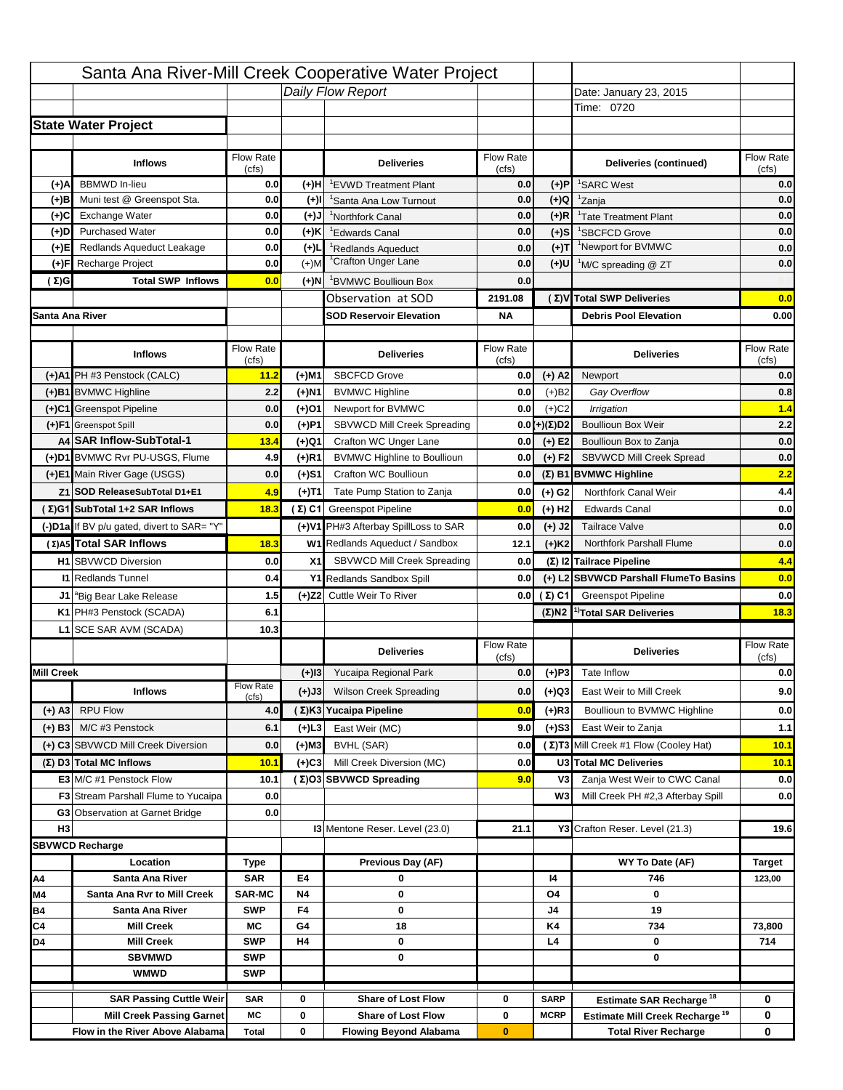|                   |                                                                    |                           |           | Santa Ana River-Mill Creek Cooperative Water Project   |                           |                      |                                                                                   |                    |
|-------------------|--------------------------------------------------------------------|---------------------------|-----------|--------------------------------------------------------|---------------------------|----------------------|-----------------------------------------------------------------------------------|--------------------|
|                   |                                                                    |                           |           | Daily Flow Report                                      |                           |                      | Date: January 23, 2015                                                            |                    |
|                   |                                                                    |                           |           |                                                        |                           |                      | Time: 0720                                                                        |                    |
|                   | <b>State Water Project</b>                                         |                           |           |                                                        |                           |                      |                                                                                   |                    |
|                   |                                                                    |                           |           |                                                        |                           |                      |                                                                                   |                    |
|                   | <b>Inflows</b>                                                     | Flow Rate<br>(cfs)        |           | <b>Deliveries</b>                                      | <b>Flow Rate</b><br>(cfs) |                      | Deliveries (continued)                                                            | Flow Rate<br>(cfs) |
| (+)A              | <b>BBMWD</b> In-lieu                                               | 0.0                       | (+)H      | <sup>1</sup> EVWD Treatment Plant                      | 0.0                       | (+)P                 | <sup>1</sup> SARC West                                                            | 0.0                |
| (+)B              | Muni test @ Greenspot Sta.                                         | 0.0                       | $(+)$ l   | <sup>1</sup> Santa Ana Low Turnout                     | 0.0                       | $(+)Q$               | <sup>1</sup> Zanja                                                                | 0.0                |
| (+)C              | Exchange Water                                                     | 0.0                       | $(L(+)$   | <sup>1</sup> Northfork Canal                           | 0.0                       | $(+)R$               | <sup>1</sup> Tate Treatment Plant                                                 | 0.0                |
| (+)D              | <b>Purchased Water</b>                                             | 0.0                       | (+)K      | <sup>1</sup> Edwards Canal                             | 0.0                       | $(+)$ S              | <sup>1</sup> SBCFCD Grove                                                         | 0.0                |
| (+)E              | Redlands Aqueduct Leakage                                          | 0.0                       | $(+)$     | <sup>1</sup> Redlands Aqueduct                         | 0.0                       | $(+)T$               | <sup>1</sup> Newport for BVMWC                                                    | 0.0                |
| (+)F              | Recharge Project                                                   | 0.0                       | $(+)$ M   | <sup>1</sup> Crafton Unger Lane                        | 0.0                       | (+)U                 | <sup>1</sup> M/C spreading @ ZT                                                   | 0.0                |
| (Σ)G              | <b>Total SWP Inflows</b>                                           | 0.0                       | (+)N      | <sup>1</sup> BVMWC Boullioun Box                       | 0.0                       |                      |                                                                                   |                    |
|                   |                                                                    |                           |           | Observation at SOD                                     | 2191.08                   |                      | (Σ) V Total SWP Deliveries                                                        | 0.0                |
| Santa Ana River   |                                                                    |                           |           | <b>SOD Reservoir Elevation</b>                         | ΝA                        |                      | <b>Debris Pool Elevation</b>                                                      | 0.00               |
|                   |                                                                    |                           |           |                                                        |                           |                      |                                                                                   |                    |
|                   | <b>Inflows</b>                                                     | Flow Rate<br>(cfs)        |           | <b>Deliveries</b>                                      | Flow Rate<br>(cfs)        |                      | <b>Deliveries</b>                                                                 | Flow Rate<br>(cfs) |
|                   | (+)A1 PH #3 Penstock (CALC)                                        | 11.2                      | (+)M1     | <b>SBCFCD Grove</b>                                    | 0.0                       | $(+)$ A2             | Newport                                                                           | 0.0                |
|                   | (+)B1 BVMWC Highline                                               | 2.2                       | (+)N1     | <b>BVMWC Highline</b>                                  | 0.0                       | (+)B2                | Gay Overflow                                                                      | 0.8                |
|                   | (+)C1 Greenspot Pipeline                                           | 0.0                       | (+)01     | Newport for BVMWC                                      | 0.0                       | $(+)$ C <sub>2</sub> | <b>Irrigation</b>                                                                 | 1.4                |
|                   | (+)F1 Greenspot Spill                                              | 0.0                       | (+)P1     | SBVWCD Mill Creek Spreading                            | 0.0                       | (+)(Σ)D2             | <b>Boullioun Box Weir</b>                                                         | 2.2                |
|                   | A4 SAR Inflow-SubTotal-1                                           | 13.4                      | (+)Q1     | Crafton WC Unger Lane                                  | 0.0                       | $(+)$ E2             | Boullioun Box to Zanja                                                            | 0.0                |
|                   | (+)D1 BVMWC Rvr PU-USGS, Flume                                     | 4.9                       | (+)R1     | <b>BVMWC Highline to Boullioun</b>                     | 0.0                       | $(+) F2$             | SBVWCD Mill Creek Spread                                                          | 0.0                |
|                   | (+)E1 Main River Gage (USGS)                                       | 0.0                       | (+)S1     | Crafton WC Boullioun                                   | 0.0                       |                      | (Σ) B1 BVMWC Highline                                                             | 2.2                |
|                   | Z1 SOD ReleaseSubTotal D1+E1                                       | 4.9                       | (+)T1     | Tate Pump Station to Zanja                             | 0.0                       | $(+)$ G <sub>2</sub> | Northfork Canal Weir                                                              | 4.4                |
|                   | (Σ)G1 SubTotal 1+2 SAR Inflows                                     | 18.3                      |           | (Σ) C1 Greenspot Pipeline                              | 0.0                       | $(+)$ H <sub>2</sub> | <b>Edwards Canal</b>                                                              | 0.0                |
|                   | (-)D1a If BV p/u gated, divert to SAR= "Y"                         |                           |           | (+)V1 PH#3 Afterbay SpillLoss to SAR                   | 0.0                       | $(+)$ J2             | <b>Tailrace Valve</b>                                                             | 0.0                |
|                   | (Σ) A5 Total SAR Inflows                                           | 18.3                      |           | W1 Redlands Aqueduct / Sandbox                         | 12.1                      | $(+)$ K2             | Northfork Parshall Flume                                                          | 0.0                |
|                   | <b>H1 SBVWCD Diversion</b>                                         | 0.0                       | X1        | SBVWCD Mill Creek Spreading                            | 0.0                       |                      | (Σ) I2 Tailrace Pipeline                                                          | 4.4                |
|                   | <b>I1 Redlands Tunnel</b>                                          | 0.4                       |           | Y1 Redlands Sandbox Spill                              | 0.0                       |                      | (+) L2 SBVWCD Parshall FlumeTo Basins                                             | 0.0                |
|                   | J1 <sup>a</sup> Big Bear Lake Release                              | 1.5                       |           | (+)Z2 Cuttle Weir To River                             | 0.0                       | (Σ) C1               | <b>Greenspot Pipeline</b>                                                         | 0.0                |
|                   | K1 PH#3 Penstock (SCADA)                                           | 6.1                       |           |                                                        |                           |                      | $(\Sigma)$ N2 <sup>1</sup> Total SAR Deliveries                                   | 18.3               |
|                   | L1 SCE SAR AVM (SCADA)                                             | 10.3                      |           |                                                        |                           |                      |                                                                                   |                    |
|                   |                                                                    |                           |           |                                                        | Flow Rate                 |                      |                                                                                   | Flow Rate          |
|                   |                                                                    |                           |           | <b>Deliveries</b>                                      | (cfs)                     |                      | <b>Deliveries</b>                                                                 | (cfs)              |
| <b>Mill Creek</b> |                                                                    |                           | $(+)$ 13  | Yucaipa Regional Park                                  | 0.0                       | $(+)$ P3             | Tate Inflow                                                                       | 0.0                |
|                   | <b>Inflows</b>                                                     | <b>Flow Rate</b><br>(cfs) | (+)J3     | <b>Wilson Creek Spreading</b>                          | 0.0                       | (+)Q3                | East Weir to Mill Creek                                                           | 9.0                |
| $(+)$ A3          | <b>RPU Flow</b>                                                    | 4.0                       |           | (Σ)K3 Yucaipa Pipeline                                 | 0.0                       | $(+)$ R3             | Boullioun to BVMWC Highline                                                       | 0.0                |
| $(+)$ B3          | M/C #3 Penstock                                                    | 6.1                       | (+)L3     | East Weir (MC)                                         | 9.0                       | $(+)$ S3             | East Weir to Zanja                                                                | 1.1                |
|                   | (+) C3 SBVWCD Mill Creek Diversion                                 | 0.0                       | (+)M3     | <b>BVHL (SAR)</b>                                      | 0.0                       |                      | (Σ) T3 Mill Creek #1 Flow (Cooley Hat)                                            | 10.1               |
|                   | (Σ) D3 Total MC Inflows                                            | 10.1                      | (+)C3     | Mill Creek Diversion (MC)                              | 0.0                       |                      | U3 Total MC Deliveries                                                            | 10.1               |
|                   | E3 M/C #1 Penstock Flow                                            | 10.1                      |           | (Σ)O3 SBVWCD Spreading                                 | 9.0                       | V3                   | Zanja West Weir to CWC Canal                                                      | 0.0                |
|                   | <b>F3</b> Stream Parshall Flume to Yucaipa                         | 0.0                       |           |                                                        |                           | W3                   | Mill Creek PH #2,3 Afterbay Spill                                                 | 0.0                |
|                   | <b>G3</b> Observation at Garnet Bridge                             | 0.0                       |           |                                                        |                           |                      |                                                                                   |                    |
| H <sub>3</sub>    |                                                                    |                           |           | 13 Mentone Reser. Level (23.0)                         | 21.1                      |                      | Y3 Crafton Reser. Level (21.3)                                                    | 19.6               |
|                   | <b>SBVWCD Recharge</b>                                             |                           |           |                                                        |                           |                      |                                                                                   |                    |
|                   | Location                                                           | Type                      |           | Previous Day (AF)                                      |                           |                      | WY To Date (AF)                                                                   | <b>Target</b>      |
| Α4                | Santa Ana River                                                    | <b>SAR</b>                | E4        | 0                                                      |                           | 14                   | 746                                                                               | 123,00             |
| M4                | Santa Ana Rvr to Mill Creek                                        | <b>SAR-MC</b>             | <b>N4</b> | 0                                                      |                           | Ο4                   | 0                                                                                 |                    |
| <b>B4</b>         | Santa Ana River                                                    | <b>SWP</b>                | F4        | 0                                                      |                           | J4                   | 19                                                                                |                    |
| C4                | <b>Mill Creek</b>                                                  | МC                        | G4        | 18                                                     |                           | K4                   | 734                                                                               | 73,800             |
| D4                | <b>Mill Creek</b>                                                  | <b>SWP</b>                | H4        | 0                                                      |                           | L4                   | 0                                                                                 | 714                |
|                   | <b>SBVMWD</b>                                                      | <b>SWP</b>                |           | 0                                                      |                           |                      | 0                                                                                 |                    |
|                   | <b>WMWD</b>                                                        | <b>SWP</b>                |           |                                                        |                           |                      |                                                                                   |                    |
|                   |                                                                    |                           |           |                                                        |                           | SARP                 |                                                                                   |                    |
|                   |                                                                    |                           |           |                                                        |                           |                      |                                                                                   |                    |
|                   | <b>SAR Passing Cuttle Weir</b><br><b>Mill Creek Passing Garnet</b> | <b>SAR</b><br>МC          | 0<br>0    | <b>Share of Lost Flow</b><br><b>Share of Lost Flow</b> | 0<br>0                    | <b>MCRP</b>          | Estimate SAR Recharge <sup>18</sup><br>Estimate Mill Creek Recharge <sup>19</sup> | 0<br>0             |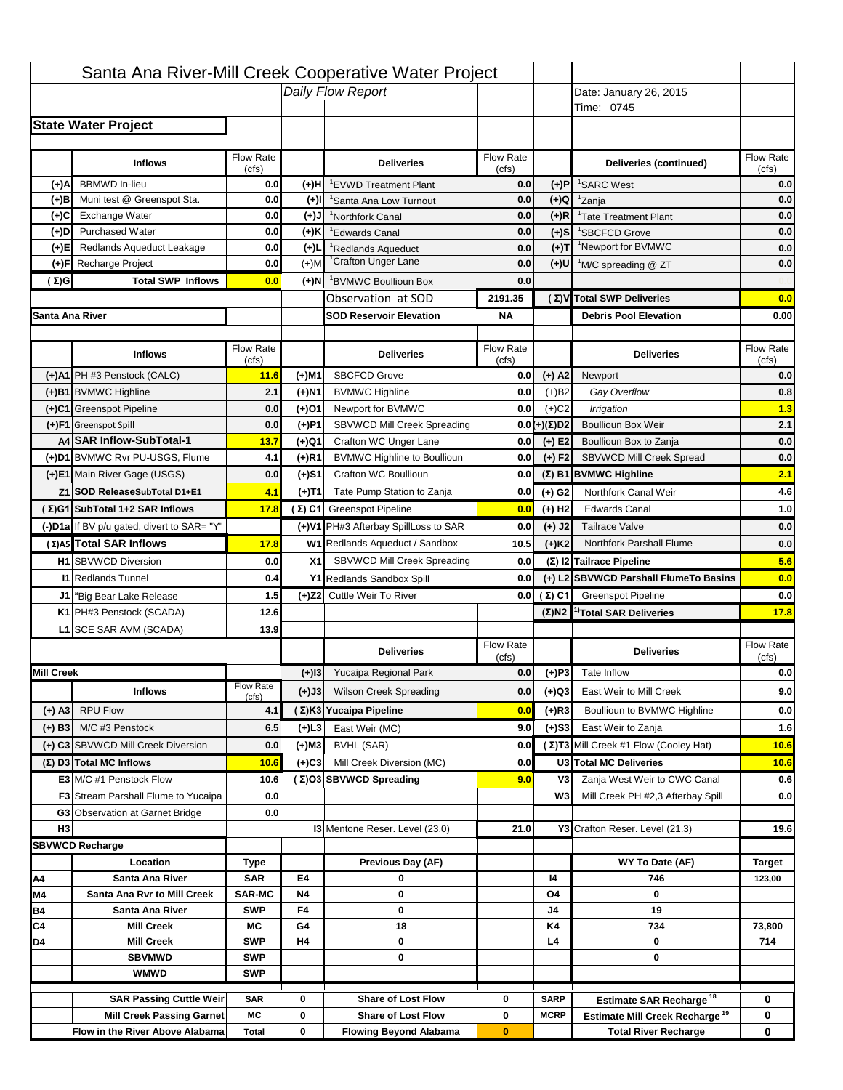|                   |                                                                   |                           |           | Santa Ana River-Mill Creek Cooperative Water Project |                           |                      |                                                 |                                  |
|-------------------|-------------------------------------------------------------------|---------------------------|-----------|------------------------------------------------------|---------------------------|----------------------|-------------------------------------------------|----------------------------------|
|                   |                                                                   |                           |           | Daily Flow Report                                    |                           |                      | Date: January 26, 2015                          |                                  |
|                   |                                                                   |                           |           |                                                      |                           |                      | Time: 0745                                      |                                  |
|                   | <b>State Water Project</b>                                        |                           |           |                                                      |                           |                      |                                                 |                                  |
|                   |                                                                   |                           |           |                                                      |                           |                      |                                                 |                                  |
|                   | <b>Inflows</b>                                                    | Flow Rate<br>(cfs)        |           | <b>Deliveries</b>                                    | <b>Flow Rate</b><br>(cfs) |                      | Deliveries (continued)                          | Flow Rate<br>(cts)               |
| (+)A              | <b>BBMWD</b> In-lieu                                              | 0.0                       | (+)H      | <sup>1</sup> EVWD Treatment Plant                    | 0.0                       | (+)P                 | <sup>1</sup> SARC West                          | 0.0                              |
| (+)B              | Muni test @ Greenspot Sta.                                        | 0.0                       | $(+)$ l   | <sup>1</sup> Santa Ana Low Turnout                   | 0.0                       | $(+)Q$               | <sup>1</sup> Zanja                              | 0.0                              |
| (+)C              | Exchange Water                                                    | 0.0                       | $(L(+)$   | <sup>1</sup> Northfork Canal                         | 0.0                       | $(+)R$               | <sup>1</sup> Tate Treatment Plant               | 0.0                              |
| (+)D              | <b>Purchased Water</b>                                            | 0.0                       | (+)K      | <sup>1</sup> Edwards Canal                           | 0.0                       | $(+)S$               | <sup>1</sup> SBCFCD Grove                       | 0.0                              |
| (+)E              | Redlands Aqueduct Leakage                                         | 0.0                       | $(+)$     | <sup>1</sup> Redlands Aqueduct                       | 0.0                       | $(+)T$               | <sup>1</sup> Newport for BVMWC                  | 0.0                              |
| (+)F              | Recharge Project                                                  | 0.0                       | $(+)$ M   | <sup>1</sup> Crafton Unger Lane                      | 0.0                       | (+)U                 | <sup>1</sup> M/C spreading @ ZT                 | 0.0                              |
| (Σ)G              | <b>Total SWP Inflows</b>                                          | 0.0                       | (+)N      | <sup>1</sup> BVMWC Boullioun Box                     | 0.0                       |                      |                                                 |                                  |
|                   |                                                                   |                           |           | Observation at SOD                                   | 2191.35                   |                      | (Σ) V Total SWP Deliveries                      | 0.0                              |
| Santa Ana River   |                                                                   |                           |           | <b>SOD Reservoir Elevation</b>                       | ΝA                        |                      | <b>Debris Pool Elevation</b>                    | 0.00                             |
|                   |                                                                   |                           |           |                                                      |                           |                      |                                                 |                                  |
|                   | <b>Inflows</b>                                                    | Flow Rate<br>(cfs)        |           | <b>Deliveries</b>                                    | Flow Rate<br>(cfs)        |                      | <b>Deliveries</b>                               | Flow Rate<br>(cfs)               |
|                   | (+)A1 PH #3 Penstock (CALC)                                       | 11.6                      | (+)M1     | <b>SBCFCD Grove</b>                                  | 0.0                       | $(+)$ A2             | Newport                                         | 0.0                              |
|                   | (+)B1 BVMWC Highline                                              | 2.1                       | (+)N1     | <b>BVMWC Highline</b>                                | 0.0                       | (+)B2                | Gay Overflow                                    | 0.8                              |
|                   | (+)C1 Greenspot Pipeline                                          | 0.0                       | (+)01     | Newport for BVMWC                                    | 0.0                       | $(+)$ C <sub>2</sub> | <b>Irrigation</b>                               | 1.3                              |
|                   | (+)F1 Greenspot Spill                                             | 0.0                       | (+)P1     | SBVWCD Mill Creek Spreading                          | 0.0                       | (+)(Σ)D2             | <b>Boullioun Box Weir</b>                       | 2.1                              |
|                   | A4 SAR Inflow-SubTotal-1                                          | 13.7                      | (+)Q1     | Crafton WC Unger Lane                                | 0.0                       | $(+)$ E2             | Boullioun Box to Zanja                          | 0.0                              |
|                   | (+)D1 BVMWC Rvr PU-USGS, Flume                                    | 4.1                       | (+)R1     | <b>BVMWC Highline to Boullioun</b>                   | 0.0                       | $(+) F2$             | SBVWCD Mill Creek Spread                        | 0.0                              |
|                   | (+)E1 Main River Gage (USGS)                                      | 0.0                       | (+)S1     | Crafton WC Boullioun                                 | 0.0                       |                      | (Σ) B1 BVMWC Highline                           | 2.1                              |
|                   | Z1 SOD ReleaseSubTotal D1+E1                                      | 4.1                       | (+)T1     | Tate Pump Station to Zanja                           | 0.0                       | $(+)$ G <sub>2</sub> | Northfork Canal Weir                            | 4.6                              |
|                   | (Σ)G1 SubTotal 1+2 SAR Inflows                                    | 17.8                      |           | (Σ) C1 Greenspot Pipeline                            | 0.0                       | $(+)$ H <sub>2</sub> | <b>Edwards Canal</b>                            | 1.0                              |
|                   | (-)D1a If BV p/u gated, divert to SAR= "Y"                        |                           |           | (+)V1 PH#3 Afterbay SpillLoss to SAR                 | 0.0                       | $(+)$ J2             | <b>Tailrace Valve</b>                           | 0.0                              |
|                   | (Σ) A5 Total SAR Inflows                                          | 17.8                      |           | W1 Redlands Aqueduct / Sandbox                       | 10.5                      | $(+)$ K <sub>2</sub> | Northfork Parshall Flume                        | 0.0                              |
|                   | <b>H1 SBVWCD Diversion</b>                                        | 0.0                       | X1        | SBVWCD Mill Creek Spreading                          | 0.0                       |                      | (Σ) I2 Tailrace Pipeline                        | 5.6                              |
|                   |                                                                   |                           |           |                                                      |                           |                      |                                                 |                                  |
|                   | <b>I1 Redlands Tunnel</b>                                         | 0.4                       |           | Y1 Redlands Sandbox Spill                            | 0.0                       |                      | (+) L2 SBVWCD Parshall FlumeTo Basins           | 0.0                              |
|                   |                                                                   | 1.5                       |           | (+)Z2 Cuttle Weir To River                           | 0.0                       | (Σ) C1               | <b>Greenspot Pipeline</b>                       | 0.0                              |
|                   | J1 <sup>a</sup> Big Bear Lake Release<br>K1 PH#3 Penstock (SCADA) | 12.6                      |           |                                                      |                           |                      | $(\Sigma)$ N2 <sup>1</sup> Total SAR Deliveries | <b>17.8</b>                      |
|                   | L1 SCE SAR AVM (SCADA)                                            | 13.9                      |           |                                                      |                           |                      |                                                 |                                  |
|                   |                                                                   |                           |           |                                                      | Flow Rate                 |                      |                                                 | Flow Rate                        |
|                   |                                                                   |                           |           | <b>Deliveries</b>                                    | (cfs)                     |                      | <b>Deliveries</b>                               | (cfs)                            |
| <b>Mill Creek</b> |                                                                   |                           | $(+)$ 13  | Yucaipa Regional Park                                | 0.0                       | $(+)$ P3             | Tate Inflow                                     |                                  |
|                   | <b>Inflows</b>                                                    | <b>Flow Rate</b><br>(cfs) | (+)J3     | <b>Wilson Creek Spreading</b>                        | 0.0                       | (+)Q3                | East Weir to Mill Creek                         |                                  |
| $(+)$ A3          | <b>RPU Flow</b>                                                   | 4.1                       |           | (Σ)K3 Yucaipa Pipeline                               | 0.0                       | $(+)$ R3             | Boullioun to BVMWC Highline                     |                                  |
| $(+)$ B3          | M/C #3 Penstock                                                   | 6.5                       | (+)L3     | East Weir (MC)                                       | 9.0                       | $(+)$ S3             | East Weir to Zanja                              |                                  |
|                   | (+) C3 SBVWCD Mill Creek Diversion                                | 0.0                       | (+)M3     | <b>BVHL (SAR)</b>                                    | 0.0                       |                      | (Σ) T3 Mill Creek #1 Flow (Cooley Hat)          | 0.0<br>9.0<br>0.0<br>1.6<br>10.6 |
|                   | (Σ) D3 Total MC Inflows                                           | 10.6                      | (+)C3     | Mill Creek Diversion (MC)                            | 0.0                       |                      | U3 Total MC Deliveries                          | 10.6                             |
|                   | E3 M/C #1 Penstock Flow                                           | 10.6                      |           | (Σ)O3 SBVWCD Spreading                               | 9.0                       | V3                   | Zanja West Weir to CWC Canal                    | 0.6                              |
|                   | <b>F3</b> Stream Parshall Flume to Yucaipa                        | 0.0                       |           |                                                      |                           | W3                   | Mill Creek PH #2,3 Afterbay Spill               | 0.0                              |
|                   | <b>G3</b> Observation at Garnet Bridge                            | 0.0                       |           |                                                      |                           |                      |                                                 |                                  |
| H <sub>3</sub>    |                                                                   |                           |           | 13 Mentone Reser. Level (23.0)                       | 21.0                      |                      | Y3 Crafton Reser. Level (21.3)                  | 19.6                             |
|                   | <b>SBVWCD Recharge</b>                                            |                           |           |                                                      |                           |                      |                                                 |                                  |
|                   | Location                                                          | Type                      |           | Previous Day (AF)                                    |                           |                      | WY To Date (AF)                                 | <b>Target</b>                    |
| Α4                | Santa Ana River                                                   | <b>SAR</b>                | E4        | 0                                                    |                           | 14                   | 746                                             | 123,00                           |
| M4                | Santa Ana Rvr to Mill Creek                                       | <b>SAR-MC</b>             | <b>N4</b> | 0                                                    |                           | Ο4                   | 0                                               |                                  |
| <b>B4</b>         | Santa Ana River                                                   | <b>SWP</b>                | F4        | 0                                                    |                           | J4                   | 19                                              |                                  |
| C4                | <b>Mill Creek</b>                                                 | МC                        | G4        | 18                                                   |                           | K4                   | 734                                             | 73,800                           |
| D4                | <b>Mill Creek</b>                                                 | <b>SWP</b>                | H4        | 0                                                    |                           | L4                   | 0                                               | 714                              |
|                   | <b>SBVMWD</b>                                                     | <b>SWP</b>                |           | 0                                                    |                           |                      | 0                                               |                                  |
|                   | <b>WMWD</b>                                                       | <b>SWP</b>                |           |                                                      |                           |                      |                                                 |                                  |
|                   | <b>SAR Passing Cuttle Weir</b>                                    | <b>SAR</b>                | 0         | <b>Share of Lost Flow</b>                            | 0                         | SARP                 | Estimate SAR Recharge <sup>18</sup>             | 0                                |
|                   | <b>Mill Creek Passing Garnet</b>                                  | МC                        | 0         | <b>Share of Lost Flow</b>                            | 0                         | <b>MCRP</b>          | Estimate Mill Creek Recharge <sup>19</sup>      | 0                                |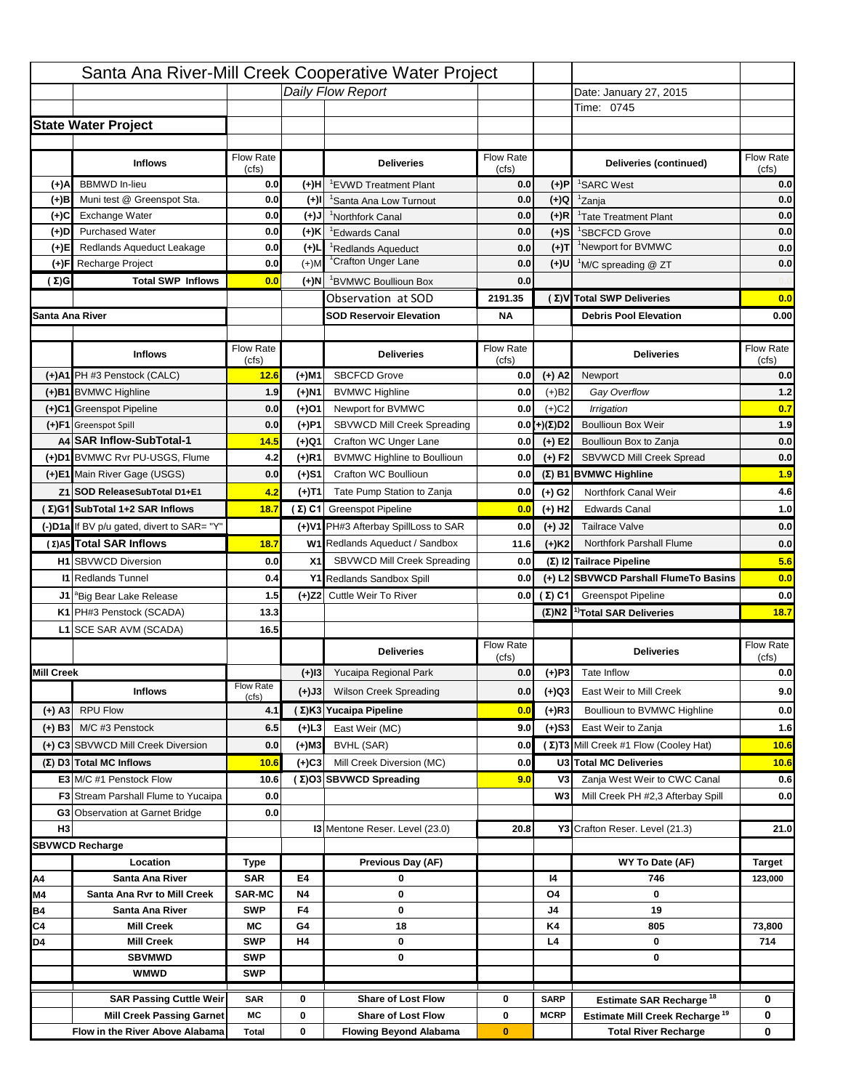|                   |                                                                     |                           |           | Santa Ana River-Mill Creek Cooperative Water Project       |                           |                      |                                                                           |                    |
|-------------------|---------------------------------------------------------------------|---------------------------|-----------|------------------------------------------------------------|---------------------------|----------------------|---------------------------------------------------------------------------|--------------------|
|                   |                                                                     |                           |           | Daily Flow Report                                          |                           |                      | Date: January 27, 2015                                                    |                    |
|                   |                                                                     |                           |           |                                                            |                           |                      | Time: 0745                                                                |                    |
|                   | <b>State Water Project</b>                                          |                           |           |                                                            |                           |                      |                                                                           |                    |
|                   |                                                                     |                           |           |                                                            |                           |                      |                                                                           |                    |
|                   | <b>Inflows</b>                                                      | Flow Rate<br>(cfs)        |           | <b>Deliveries</b>                                          | <b>Flow Rate</b><br>(cfs) |                      | Deliveries (continued)                                                    | Flow Rate<br>(cts) |
| (+)A              | <b>BBMWD</b> In-lieu                                                | 0.0                       | (+)H      | <sup>1</sup> EVWD Treatment Plant                          | 0.0                       | (+)P                 | <sup>1</sup> SARC West                                                    | 0.0                |
| (+)B              | Muni test @ Greenspot Sta.                                          | 0.0                       | $(+)$ l   | <sup>1</sup> Santa Ana Low Turnout                         | 0.0                       | $(+)Q$               | <sup>1</sup> Zanja                                                        | 0.0                |
| (+)C              | Exchange Water                                                      | 0.0                       | $(L(+)$   | <sup>1</sup> Northfork Canal                               | 0.0                       | $(+)R$               | <sup>1</sup> Tate Treatment Plant                                         | 0.0                |
| (+)D              | <b>Purchased Water</b>                                              | 0.0                       | (+)K      | <sup>1</sup> Edwards Canal                                 | 0.0                       | $(+)S$               | <sup>1</sup> SBCFCD Grove                                                 | 0.0                |
| (+)E              | Redlands Aqueduct Leakage                                           | 0.0                       | $(+)$     | <sup>1</sup> Redlands Aqueduct                             | 0.0                       | $(+)T$               | <sup>1</sup> Newport for BVMWC                                            | 0.0                |
| (+)F              | Recharge Project                                                    | 0.0                       | $(+)$ M   | <sup>1</sup> Crafton Unger Lane                            | 0.0                       | (+)U                 | <sup>1</sup> M/C spreading @ ZT                                           | 0.0                |
| (Σ)G              | <b>Total SWP Inflows</b>                                            | 0.0                       | (+)N      | <sup>1</sup> BVMWC Boullioun Box                           | 0.0                       |                      |                                                                           |                    |
|                   |                                                                     |                           |           | Observation at SOD                                         | 2191.35                   |                      | (Σ) V Total SWP Deliveries                                                | 0.0                |
| Santa Ana River   |                                                                     |                           |           | <b>SOD Reservoir Elevation</b>                             | ΝA                        |                      | <b>Debris Pool Elevation</b>                                              | 0.00               |
|                   |                                                                     |                           |           |                                                            |                           |                      |                                                                           |                    |
|                   | <b>Inflows</b>                                                      | Flow Rate<br>(cfs)        |           | <b>Deliveries</b>                                          | Flow Rate<br>(cfs)        |                      | <b>Deliveries</b>                                                         | Flow Rate<br>(cfs) |
|                   | (+)A1 PH #3 Penstock (CALC)                                         | 12.6                      | (+)M1     | <b>SBCFCD Grove</b>                                        | 0.0                       | $(+)$ A2             | Newport                                                                   | 0.0                |
|                   | (+)B1 BVMWC Highline                                                | 1.9                       | (+)N1     | <b>BVMWC Highline</b>                                      | 0.0                       | (+)B2                | Gay Overflow                                                              | 1.2                |
|                   | (+)C1 Greenspot Pipeline                                            | 0.0                       | (+)01     | Newport for BVMWC                                          | 0.0                       | $(+)$ C <sub>2</sub> | <b>Irrigation</b>                                                         | 0.7                |
|                   | (+)F1 Greenspot Spill                                               | 0.0                       | (+)P1     | SBVWCD Mill Creek Spreading                                | 0.0                       | (+)(Σ)D2             | <b>Boullioun Box Weir</b>                                                 | 1.9                |
|                   | A4 SAR Inflow-SubTotal-1                                            | 14.5                      | (+)Q1     | Crafton WC Unger Lane                                      | 0.0                       | $(+)$ E2             | Boullioun Box to Zanja                                                    | 0.0                |
|                   | (+)D1 BVMWC Rvr PU-USGS, Flume                                      | 4.2                       | (+)R1     | <b>BVMWC Highline to Boullioun</b>                         | 0.0                       | $(+) F2$             | SBVWCD Mill Creek Spread                                                  | 0.0                |
|                   | (+)E1 Main River Gage (USGS)                                        | 0.0                       | (+)S1     | Crafton WC Boullioun                                       | 0.0                       |                      | (Σ) B1 BVMWC Highline                                                     | 1.9                |
|                   | Z1 SOD ReleaseSubTotal D1+E1                                        | 4.2                       | (+)T1     | Tate Pump Station to Zanja                                 | 0.0                       | $(+)$ G <sub>2</sub> | Northfork Canal Weir                                                      | 4.6                |
|                   | (Σ)G1 SubTotal 1+2 SAR Inflows                                      | 18.7                      |           | (Σ) C1 Greenspot Pipeline                                  | 0.0                       | $(+)$ H <sub>2</sub> | <b>Edwards Canal</b>                                                      | 1.0                |
|                   | (-)D1a If BV p/u gated, divert to SAR= "Y"                          |                           |           | (+)V1 PH#3 Afterbay SpillLoss to SAR                       | 0.0                       | $(+)$ J2             | <b>Tailrace Valve</b>                                                     | 0.0                |
|                   | (Σ) A5 Total SAR Inflows                                            | 18.7                      |           | W1 Redlands Aqueduct / Sandbox                             | 11.6                      | $(+)$ K2             | Northfork Parshall Flume                                                  | 0.0                |
|                   | <b>H1 SBVWCD Diversion</b>                                          | 0.0                       | X1        | SBVWCD Mill Creek Spreading                                | 0.0                       |                      | (Σ) I2 Tailrace Pipeline                                                  | 5.6                |
|                   | <b>I1 Redlands Tunnel</b>                                           | 0.4                       |           | Y1 Redlands Sandbox Spill                                  | 0.0                       |                      | (+) L2 SBVWCD Parshall FlumeTo Basins                                     | 0.0                |
|                   | J1 <sup>a</sup> Big Bear Lake Release                               | 1.5                       |           | (+)Z2 Cuttle Weir To River                                 | 0.0                       | (Σ) C1               | <b>Greenspot Pipeline</b>                                                 | 0.0                |
|                   | K1 PH#3 Penstock (SCADA)                                            | 13.3                      |           |                                                            |                           |                      | $(\Sigma)$ N2 <sup>1</sup> Total SAR Deliveries                           | 18.7               |
|                   | L1 SCE SAR AVM (SCADA)                                              | 16.5                      |           |                                                            |                           |                      |                                                                           |                    |
|                   |                                                                     |                           |           |                                                            | Flow Rate                 |                      |                                                                           | Flow Rate          |
|                   |                                                                     |                           |           | <b>Deliveries</b>                                          | (cfs)                     |                      | <b>Deliveries</b>                                                         | (cfs)              |
| <b>Mill Creek</b> |                                                                     |                           | $(+)13$   | Yucaipa Regional Park                                      | 0.0                       | $(+)$ P3             | Tate Inflow                                                               | 0.0                |
|                   | <b>Inflows</b>                                                      | <b>Flow Rate</b><br>(cfs) | (+)J3     | <b>Wilson Creek Spreading</b>                              | 0.0                       | (+)Q3                | East Weir to Mill Creek                                                   | 9.0                |
| $(+)$ A3          | <b>RPU Flow</b>                                                     | 4.1                       |           | (Σ)K3 Yucaipa Pipeline                                     | 0.0                       | $(+)$ R3             | Boullioun to BVMWC Highline                                               | 0.0                |
| $(+)$ B3          | M/C #3 Penstock                                                     | 6.5                       | (+)L3     | East Weir (MC)                                             | 9.0                       | $(+)$ S3             | East Weir to Zanja                                                        | 1.6                |
|                   | (+) C3 SBVWCD Mill Creek Diversion                                  | 0.0                       | (+)M3     | <b>BVHL (SAR)</b>                                          | 0.0                       |                      | (Σ) T3 Mill Creek #1 Flow (Cooley Hat)                                    | 10.6               |
|                   | (Σ) D3 Total MC Inflows                                             | 10.6                      | (+)C3     | Mill Creek Diversion (MC)                                  | 0.0                       |                      | U3 Total MC Deliveries                                                    | 10.6               |
|                   | E3 M/C #1 Penstock Flow                                             | 10.6                      |           | (Σ)O3 SBVWCD Spreading                                     | 9.0                       | V3                   | Zanja West Weir to CWC Canal                                              | 0.6                |
|                   | <b>F3</b> Stream Parshall Flume to Yucaipa                          | 0.0                       |           |                                                            |                           | W3                   | Mill Creek PH #2,3 Afterbay Spill                                         | 0.0                |
|                   | <b>G3</b> Observation at Garnet Bridge                              | 0.0                       |           |                                                            |                           |                      |                                                                           |                    |
| H <sub>3</sub>    |                                                                     |                           |           | 13 Mentone Reser. Level (23.0)                             | 20.8                      |                      | Y3 Crafton Reser. Level (21.3)                                            | 21.0               |
|                   | <b>SBVWCD Recharge</b>                                              |                           |           |                                                            |                           |                      |                                                                           |                    |
|                   | Location                                                            | Type                      |           | Previous Day (AF)                                          |                           |                      | WY To Date (AF)                                                           | <b>Target</b>      |
| Α4                | Santa Ana River                                                     | <b>SAR</b>                | E4        | 0                                                          |                           | 14                   | 746                                                                       | 123,000            |
| M4                | Santa Ana Rvr to Mill Creek                                         | <b>SAR-MC</b>             | <b>N4</b> | 0                                                          |                           | Ο4                   | 0                                                                         |                    |
| <b>B4</b>         | Santa Ana River                                                     | <b>SWP</b>                | F4        | 0                                                          |                           | J4                   | 19                                                                        |                    |
| C4                | <b>Mill Creek</b>                                                   | МC                        | G4        | 18                                                         |                           | K4                   | 805                                                                       | 73,800             |
| D4                | <b>Mill Creek</b>                                                   | <b>SWP</b>                | H4        | 0                                                          |                           | L4                   | 0                                                                         | 714                |
|                   | <b>SBVMWD</b>                                                       | <b>SWP</b>                |           | 0                                                          |                           |                      | 0                                                                         |                    |
|                   | <b>WMWD</b>                                                         | <b>SWP</b>                |           |                                                            |                           |                      |                                                                           |                    |
|                   |                                                                     |                           |           |                                                            |                           |                      |                                                                           |                    |
|                   |                                                                     |                           |           |                                                            |                           |                      |                                                                           |                    |
|                   | <b>SAR Passing Cuttle Weir</b>                                      | <b>SAR</b>                | 0         | <b>Share of Lost Flow</b>                                  | 0                         | SARP                 | Estimate SAR Recharge <sup>18</sup>                                       | 0                  |
|                   | <b>Mill Creek Passing Garnet</b><br>Flow in the River Above Alabama | МC<br><b>Total</b>        | 0<br>0    | <b>Share of Lost Flow</b><br><b>Flowing Beyond Alabama</b> | 0<br>$\bf{0}$             | <b>MCRP</b>          | Estimate Mill Creek Recharge <sup>19</sup><br><b>Total River Recharge</b> | 0<br>0             |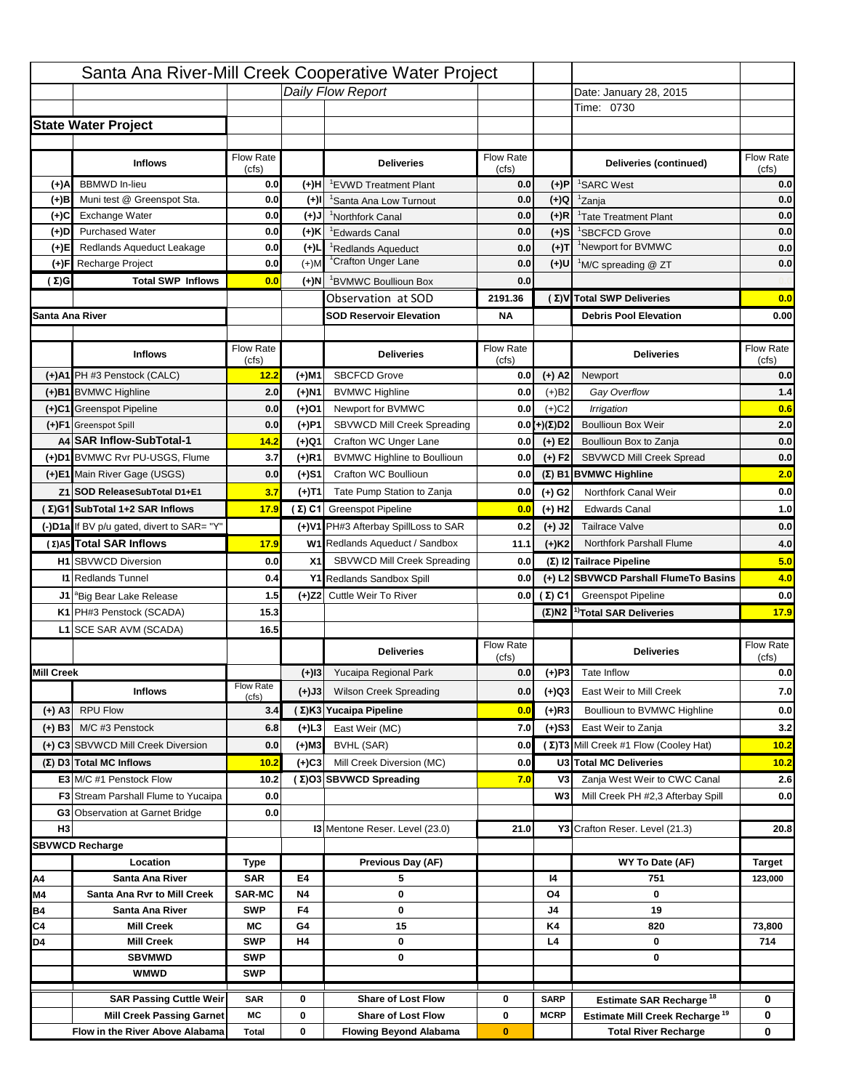|                   |                                                                     |                           |           | Santa Ana River-Mill Creek Cooperative Water Project       |                           |                      |                                                                           |                          |
|-------------------|---------------------------------------------------------------------|---------------------------|-----------|------------------------------------------------------------|---------------------------|----------------------|---------------------------------------------------------------------------|--------------------------|
|                   |                                                                     |                           |           | Daily Flow Report                                          |                           |                      | Date: January 28, 2015                                                    |                          |
|                   |                                                                     |                           |           |                                                            |                           |                      | Time: 0730                                                                |                          |
|                   | <b>State Water Project</b>                                          |                           |           |                                                            |                           |                      |                                                                           |                          |
|                   |                                                                     |                           |           |                                                            |                           |                      |                                                                           |                          |
|                   | <b>Inflows</b>                                                      | Flow Rate<br>(cfs)        |           | <b>Deliveries</b>                                          | <b>Flow Rate</b><br>(cfs) |                      | Deliveries (continued)                                                    | Flow Rate<br>(cts)       |
| (+)A              | <b>BBMWD</b> In-lieu                                                | 0.0                       | (+)H      | <sup>1</sup> EVWD Treatment Plant                          | 0.0                       | (+)P                 | <sup>1</sup> SARC West                                                    | 0.0                      |
| (+)B              | Muni test @ Greenspot Sta.                                          | 0.0                       | $(+)$ l   | <sup>1</sup> Santa Ana Low Turnout                         | 0.0                       | $(+)Q$               | <sup>1</sup> Zanja                                                        | 0.0                      |
| (+)C              | Exchange Water                                                      | 0.0                       | $(L(+)$   | <sup>1</sup> Northfork Canal                               | 0.0                       | $(+)R$               | <sup>1</sup> Tate Treatment Plant                                         | 0.0                      |
| (+)D              | <b>Purchased Water</b>                                              | 0.0                       | (+)K      | <sup>1</sup> Edwards Canal                                 | 0.0                       | $(+)S$               | <sup>1</sup> SBCFCD Grove                                                 | 0.0                      |
| (+)E              | Redlands Aqueduct Leakage                                           | 0.0                       | $(+)$     | <sup>1</sup> Redlands Aqueduct                             | 0.0                       | $(+)T$               | <sup>1</sup> Newport for BVMWC                                            | 0.0                      |
| (+)F              | Recharge Project                                                    | 0.0                       | $(+)$ M   | <sup>1</sup> Crafton Unger Lane                            | 0.0                       | (+)U                 | <sup>1</sup> M/C spreading @ ZT                                           | 0.0                      |
| (Σ)G              | <b>Total SWP Inflows</b>                                            | 0.0                       | (+)N      | <sup>1</sup> BVMWC Boullioun Box                           | 0.0                       |                      |                                                                           |                          |
|                   |                                                                     |                           |           | Observation at SOD                                         | 2191.36                   |                      | (Σ) V Total SWP Deliveries                                                | 0.0                      |
| Santa Ana River   |                                                                     |                           |           | <b>SOD Reservoir Elevation</b>                             | ΝA                        |                      | <b>Debris Pool Elevation</b>                                              | 0.00                     |
|                   |                                                                     |                           |           |                                                            |                           |                      |                                                                           |                          |
|                   | <b>Inflows</b>                                                      | Flow Rate<br>(cfs)        |           | <b>Deliveries</b>                                          | Flow Rate<br>(cfs)        |                      | <b>Deliveries</b>                                                         | Flow Rate<br>(cfs)       |
|                   | (+)A1 PH #3 Penstock (CALC)                                         | 12.2                      | (+)M1     | <b>SBCFCD Grove</b>                                        | 0.0                       | $(+)$ A2             | Newport                                                                   | 0.0                      |
|                   | (+)B1 BVMWC Highline                                                | 2.0                       | (+)N1     | <b>BVMWC Highline</b>                                      | 0.0                       | (+)B2                | Gay Overflow                                                              | 1.4                      |
|                   | (+)C1 Greenspot Pipeline                                            | 0.0                       | (+)01     | Newport for BVMWC                                          | 0.0                       | $(+)$ C <sub>2</sub> | <b>Irrigation</b>                                                         | 0.6                      |
|                   | (+)F1 Greenspot Spill                                               | 0.0                       | (+)P1     | SBVWCD Mill Creek Spreading                                | 0.0                       | (+)(Σ)D2             | <b>Boullioun Box Weir</b>                                                 | 2.0                      |
|                   | A4 SAR Inflow-SubTotal-1                                            | 14.2                      | (+)Q1     | Crafton WC Unger Lane                                      | 0.0                       | $(+)$ E2             | Boullioun Box to Zanja                                                    | 0.0                      |
|                   | (+)D1 BVMWC Rvr PU-USGS, Flume                                      | 3.7                       | (+)R1     | <b>BVMWC Highline to Boullioun</b>                         | 0.0                       | $(+) F2$             | SBVWCD Mill Creek Spread                                                  | 0.0                      |
|                   | (+)E1 Main River Gage (USGS)                                        | 0.0                       | (+)S1     | Crafton WC Boullioun                                       | 0.0                       |                      | (Σ) B1 BVMWC Highline                                                     | 2.0                      |
|                   | Z1 SOD ReleaseSubTotal D1+E1                                        | 3.7                       | (+)T1     | Tate Pump Station to Zanja                                 | 0.0                       | $(+)$ G <sub>2</sub> | Northfork Canal Weir                                                      | 0.0                      |
|                   | (Σ)G1 SubTotal 1+2 SAR Inflows                                      | 17.9                      |           | (Σ) C1 Greenspot Pipeline                                  | 0.0                       | $(+)$ H <sub>2</sub> | <b>Edwards Canal</b>                                                      | 1.0                      |
|                   | (-)D1a If BV p/u gated, divert to SAR= "Y"                          |                           |           | (+)V1 PH#3 Afterbay SpillLoss to SAR                       | 0.2                       | $(+)$ J2             | <b>Tailrace Valve</b>                                                     | 0.0                      |
|                   | (Σ) A5 Total SAR Inflows                                            | 17.9                      |           | W1 Redlands Aqueduct / Sandbox                             | 11.1                      | $(+)$ K2             | Northfork Parshall Flume                                                  | 4.0                      |
|                   | <b>H1 SBVWCD Diversion</b>                                          | 0.0                       | X1        | SBVWCD Mill Creek Spreading                                | 0.0                       |                      | (Σ) I2 Tailrace Pipeline                                                  | 5.0                      |
|                   | <b>I1 Redlands Tunnel</b>                                           | 0.4                       |           | Y1 Redlands Sandbox Spill                                  | 0.0                       |                      | (+) L2 SBVWCD Parshall FlumeTo Basins                                     | 4.0                      |
|                   |                                                                     | 1.5                       |           |                                                            | 0.0                       | (Σ) C1               | <b>Greenspot Pipeline</b>                                                 |                          |
|                   | J1 <sup>a</sup> Big Bear Lake Release<br>K1 PH#3 Penstock (SCADA)   |                           |           | (+)Z2 Cuttle Weir To River                                 |                           |                      | $(\Sigma)$ N2 <sup>1</sup> Total SAR Deliveries                           | 0.0                      |
|                   |                                                                     | 15.3                      |           |                                                            |                           |                      |                                                                           | <b>17.9</b>              |
|                   | L1 SCE SAR AVM (SCADA)                                              | 16.5                      |           |                                                            | Flow Rate                 |                      |                                                                           | Flow Rate                |
|                   |                                                                     |                           |           | <b>Deliveries</b>                                          | (cfs)                     |                      | <b>Deliveries</b>                                                         | (cfs)                    |
| <b>Mill Creek</b> |                                                                     |                           | $(+)$ 13  | Yucaipa Regional Park                                      | 0.0                       | $(+)$ P3             | Tate Inflow                                                               | 0.0                      |
|                   | <b>Inflows</b>                                                      | <b>Flow Rate</b><br>(cfs) | (+)J3     | <b>Wilson Creek Spreading</b>                              | 0.0                       | (+)Q3                | East Weir to Mill Creek                                                   | 7.0                      |
| $(+)$ A3          | <b>RPU Flow</b>                                                     | 3.4                       |           | (Σ)K3 Yucaipa Pipeline                                     | 0.0                       | $(+)$ R3             | Boullioun to BVMWC Highline                                               | 0.0                      |
| $(+)$ B3          | M/C #3 Penstock                                                     | 6.8                       | (+)L3     | East Weir (MC)                                             | 7.0                       | $(+)$ S3             | East Weir to Zanja                                                        | 3.2                      |
|                   | (+) C3 SBVWCD Mill Creek Diversion                                  | 0.0                       | (+)M3     | <b>BVHL (SAR)</b>                                          | 0.0                       |                      | (Σ) T3 Mill Creek #1 Flow (Cooley Hat)                                    | 10.2                     |
|                   | (Σ) D3 Total MC Inflows                                             | 10.2                      | (+)C3     | Mill Creek Diversion (MC)                                  | 0.0                       |                      | U3 Total MC Deliveries                                                    | 10.2                     |
|                   | E3 M/C #1 Penstock Flow                                             | 10.2                      |           | (Σ)O3 SBVWCD Spreading                                     | 7.0                       | V3                   | Zanja West Weir to CWC Canal                                              | 2.6                      |
|                   | <b>F3</b> Stream Parshall Flume to Yucaipa                          | 0.0                       |           |                                                            |                           | W3                   | Mill Creek PH #2,3 Afterbay Spill                                         | 0.0                      |
|                   | <b>G3</b> Observation at Garnet Bridge                              | 0.0                       |           |                                                            |                           |                      |                                                                           |                          |
| H <sub>3</sub>    |                                                                     |                           |           |                                                            | 21.0                      |                      | Y3 Crafton Reser. Level (21.3)                                            | 20.8                     |
|                   |                                                                     |                           |           |                                                            |                           |                      |                                                                           |                          |
|                   | <b>SBVWCD Recharge</b>                                              |                           |           | 13 Mentone Reser. Level (23.0)                             |                           |                      |                                                                           |                          |
|                   |                                                                     |                           |           |                                                            |                           |                      |                                                                           |                          |
|                   | Location<br>Santa Ana River                                         | Type<br><b>SAR</b>        | E4        | Previous Day (AF)<br>5                                     |                           | 14                   | WY To Date (AF)<br>751                                                    | <b>Target</b><br>123,000 |
| Α4                | Santa Ana Rvr to Mill Creek                                         | <b>SAR-MC</b>             | <b>N4</b> | 0                                                          |                           | Ο4                   | 0                                                                         |                          |
| M4<br><b>B4</b>   | Santa Ana River                                                     | <b>SWP</b>                | F4        | 0                                                          |                           | J4                   | 19                                                                        |                          |
| C4                | <b>Mill Creek</b>                                                   | МC                        | G4        | 15                                                         |                           | K4                   | 820                                                                       | 73,800                   |
| D4                | <b>Mill Creek</b>                                                   | <b>SWP</b>                | H4        | 0                                                          |                           | L4                   | 0                                                                         | 714                      |
|                   | <b>SBVMWD</b>                                                       | <b>SWP</b>                |           | 0                                                          |                           |                      | 0                                                                         |                          |
|                   | <b>WMWD</b>                                                         | <b>SWP</b>                |           |                                                            |                           |                      |                                                                           |                          |
|                   |                                                                     |                           |           |                                                            |                           |                      |                                                                           |                          |
|                   | <b>SAR Passing Cuttle Weir</b>                                      | <b>SAR</b>                | 0         | <b>Share of Lost Flow</b>                                  | 0                         | SARP                 | Estimate SAR Recharge <sup>18</sup>                                       | 0                        |
|                   | <b>Mill Creek Passing Garnet</b><br>Flow in the River Above Alabama | МC<br><b>Total</b>        | 0<br>0    | <b>Share of Lost Flow</b><br><b>Flowing Beyond Alabama</b> | 0<br>$\bf{0}$             | <b>MCRP</b>          | Estimate Mill Creek Recharge <sup>19</sup><br><b>Total River Recharge</b> | 0<br>0                   |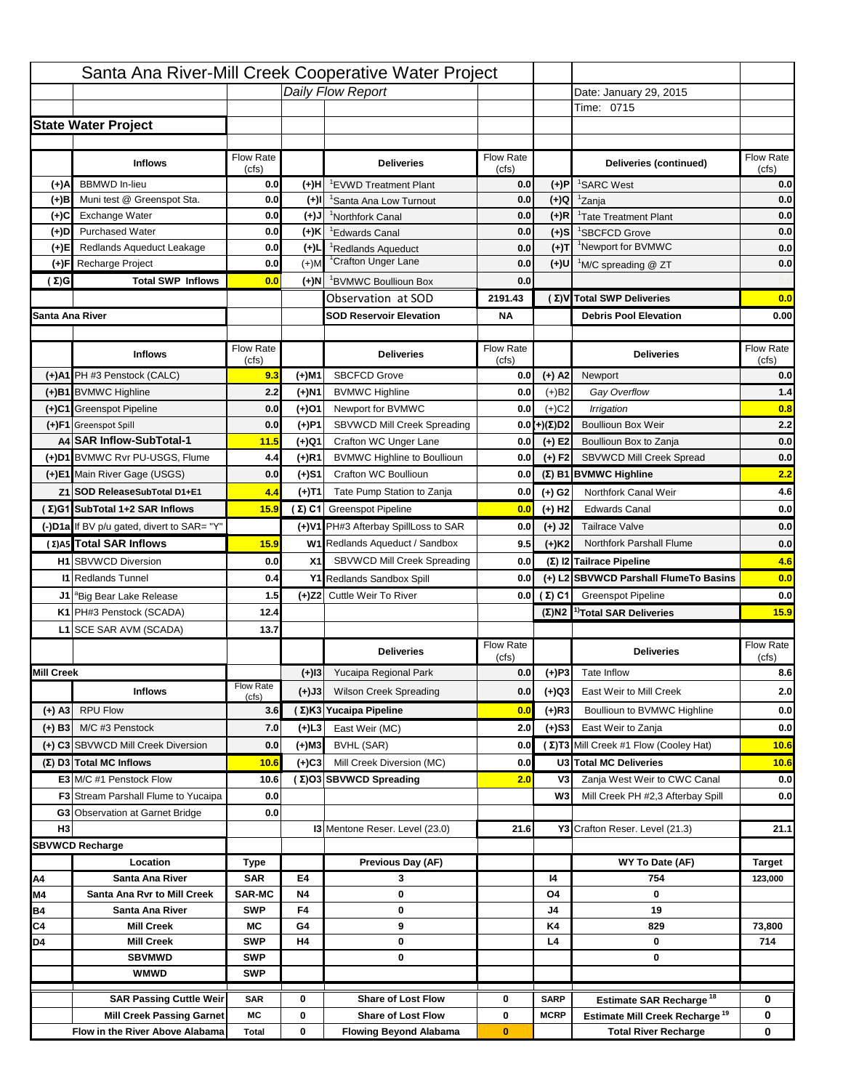|                   |                                                               |                    |                | Santa Ana River-Mill Creek Cooperative Water Project |                           |                      |                                                                                   |                                 |
|-------------------|---------------------------------------------------------------|--------------------|----------------|------------------------------------------------------|---------------------------|----------------------|-----------------------------------------------------------------------------------|---------------------------------|
|                   |                                                               |                    |                | Daily Flow Report                                    |                           |                      | Date: January 29, 2015                                                            |                                 |
|                   |                                                               |                    |                |                                                      |                           |                      | Time: 0715                                                                        |                                 |
|                   | <b>State Water Project</b>                                    |                    |                |                                                      |                           |                      |                                                                                   |                                 |
|                   |                                                               |                    |                |                                                      |                           |                      |                                                                                   |                                 |
|                   | <b>Inflows</b>                                                | Flow Rate<br>(cfs) |                | <b>Deliveries</b>                                    | <b>Flow Rate</b><br>(cfs) |                      | Deliveries (continued)                                                            | Flow Rate<br>(cts)              |
| (+)A              | <b>BBMWD</b> In-lieu                                          | 0.0                | (+)H           | <sup>1</sup> EVWD Treatment Plant                    | 0.0                       | (+)P                 | <sup>1</sup> SARC West                                                            | 0.0                             |
| (+)B              | Muni test @ Greenspot Sta.                                    | 0.0                | $(+)$ l        | <sup>1</sup> Santa Ana Low Turnout                   | 0.0                       | $(+)Q$               | <sup>1</sup> Zanja                                                                | 0.0                             |
| (+)C              | Exchange Water                                                | 0.0                | $(L(+)$        | <sup>1</sup> Northfork Canal                         | 0.0                       | $(+)R$               | <sup>1</sup> Tate Treatment Plant                                                 | 0.0                             |
| (+)D              | <b>Purchased Water</b>                                        | 0.0                | (+)K           | <sup>1</sup> Edwards Canal                           | 0.0                       | $(+)S$               | <sup>1</sup> SBCFCD Grove                                                         | 0.0                             |
| (+)E              | Redlands Aqueduct Leakage                                     | 0.0                | $(+)$          | <sup>1</sup> Redlands Aqueduct                       | 0.0                       | $(+)T$               | <sup>1</sup> Newport for BVMWC                                                    | 0.0                             |
| (+)F              | Recharge Project                                              | 0.0                | $(+)$ M        | <sup>1</sup> Crafton Unger Lane                      | 0.0                       | (+)U                 | <sup>1</sup> M/C spreading @ ZT                                                   | 0.0                             |
| (Σ)G              | <b>Total SWP Inflows</b>                                      | 0.0                | (+)N           | <sup>1</sup> BVMWC Boullioun Box                     | 0.0                       |                      |                                                                                   |                                 |
|                   |                                                               |                    |                | Observation at SOD                                   | 2191.43                   |                      | (Σ) V Total SWP Deliveries                                                        | 0.0                             |
| Santa Ana River   |                                                               |                    |                | <b>SOD Reservoir Elevation</b>                       | ΝA                        |                      | <b>Debris Pool Elevation</b>                                                      | 0.00                            |
|                   |                                                               |                    |                |                                                      |                           |                      |                                                                                   |                                 |
|                   | <b>Inflows</b>                                                | Flow Rate<br>(cfs) |                | <b>Deliveries</b>                                    | Flow Rate<br>(cfs)        |                      | <b>Deliveries</b>                                                                 | Flow Rate<br>(cfs)              |
|                   | (+)A1 PH #3 Penstock (CALC)                                   | 9.3                | (+)M1          | <b>SBCFCD Grove</b>                                  | 0.0                       | $(+)$ A2             | Newport                                                                           | 0.0                             |
|                   | (+)B1 BVMWC Highline                                          | 2.2                | (+)N1          | <b>BVMWC Highline</b>                                | 0.0                       | (+)B2                | Gay Overflow                                                                      | 1.4                             |
|                   | (+)C1 Greenspot Pipeline                                      | 0.0                | (+)01          | Newport for BVMWC                                    | 0.0                       | $(+)$ C <sub>2</sub> | <b>Irrigation</b>                                                                 | 0.8                             |
|                   | (+)F1 Greenspot Spill                                         | 0.0                | (+)P1          | SBVWCD Mill Creek Spreading                          | 0.0                       | (+)(Σ)D2             | <b>Boullioun Box Weir</b>                                                         | 2.2                             |
|                   | A4 SAR Inflow-SubTotal-1                                      | 11.5               | (+)Q1          | Crafton WC Unger Lane                                | 0.0                       | $(+)$ E2             | Boullioun Box to Zanja                                                            | 0.0                             |
|                   | (+)D1 BVMWC Rvr PU-USGS, Flume                                | 4.4                | (+)R1          | <b>BVMWC Highline to Boullioun</b>                   | 0.0                       | $(+) F2$             | SBVWCD Mill Creek Spread                                                          | 0.0                             |
|                   | (+)E1 Main River Gage (USGS)                                  | 0.0                | (+)S1          | Crafton WC Boullioun                                 | 0.0                       |                      | (Σ) B1 BVMWC Highline                                                             | 2.2                             |
|                   | Z1 SOD ReleaseSubTotal D1+E1                                  | 4.4                | (+)T1          | Tate Pump Station to Zanja                           | 0.0                       | $(+)$ G <sub>2</sub> | Northfork Canal Weir                                                              | 4.6                             |
|                   | (Σ)G1 SubTotal 1+2 SAR Inflows                                | 15.9               |                | (Σ) C1 Greenspot Pipeline                            | 0.0                       | $(+)$ H <sub>2</sub> | <b>Edwards Canal</b>                                                              | 0.0                             |
|                   | (-)D1a If BV p/u gated, divert to SAR= "Y"                    |                    |                | (+)V1 PH#3 Afterbay SpillLoss to SAR                 | 0.0                       | $(+)$ J2             | <b>Tailrace Valve</b>                                                             | 0.0                             |
|                   | (Σ) A5 Total SAR Inflows                                      | 15.9               |                | W1 Redlands Aqueduct / Sandbox                       | 9.5                       | $(+)$ K <sub>2</sub> | Northfork Parshall Flume                                                          | 0.0                             |
|                   | <b>H1 SBVWCD Diversion</b>                                    | 0.0                | X1             |                                                      |                           |                      |                                                                                   |                                 |
|                   |                                                               |                    |                |                                                      |                           |                      |                                                                                   |                                 |
|                   |                                                               |                    |                | SBVWCD Mill Creek Spreading                          | 0.0                       |                      | (Σ) I2 Tailrace Pipeline                                                          | 4.6                             |
|                   | <b>I1 Redlands Tunnel</b>                                     | 0.4                |                | Y1 Redlands Sandbox Spill                            | 0.0                       |                      | (+) L2 SBVWCD Parshall FlumeTo Basins                                             | 0.0                             |
|                   | J1 <sup>a</sup> Big Bear Lake Release                         | 1.5                |                | (+)Z2 Cuttle Weir To River                           | 0.0                       | (Σ) C1               | <b>Greenspot Pipeline</b>                                                         |                                 |
|                   | K1 PH#3 Penstock (SCADA)                                      | 12.4               |                |                                                      |                           |                      | $(\Sigma)$ N2 <sup>1</sup> Total SAR Deliveries                                   | 15.9                            |
|                   | L1 SCE SAR AVM (SCADA)                                        | 13.7               |                |                                                      |                           |                      |                                                                                   |                                 |
|                   |                                                               |                    |                | <b>Deliveries</b>                                    | Flow Rate<br>(cfs)        |                      | <b>Deliveries</b>                                                                 | Flow Rate<br>(cfs)              |
| <b>Mill Creek</b> |                                                               |                    | $(+)$ 13       | Yucaipa Regional Park                                | 0.0                       | $(+)$ P3             | Tate Inflow                                                                       |                                 |
|                   | <b>Inflows</b>                                                | <b>Flow Rate</b>   | (+)J3          | <b>Wilson Creek Spreading</b>                        | 0.0                       | (+)Q3                | East Weir to Mill Creek                                                           |                                 |
| $(+)$ A3          | <b>RPU Flow</b>                                               | (cfs)<br>3.6       |                | (Σ)K3 Yucaipa Pipeline                               | 0.0                       | $(+)$ R3             | Boullioun to BVMWC Highline                                                       |                                 |
| $(+)$ B3          | M/C #3 Penstock                                               | 7.0                | (+)L3          | East Weir (MC)                                       | 2.0                       | $(+)$ S3             | East Weir to Zanja                                                                | 0.0<br>8.6<br>2.0<br>0.0<br>0.0 |
|                   |                                                               |                    |                |                                                      |                           |                      |                                                                                   |                                 |
|                   | (+) C3 SBVWCD Mill Creek Diversion<br>(Σ) D3 Total MC Inflows | 0.0<br>10.6        | (+)M3<br>(+)C3 | <b>BVHL (SAR)</b><br>Mill Creek Diversion (MC)       | 0.0<br>0.0                |                      | (Σ) T3 Mill Creek #1 Flow (Cooley Hat)<br>U3 Total MC Deliveries                  | 10.6<br>10.6                    |
|                   | E3 M/C #1 Penstock Flow                                       | 10.6               |                | (Σ)O3 SBVWCD Spreading                               | 2.0                       | V3                   | Zanja West Weir to CWC Canal                                                      | 0.0                             |
|                   | <b>F3</b> Stream Parshall Flume to Yucaipa                    | 0.0                |                |                                                      |                           | W3                   | Mill Creek PH #2,3 Afterbay Spill                                                 |                                 |
|                   | <b>G3</b> Observation at Garnet Bridge                        | 0.0                |                |                                                      |                           |                      |                                                                                   | 0.0                             |
| H <sub>3</sub>    |                                                               |                    |                | 13 Mentone Reser. Level (23.0)                       | 21.6                      |                      | Y3 Crafton Reser. Level (21.3)                                                    | 21.1                            |
|                   | <b>SBVWCD Recharge</b>                                        |                    |                |                                                      |                           |                      |                                                                                   |                                 |
|                   | Location                                                      | Type               |                | Previous Day (AF)                                    |                           |                      | WY To Date (AF)                                                                   | <b>Target</b>                   |
| Α4                | Santa Ana River                                               | <b>SAR</b>         | E4             | 3                                                    |                           | 14                   | 754                                                                               | 123,000                         |
| M4                | Santa Ana Rvr to Mill Creek                                   | <b>SAR-MC</b>      | <b>N4</b>      | 0                                                    |                           | Ο4                   | 0                                                                                 |                                 |
| <b>B4</b>         | Santa Ana River                                               | <b>SWP</b>         | F4             | 0                                                    |                           | J4                   | 19                                                                                |                                 |
| C4                | <b>Mill Creek</b>                                             | МC                 | G4             | 9                                                    |                           | K4                   | 829                                                                               | 73,800                          |
| D4                | <b>Mill Creek</b>                                             | <b>SWP</b>         | H4             | 0                                                    |                           | L4                   | 0                                                                                 | 714                             |
|                   | <b>SBVMWD</b>                                                 | <b>SWP</b>         |                | 0                                                    |                           |                      | 0                                                                                 |                                 |
|                   | <b>WMWD</b>                                                   | <b>SWP</b>         |                |                                                      |                           |                      |                                                                                   |                                 |
|                   | <b>SAR Passing Cuttle Weir</b>                                | <b>SAR</b>         | 0              | <b>Share of Lost Flow</b>                            | 0                         | SARP                 |                                                                                   | 0                               |
|                   | <b>Mill Creek Passing Garnet</b>                              | МC                 | 0              | <b>Share of Lost Flow</b>                            | 0                         | <b>MCRP</b>          | Estimate SAR Recharge <sup>18</sup><br>Estimate Mill Creek Recharge <sup>19</sup> | 0                               |